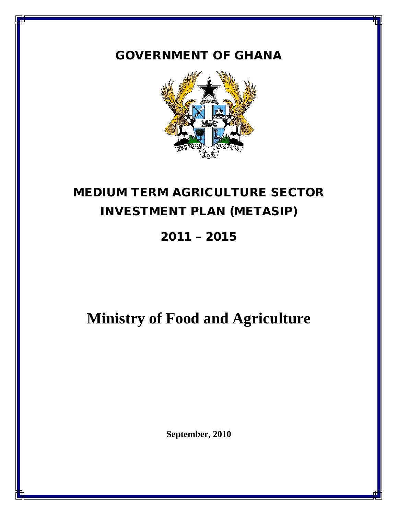# GOVERNMENT OF GHANA



# MEDIUM TERM AGRICULTURE SECTOR INVESTMENT PLAN (METASIP)

2011 – 2015

**Ministry of Food and Agriculture**

**September, 2010**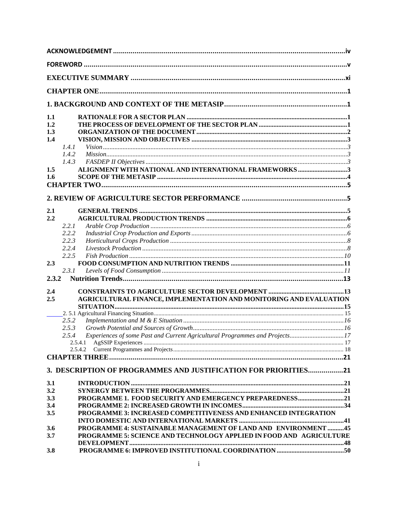| 1.1   |                                                                                                 |  |
|-------|-------------------------------------------------------------------------------------------------|--|
| 1.2   |                                                                                                 |  |
| 1.3   |                                                                                                 |  |
| 1.4   |                                                                                                 |  |
|       | 1.4.1                                                                                           |  |
|       | 1.4.2                                                                                           |  |
|       | 1.4.3                                                                                           |  |
| 1.5   | ALIGNMENT WITH NATIONAL AND INTERNATIONAL FRAMEWORKS 3                                          |  |
| 1.6   |                                                                                                 |  |
|       |                                                                                                 |  |
|       |                                                                                                 |  |
| 2.1   |                                                                                                 |  |
| 2.2   |                                                                                                 |  |
|       | 2.2.1                                                                                           |  |
|       | 2.2.2                                                                                           |  |
|       | 2.2.3                                                                                           |  |
|       | 2.2.4                                                                                           |  |
|       | 2.2.5                                                                                           |  |
| 2.3   |                                                                                                 |  |
|       | 2.3.1                                                                                           |  |
| 2.3.2 |                                                                                                 |  |
| 2.4   |                                                                                                 |  |
| 2.5   | AGRICULTURAL FINANCE, IMPLEMENTATION AND MONITORING AND EVALUATION                              |  |
|       |                                                                                                 |  |
|       |                                                                                                 |  |
|       | 2.5.2                                                                                           |  |
|       | 2.5.3                                                                                           |  |
|       | Experiences of some Past and Current Agricultural Programmes and Projects17<br>2.5.4<br>2.5.4.1 |  |
|       | 2.5.4.2                                                                                         |  |
|       |                                                                                                 |  |
|       | 3. DESCRIPTION OF PROGRAMMES AND JUSTIFICATION FOR PRIORITIES21                                 |  |
| 3.1   |                                                                                                 |  |
| 3.2   |                                                                                                 |  |
| 3.3   |                                                                                                 |  |
| 3.4   |                                                                                                 |  |
| 3.5   | PROGRAMME 3: INCREASED COMPETITIVENESS AND ENHANCED INTEGRATION                                 |  |
|       |                                                                                                 |  |
| 3.6   | PROGRAMME 4: SUSTAINABLE MANAGEMENT OF LAND AND ENVIRONMENT 45                                  |  |
| 3.7   | PROGRAMME 5: SCIENCE AND TECHNOLOGY APPLIED IN FOOD AND AGRICULTURE                             |  |
|       |                                                                                                 |  |
| 3.8   |                                                                                                 |  |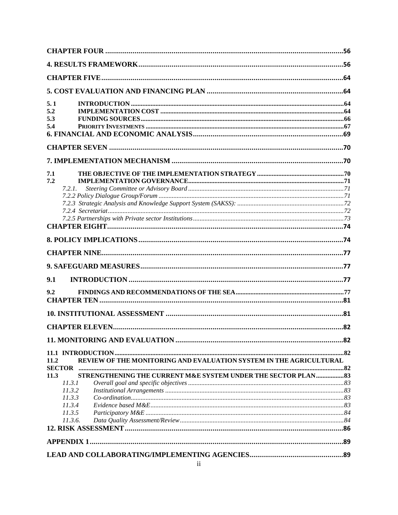| 5.1<br>5.2<br>5.3<br>5.4<br>7.1<br>7.2<br>7.2.1.<br>9.1<br>9.2<br>REVIEW OF THE MONITORING AND EVALUATION SYSTEM IN THE AGRICULTURAL<br>11.2<br><b>SECTOR</b><br>STRENGTHENING THE CURRENT M&E SYSTEM UNDER THE SECTOR PLAN 83<br>11.3<br>11.3.1<br>11.3.2<br>11.3.3<br>11.3.4<br>11.3.5<br>11.3.6. |  |  |
|-----------------------------------------------------------------------------------------------------------------------------------------------------------------------------------------------------------------------------------------------------------------------------------------------------|--|--|
|                                                                                                                                                                                                                                                                                                     |  |  |
|                                                                                                                                                                                                                                                                                                     |  |  |
|                                                                                                                                                                                                                                                                                                     |  |  |
|                                                                                                                                                                                                                                                                                                     |  |  |
|                                                                                                                                                                                                                                                                                                     |  |  |
|                                                                                                                                                                                                                                                                                                     |  |  |
|                                                                                                                                                                                                                                                                                                     |  |  |
|                                                                                                                                                                                                                                                                                                     |  |  |
|                                                                                                                                                                                                                                                                                                     |  |  |
|                                                                                                                                                                                                                                                                                                     |  |  |
|                                                                                                                                                                                                                                                                                                     |  |  |
|                                                                                                                                                                                                                                                                                                     |  |  |
|                                                                                                                                                                                                                                                                                                     |  |  |
|                                                                                                                                                                                                                                                                                                     |  |  |
|                                                                                                                                                                                                                                                                                                     |  |  |
|                                                                                                                                                                                                                                                                                                     |  |  |
|                                                                                                                                                                                                                                                                                                     |  |  |
|                                                                                                                                                                                                                                                                                                     |  |  |
|                                                                                                                                                                                                                                                                                                     |  |  |
|                                                                                                                                                                                                                                                                                                     |  |  |
|                                                                                                                                                                                                                                                                                                     |  |  |
|                                                                                                                                                                                                                                                                                                     |  |  |
|                                                                                                                                                                                                                                                                                                     |  |  |
|                                                                                                                                                                                                                                                                                                     |  |  |
|                                                                                                                                                                                                                                                                                                     |  |  |
|                                                                                                                                                                                                                                                                                                     |  |  |
|                                                                                                                                                                                                                                                                                                     |  |  |
|                                                                                                                                                                                                                                                                                                     |  |  |
|                                                                                                                                                                                                                                                                                                     |  |  |
|                                                                                                                                                                                                                                                                                                     |  |  |
|                                                                                                                                                                                                                                                                                                     |  |  |
|                                                                                                                                                                                                                                                                                                     |  |  |
|                                                                                                                                                                                                                                                                                                     |  |  |
|                                                                                                                                                                                                                                                                                                     |  |  |
|                                                                                                                                                                                                                                                                                                     |  |  |
|                                                                                                                                                                                                                                                                                                     |  |  |
|                                                                                                                                                                                                                                                                                                     |  |  |
|                                                                                                                                                                                                                                                                                                     |  |  |
|                                                                                                                                                                                                                                                                                                     |  |  |
|                                                                                                                                                                                                                                                                                                     |  |  |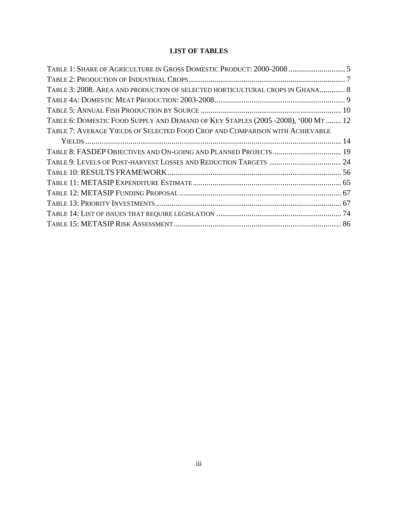# **LIST OF TABLES**

| TABLE 1: SHARE OF AGRICULTURE IN GROSS DOMESTIC PRODUCT: 2000-2008  5            |  |
|----------------------------------------------------------------------------------|--|
|                                                                                  |  |
| TABLE 3: 2008. AREA AND PRODUCTION OF SELECTED HORTICULTURAL CROPS IN GHANA 8    |  |
|                                                                                  |  |
|                                                                                  |  |
| TABLE 6: DOMESTIC FOOD SUPPLY AND DEMAND OF KEY STAPLES (2005 -2008), '000 MT 12 |  |
| TABLE 7: AVERAGE YIELDS OF SELECTED FOOD CROP AND COMPARISON WITH ACHIEVABLE     |  |
|                                                                                  |  |
| TABLE 8: FASDEP OBJECTIVES AND ON-GOING AND PLANNED PROJECTS  19                 |  |
|                                                                                  |  |
|                                                                                  |  |
|                                                                                  |  |
|                                                                                  |  |
|                                                                                  |  |
|                                                                                  |  |
|                                                                                  |  |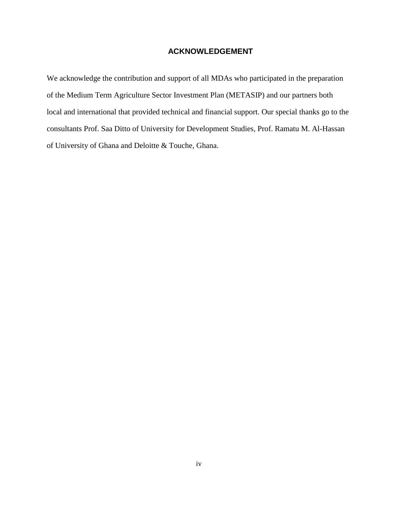# <span id="page-4-0"></span>**ACKNOWLEDGEMENT**

We acknowledge the contribution and support of all MDAs who participated in the preparation of the Medium Term Agriculture Sector Investment Plan (METASIP) and our partners both local and international that provided technical and financial support. Our special thanks go to the consultants Prof. Saa Ditto of University for Development Studies, Prof. Ramatu M. Al-Hassan of University of Ghana and Deloitte & Touche, Ghana.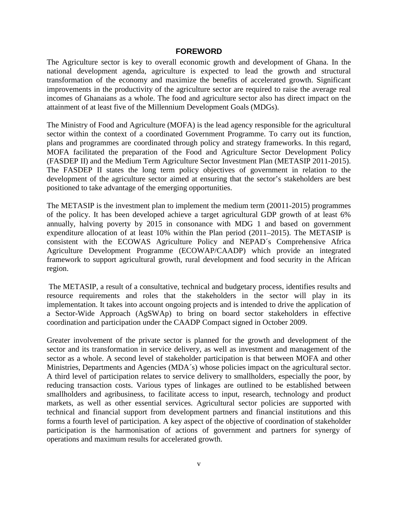#### **FOREWORD**

<span id="page-5-0"></span>The Agriculture sector is key to overall economic growth and development of Ghana. In the national development agenda, agriculture is expected to lead the growth and structural transformation of the economy and maximize the benefits of accelerated growth. Significant improvements in the productivity of the agriculture sector are required to raise the average real incomes of Ghanaians as a whole. The food and agriculture sector also has direct impact on the attainment of at least five of the Millennium Development Goals (MDGs).

The Ministry of Food and Agriculture (MOFA) is the lead agency responsible for the agricultural sector within the context of a coordinated Government Programme. To carry out its function, plans and programmes are coordinated through policy and strategy frameworks. In this regard, MOFA facilitated the preparation of the Food and Agriculture Sector Development Policy (FASDEP II) and the Medium Term Agriculture Sector Investment Plan (METASIP 2011-2015). The FASDEP II states the long term policy objectives of government in relation to the development of the agriculture sector aimed at ensuring that the sector's stakeholders are best positioned to take advantage of the emerging opportunities.

The METASIP is the investment plan to implement the medium term (20011-2015) programmes of the policy. It has been developed achieve a target agricultural GDP growth of at least 6% annually, halving poverty by 2015 in consonance with MDG 1 and based on government expenditure allocation of at least 10% within the Plan period (2011–2015). The METASIP is consistent with the ECOWAS Agriculture Policy and NEPAD´s Comprehensive Africa Agriculture Development Programme (ECOWAP/CAADP) which provide an integrated framework to support agricultural growth, rural development and food security in the African region.

The METASIP, a result of a consultative, technical and budgetary process, identifies results and resource requirements and roles that the stakeholders in the sector will play in its implementation. It takes into account ongoing projects and is intended to drive the application of a Sector-Wide Approach (AgSWAp) to bring on board sector stakeholders in effective coordination and participation under the CAADP Compact signed in October 2009.

Greater involvement of the private sector is planned for the growth and development of the sector and its transformation in service delivery, as well as investment and management of the sector as a whole. A second level of stakeholder participation is that between MOFA and other Ministries, Departments and Agencies (MDA's) whose policies impact on the agricultural sector. A third level of participation relates to service delivery to smallholders, especially the poor, by reducing transaction costs. Various types of linkages are outlined to be established between smallholders and agribusiness, to facilitate access to input, research, technology and product markets, as well as other essential services. Agricultural sector policies are supported with technical and financial support from development partners and financial institutions and this forms a fourth level of participation. A key aspect of the objective of coordination of stakeholder participation is the harmonisation of actions of government and partners for synergy of operations and maximum results for accelerated growth.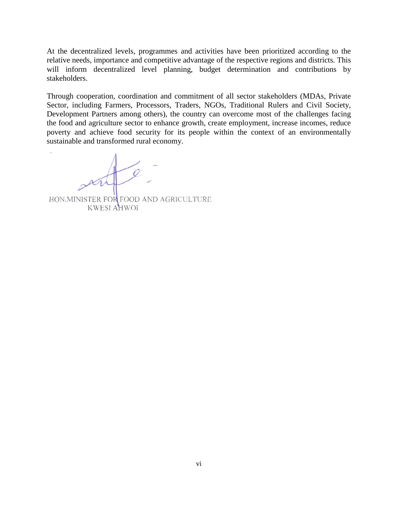At the decentralized levels, programmes and activities have been prioritized according to the relative needs, importance and competitive advantage of the respective regions and districts. This will inform decentralized level planning, budget determination and contributions by stakeholders.

Through cooperation, coordination and commitment of all sector stakeholders (MDAs, Private Sector, including Farmers, Processors, Traders, NGOs, Traditional Rulers and Civil Society, Development Partners among others), the country can overcome most of the challenges facing the food and agriculture sector to enhance growth, create employment, increase incomes, reduce poverty and achieve food security for its people within the context of an environmentally sustainable and transformed rural economy.

HON.MINISTER FOR FOOD AND AGRICULTURE KWESI AHWOI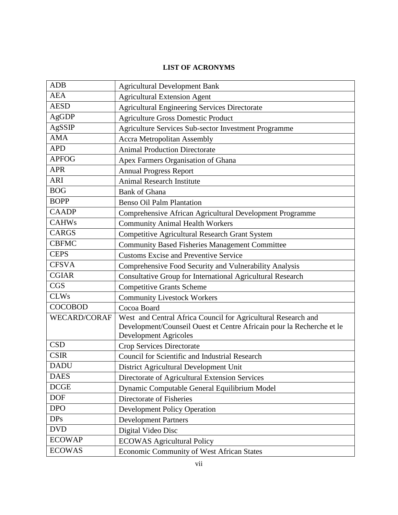# **LIST OF ACRONYMS**

| <b>ADB</b>          | <b>Agricultural Development Bank</b>                                                                                                                                   |  |  |  |  |  |
|---------------------|------------------------------------------------------------------------------------------------------------------------------------------------------------------------|--|--|--|--|--|
| <b>AEA</b>          | <b>Agricultural Extension Agent</b>                                                                                                                                    |  |  |  |  |  |
| <b>AESD</b>         | <b>Agricultural Engineering Services Directorate</b>                                                                                                                   |  |  |  |  |  |
| AgGDP               | <b>Agriculture Gross Domestic Product</b>                                                                                                                              |  |  |  |  |  |
| AgSSIP              | Agriculture Services Sub-sector Investment Programme                                                                                                                   |  |  |  |  |  |
| <b>AMA</b>          | <b>Accra Metropolitan Assembly</b>                                                                                                                                     |  |  |  |  |  |
| <b>APD</b>          | <b>Animal Production Directorate</b>                                                                                                                                   |  |  |  |  |  |
| <b>APFOG</b>        | Apex Farmers Organisation of Ghana                                                                                                                                     |  |  |  |  |  |
| <b>APR</b>          | <b>Annual Progress Report</b>                                                                                                                                          |  |  |  |  |  |
| <b>ARI</b>          | <b>Animal Research Institute</b>                                                                                                                                       |  |  |  |  |  |
| <b>BOG</b>          | <b>Bank of Ghana</b>                                                                                                                                                   |  |  |  |  |  |
| <b>BOPP</b>         | <b>Benso Oil Palm Plantation</b>                                                                                                                                       |  |  |  |  |  |
| <b>CAADP</b>        | Comprehensive African Agricultural Development Programme                                                                                                               |  |  |  |  |  |
| <b>CAHWs</b>        | <b>Community Animal Health Workers</b>                                                                                                                                 |  |  |  |  |  |
| <b>CARGS</b>        | Competitive Agricultural Research Grant System                                                                                                                         |  |  |  |  |  |
| <b>CBFMC</b>        | <b>Community Based Fisheries Management Committee</b>                                                                                                                  |  |  |  |  |  |
| <b>CEPS</b>         | <b>Customs Excise and Preventive Service</b>                                                                                                                           |  |  |  |  |  |
| <b>CFSVA</b>        | Comprehensive Food Security and Vulnerability Analysis                                                                                                                 |  |  |  |  |  |
| <b>CGIAR</b>        | Consultative Group for International Agricultural Research                                                                                                             |  |  |  |  |  |
| <b>CGS</b>          | <b>Competitive Grants Scheme</b>                                                                                                                                       |  |  |  |  |  |
| <b>CLWs</b>         | <b>Community Livestock Workers</b>                                                                                                                                     |  |  |  |  |  |
| <b>COCOBOD</b>      | Cocoa Board                                                                                                                                                            |  |  |  |  |  |
| <b>WECARD/CORAF</b> | West and Central Africa Council for Agricultural Research and<br>Development/Counseil Ouest et Centre Africain pour la Recherche et le<br><b>Development Agricoles</b> |  |  |  |  |  |
| <b>CSD</b>          | Crop Services Directorate                                                                                                                                              |  |  |  |  |  |
| <b>CSIR</b>         | <b>Council for Scientific and Industrial Research</b>                                                                                                                  |  |  |  |  |  |
| <b>DADU</b>         | District Agricultural Development Unit                                                                                                                                 |  |  |  |  |  |
| <b>DAES</b>         | Directorate of Agricultural Extension Services                                                                                                                         |  |  |  |  |  |
| DCGE                | Dynamic Computable General Equilibrium Model                                                                                                                           |  |  |  |  |  |
| <b>DOF</b>          | Directorate of Fisheries                                                                                                                                               |  |  |  |  |  |
| <b>DPO</b>          | <b>Development Policy Operation</b>                                                                                                                                    |  |  |  |  |  |
| <b>DPs</b>          | <b>Development Partners</b>                                                                                                                                            |  |  |  |  |  |
| <b>DVD</b>          | Digital Video Disc                                                                                                                                                     |  |  |  |  |  |
| <b>ECOWAP</b>       | <b>ECOWAS Agricultural Policy</b>                                                                                                                                      |  |  |  |  |  |
| <b>ECOWAS</b>       | <b>Economic Community of West African States</b>                                                                                                                       |  |  |  |  |  |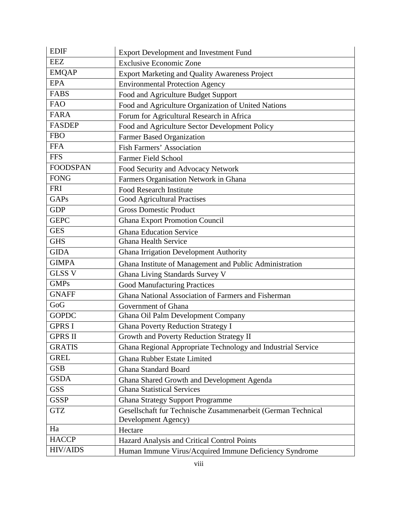| <b>EDIF</b>     | <b>Export Development and Investment Fund</b>                |
|-----------------|--------------------------------------------------------------|
| <b>EEZ</b>      | <b>Exclusive Economic Zone</b>                               |
| <b>EMQAP</b>    | <b>Export Marketing and Quality Awareness Project</b>        |
| <b>EPA</b>      | <b>Environmental Protection Agency</b>                       |
| <b>FABS</b>     | Food and Agriculture Budget Support                          |
| <b>FAO</b>      | Food and Agriculture Organization of United Nations          |
| <b>FARA</b>     | Forum for Agricultural Research in Africa                    |
| <b>FASDEP</b>   | Food and Agriculture Sector Development Policy               |
| <b>FBO</b>      | Farmer Based Organization                                    |
| <b>FFA</b>      | <b>Fish Farmers' Association</b>                             |
| <b>FFS</b>      | Farmer Field School                                          |
| <b>FOODSPAN</b> | Food Security and Advocacy Network                           |
| <b>FONG</b>     | Farmers Organisation Network in Ghana                        |
| <b>FRI</b>      | <b>Food Research Institute</b>                               |
| GAPs            | Good Agricultural Practises                                  |
| <b>GDP</b>      | <b>Gross Domestic Product</b>                                |
| <b>GEPC</b>     | <b>Ghana Export Promotion Council</b>                        |
| <b>GES</b>      | <b>Ghana Education Service</b>                               |
| <b>GHS</b>      | <b>Ghana Health Service</b>                                  |
| <b>GIDA</b>     | <b>Ghana Irrigation Development Authority</b>                |
| <b>GIMPA</b>    | Ghana Institute of Management and Public Administration      |
| <b>GLSS V</b>   | Ghana Living Standards Survey V                              |
| <b>GMPs</b>     | <b>Good Manufacturing Practices</b>                          |
| <b>GNAFF</b>    | Ghana National Association of Farmers and Fisherman          |
| GoG             | Government of Ghana                                          |
| <b>GOPDC</b>    | Ghana Oil Palm Development Company                           |
| <b>GPRS I</b>   | <b>Ghana Poverty Reduction Strategy I</b>                    |
| <b>GPRS II</b>  | Growth and Poverty Reduction Strategy II                     |
| <b>GRATIS</b>   | Ghana Regional Appropriate Technology and Industrial Service |
| <b>GREL</b>     | <b>Ghana Rubber Estate Limited</b>                           |
| <b>GSB</b>      | <b>Ghana Standard Board</b>                                  |
| <b>GSDA</b>     | Ghana Shared Growth and Development Agenda                   |
| <b>GSS</b>      | <b>Ghana Statistical Services</b>                            |
| <b>GSSP</b>     | <b>Ghana Strategy Support Programme</b>                      |
| <b>GTZ</b>      | Gesellschaft fur Technische Zusammenarbeit (German Technical |
|                 | Development Agency)                                          |
| Ha              | Hectare                                                      |
| <b>HACCP</b>    | Hazard Analysis and Critical Control Points                  |
| <b>HIV/AIDS</b> | Human Immune Virus/Acquired Immune Deficiency Syndrome       |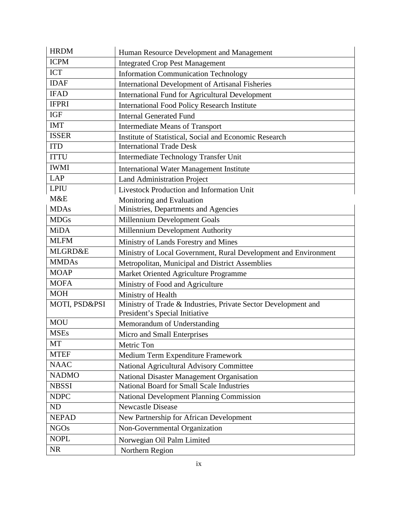| <b>HRDM</b>        | Human Resource Development and Management                                                        |
|--------------------|--------------------------------------------------------------------------------------------------|
| <b>ICPM</b>        | <b>Integrated Crop Pest Management</b>                                                           |
| <b>ICT</b>         | <b>Information Communication Technology</b>                                                      |
| <b>IDAF</b>        | <b>International Development of Artisanal Fisheries</b>                                          |
| <b>IFAD</b>        | <b>International Fund for Agricultural Development</b>                                           |
| <b>IFPRI</b>       | <b>International Food Policy Research Institute</b>                                              |
| <b>IGF</b>         | <b>Internal Generated Fund</b>                                                                   |
| <b>IMT</b>         | <b>Intermediate Means of Transport</b>                                                           |
| <b>ISSER</b>       | Institute of Statistical, Social and Economic Research                                           |
| <b>ITD</b>         | <b>International Trade Desk</b>                                                                  |
| <b>ITTU</b>        | Intermediate Technology Transfer Unit                                                            |
| <b>IWMI</b>        | <b>International Water Management Institute</b>                                                  |
| <b>LAP</b>         | <b>Land Administration Project</b>                                                               |
| <b>LPIU</b>        | Livestock Production and Information Unit                                                        |
| M&E                | Monitoring and Evaluation                                                                        |
| <b>MDAs</b>        | Ministries, Departments and Agencies                                                             |
| <b>MDGs</b>        | Millennium Development Goals                                                                     |
| <b>MiDA</b>        | Millennium Development Authority                                                                 |
| <b>MLFM</b>        | Ministry of Lands Forestry and Mines                                                             |
| <b>MLGRD&amp;E</b> | Ministry of Local Government, Rural Development and Environment                                  |
| <b>MMDAs</b>       | Metropolitan, Municipal and District Assemblies                                                  |
| <b>MOAP</b>        | Market Oriented Agriculture Programme                                                            |
| <b>MOFA</b>        | Ministry of Food and Agriculture                                                                 |
| <b>MOH</b>         | Ministry of Health                                                                               |
| MOTI, PSD&PSI      | Ministry of Trade & Industries, Private Sector Development and<br>President's Special Initiative |
| <b>MOU</b>         | Memorandum of Understanding                                                                      |
| <b>MSEs</b>        | Micro and Small Enterprises                                                                      |
| <b>MT</b>          | Metric Ton                                                                                       |
| <b>MTEF</b>        | Medium Term Expenditure Framework                                                                |
| <b>NAAC</b>        | National Agricultural Advisory Committee                                                         |
| <b>NADMO</b>       | National Disaster Management Organisation                                                        |
| <b>NBSSI</b>       | National Board for Small Scale Industries                                                        |
| <b>NDPC</b>        | National Development Planning Commission                                                         |
| <b>ND</b>          | Newcastle Disease                                                                                |
| <b>NEPAD</b>       | New Partnership for African Development                                                          |
| NGOs               | Non-Governmental Organization                                                                    |
| <b>NOPL</b>        | Norwegian Oil Palm Limited                                                                       |
| <b>NR</b>          | Northern Region                                                                                  |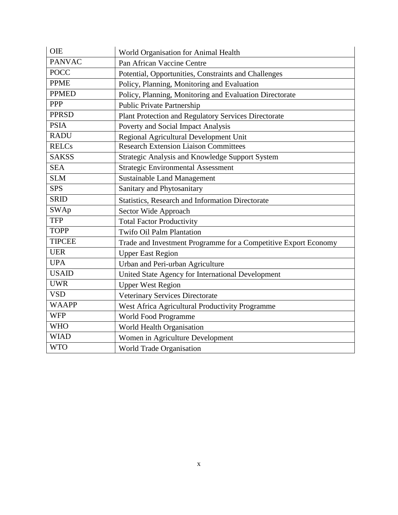| <b>OIE</b>    | World Organisation for Animal Health                            |
|---------------|-----------------------------------------------------------------|
| <b>PANVAC</b> | Pan African Vaccine Centre                                      |
| <b>POCC</b>   | Potential, Opportunities, Constraints and Challenges            |
| <b>PPME</b>   | Policy, Planning, Monitoring and Evaluation                     |
| <b>PPMED</b>  | Policy, Planning, Monitoring and Evaluation Directorate         |
| PPP           | <b>Public Private Partnership</b>                               |
| <b>PPRSD</b>  | Plant Protection and Regulatory Services Directorate            |
| <b>PSIA</b>   | Poverty and Social Impact Analysis                              |
| <b>RADU</b>   | Regional Agricultural Development Unit                          |
| <b>RELCs</b>  | <b>Research Extension Liaison Committees</b>                    |
| <b>SAKSS</b>  | Strategic Analysis and Knowledge Support System                 |
| <b>SEA</b>    | <b>Strategic Environmental Assessment</b>                       |
| <b>SLM</b>    | Sustainable Land Management                                     |
| <b>SPS</b>    | Sanitary and Phytosanitary                                      |
| <b>SRID</b>   | Statistics, Research and Information Directorate                |
| <b>SWAp</b>   | Sector Wide Approach                                            |
| <b>TFP</b>    | <b>Total Factor Productivity</b>                                |
| <b>TOPP</b>   | <b>Twifo Oil Palm Plantation</b>                                |
| <b>TIPCEE</b> | Trade and Investment Programme for a Competitive Export Economy |
| <b>UER</b>    | <b>Upper East Region</b>                                        |
| <b>UPA</b>    | Urban and Peri-urban Agriculture                                |
| <b>USAID</b>  | United State Agency for International Development               |
| <b>UWR</b>    | <b>Upper West Region</b>                                        |
| <b>VSD</b>    | Veterinary Services Directorate                                 |
| <b>WAAPP</b>  | West Africa Agricultural Productivity Programme                 |
| <b>WFP</b>    | World Food Programme                                            |
| <b>WHO</b>    | World Health Organisation                                       |
| <b>WIAD</b>   | Women in Agriculture Development                                |
| <b>WTO</b>    | <b>World Trade Organisation</b>                                 |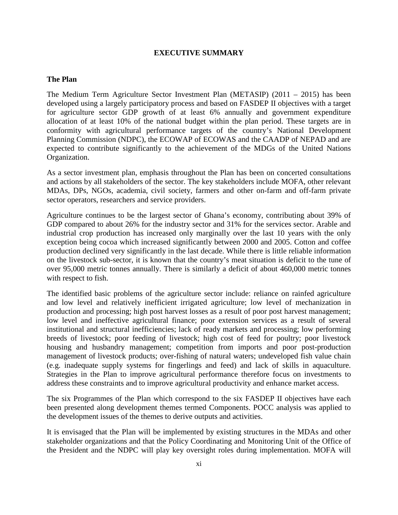#### **EXECUTIVE SUMMARY**

#### <span id="page-11-0"></span>**The Plan**

The Medium Term Agriculture Sector Investment Plan (METASIP) (2011 – 2015) has been developed using a largely participatory process and based on FASDEP II objectives with a target for agriculture sector GDP growth of at least 6% annually and government expenditure allocation of at least 10% of the national budget within the plan period. These targets are in conformity with agricultural performance targets of the country's National Development Planning Commission (NDPC), the ECOWAP of ECOWAS and the CAADP of NEPAD and are expected to contribute significantly to the achievement of the MDGs of the United Nations Organization.

As a sector investment plan, emphasis throughout the Plan has been on concerted consultations and actions by all stakeholders of the sector. The key stakeholders include MOFA, other relevant MDAs, DPs, NGOs, academia, civil society, farmers and other on-farm and off-farm private sector operators, researchers and service providers.

Agriculture continues to be the largest sector of Ghana's economy, contributing about 39% of GDP compared to about 26% for the industry sector and 31% for the services sector. Arable and industrial crop production has increased only marginally over the last 10 years with the only exception being cocoa which increased significantly between 2000 and 2005. Cotton and coffee production declined very significantly in the last decade. While there is little reliable information on the livestock sub-sector, it is known that the country's meat situation is deficit to the tune of over 95,000 metric tonnes annually. There is similarly a deficit of about 460,000 metric tonnes with respect to fish.

The identified basic problems of the agriculture sector include: reliance on rainfed agriculture and low level and relatively inefficient irrigated agriculture; low level of mechanization in production and processing; high post harvest losses as a result of poor post harvest management; low level and ineffective agricultural finance; poor extension services as a result of several institutional and structural inefficiencies; lack of ready markets and processing; low performing breeds of livestock; poor feeding of livestock; high cost of feed for poultry; poor livestock housing and husbandry management; competition from imports and poor post-production management of livestock products; over-fishing of natural waters; undeveloped fish value chain (e.g. inadequate supply systems for fingerlings and feed) and lack of skills in aquaculture. Strategies in the Plan to improve agricultural performance therefore focus on investments to address these constraints and to improve agricultural productivity and enhance market access.

The six Programmes of the Plan which correspond to the six FASDEP II objectives have each been presented along development themes termed Components. POCC analysis was applied to the development issues of the themes to derive outputs and activities.

It is envisaged that the Plan will be implemented by existing structures in the MDAs and other stakeholder organizations and that the Policy Coordinating and Monitoring Unit of the Office of the President and the NDPC will play key oversight roles during implementation. MOFA will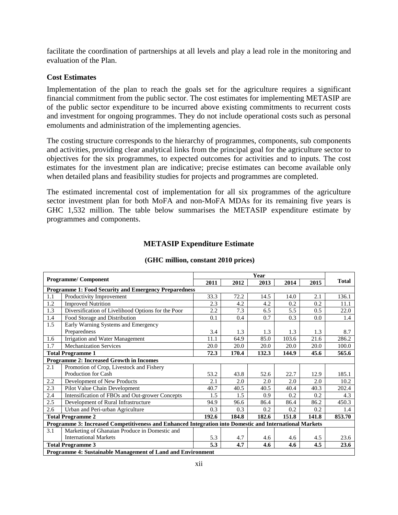facilitate the coordination of partnerships at all levels and play a lead role in the monitoring and evaluation of the Plan.

#### **Cost Estimates**

Implementation of the plan to reach the goals set for the agriculture requires a significant financial commitment from the public sector. The cost estimates for implementing METASIP are of the public sector expenditure to be incurred above existing commitments to recurrent costs and investment for ongoing programmes. They do not include operational costs such as personal emoluments and administration of the implementing agencies.

The costing structure corresponds to the hierarchy of programmes, components, sub components and activities, providing clear analytical links from the principal goal for the agriculture sector to objectives for the six programmes, to expected outcomes for activities and to inputs. The cost estimates for the investment plan are indicative; precise estimates can become available only when detailed plans and feasibility studies for projects and programmes are completed.

The estimated incremental cost of implementation for all six programmes of the agriculture sector investment plan for both MoFA and non-MoFA MDAs for its remaining five years is GHC 1,532 million. The table below summarises the METASIP expenditure estimate by programmes and components.

|                          |                                                                                                         | Year  |       |       |       |       |              |
|--------------------------|---------------------------------------------------------------------------------------------------------|-------|-------|-------|-------|-------|--------------|
|                          | <b>Programme/Component</b>                                                                              | 2011  | 2012  | 2013  | 2014  | 2015  | <b>Total</b> |
|                          | <b>Programme 1: Food Security and Emergency Preparedness</b>                                            |       |       |       |       |       |              |
| 1.1                      | Productivity Improvement                                                                                | 33.3  | 72.2  | 14.5  | 14.0  | 2.1   | 136.1        |
| 1.2                      | <b>Improved Nutrition</b>                                                                               | 2.3   | 4.2   | 4.2   | 0.2   | 0.2   | 11.1         |
| 1.3                      | Diversification of Livelihood Options for the Poor                                                      | 2.2   | 7.3   | 6.5   | 5.5   | 0.5   | 22.0         |
| 1.4                      | Food Storage and Distribution                                                                           | 0.1   | 0.4   | 0.7   | 0.3   | 0.0   | 1.4          |
| 1.5                      | Early Warning Systems and Emergency                                                                     |       |       |       |       |       |              |
|                          | Preparedness                                                                                            | 3.4   | 1.3   | 1.3   | 1.3   | 1.3   | 8.7          |
| 1.6                      | Irrigation and Water Management                                                                         | 11.1  | 64.9  | 85.0  | 103.6 | 21.6  | 286.2        |
| 1.7                      | <b>Mechanization Services</b>                                                                           | 20.0  | 20.0  | 20.0  | 20.0  | 20.0  | 100.0        |
| <b>Total Programme 1</b> |                                                                                                         | 72.3  | 170.4 | 132.3 | 144.9 | 45.6  | 565.6        |
|                          | <b>Programme 2: Increased Growth in Incomes</b>                                                         |       |       |       |       |       |              |
| 2.1                      | Promotion of Crop, Livestock and Fishery                                                                |       |       |       |       |       |              |
|                          | <b>Production for Cash</b>                                                                              | 53.2  | 43.8  | 52.6  | 22.7  | 12.9  | 185.1        |
| 2.2                      | Development of New Products                                                                             | 2.1   | 2.0   | 2.0   | 2.0   | 2.0   | 10.2         |
| 2.3                      | Pilot Value Chain Development                                                                           | 40.7  | 40.5  | 40.5  | 40.4  | 40.3  | 202.4        |
| 2.4                      | Intensification of FBOs and Out-grower Concepts                                                         | 1.5   | 1.5   | 0.9   | 0.2   | 0.2   | 4.3          |
| 2.5                      | Development of Rural Infrastructure                                                                     | 94.9  | 96.6  | 86.4  | 86.4  | 86.2  | 450.3        |
| 2.6                      | Urban and Peri-urban Agriculture                                                                        | 0.3   | 0.3   | 0.2   | 0.2   | 0.2   | 1.4          |
|                          | <b>Total Programme 2</b>                                                                                | 192.6 | 184.8 | 182.6 | 151.8 | 141.8 | 853.70       |
|                          | Programme 3: Increased Competitiveness and Enhanced Integration into Domestic and International Markets |       |       |       |       |       |              |
| 3.1                      | Marketing of Ghanaian Produce in Domestic and                                                           |       |       |       |       |       |              |
|                          | <b>International Markets</b>                                                                            | 5.3   | 4.7   | 4.6   | 4.6   | 4.5   | 23.6         |
|                          | 5.3<br>4.7<br>4.5<br><b>Total Programme 3</b><br>4.6<br>4.6<br>23.6                                     |       |       |       |       |       |              |
|                          | Programme 4: Sustainable Management of Land and Environment                                             |       |       |       |       |       |              |

## **METASIP Expenditure Estimate**

**(GHC million, constant 2010 prices)**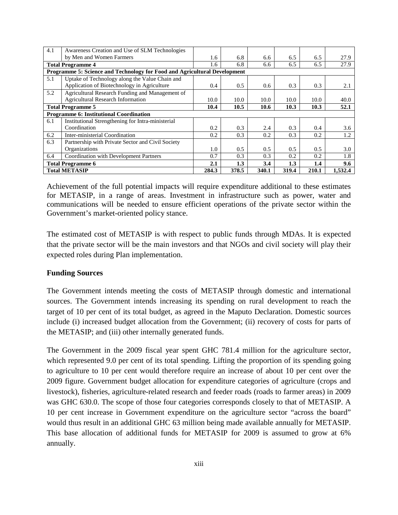| 4.1 | Awareness Creation and Use of SLM Technologies                            |       |       |       |       |       |         |
|-----|---------------------------------------------------------------------------|-------|-------|-------|-------|-------|---------|
|     | by Men and Women Farmers                                                  | 1.6   | 6.8   | 6.6   | 6.5   | 6.5   | 27.9    |
|     | <b>Total Programme 4</b>                                                  | 1.6   | 6.8   | 6.6   | 6.5   | 6.5   | 27.9    |
|     | Programme 5: Science and Technology for Food and Agricultural Development |       |       |       |       |       |         |
| 5.1 | Uptake of Technology along the Value Chain and                            |       |       |       |       |       |         |
|     | Application of Biotechnology in Agriculture                               | 0.4   | 0.5   | 0.6   | 0.3   | 0.3   | 2.1     |
| 5.2 | Agricultural Research Funding and Management of                           |       |       |       |       |       |         |
|     | <b>Agricultural Research Information</b>                                  | 10.0  | 10.0  | 10.0  | 10.0  | 10.0  | 40.0    |
|     | <b>Total Programme 5</b>                                                  | 10.4  | 10.5  | 10.6  | 10.3  | 10.3  | 52.1    |
|     | Programme 6: Institutional Coordination                                   |       |       |       |       |       |         |
| 6.1 | Institutional Strengthening for Intra-ministerial                         |       |       |       |       |       |         |
|     | Coordination                                                              | 0.2   | 0.3   | 2.4   | 0.3   | 0.4   | 3.6     |
| 6.2 | Inter-ministerial Coordination                                            | 0.2   | 0.3   | 0.2   | 0.3   | 0.2   | 1.2     |
| 6.3 | Partnership with Private Sector and Civil Society                         |       |       |       |       |       |         |
|     | Organizations                                                             | 1.0   | 0.5   | 0.5   | 0.5   | 0.5   | 3.0     |
| 6.4 | <b>Coordination with Development Partners</b>                             | 0.7   | 0.3   | 0.3   | 0.2   | 0.2   | 1.8     |
|     | <b>Total Programme 6</b>                                                  | 2.1   | 1.3   | 3.4   | 1.3   | 1.4   | 9.6     |
|     | <b>Total METASIP</b>                                                      | 284.3 | 378.5 | 340.1 | 319.4 | 210.1 | 1,532.4 |

Achievement of the full potential impacts will require expenditure additional to these estimates for METASIP, in a range of areas. Investment in infrastructure such as power, water and communications will be needed to ensure efficient operations of the private sector within the Government's market-oriented policy stance.

The estimated cost of METASIP is with respect to public funds through MDAs. It is expected that the private sector will be the main investors and that NGOs and civil society will play their expected roles during Plan implementation.

## **Funding Sources**

The Government intends meeting the costs of METASIP through domestic and international sources. The Government intends increasing its spending on rural development to reach the target of 10 per cent of its total budget, as agreed in the Maputo Declaration. Domestic sources include (i) increased budget allocation from the Government; (ii) recovery of costs for parts of the METASIP; and (iii) other internally generated funds.

The Government in the 2009 fiscal year spent GHC 781.4 million for the agriculture sector, which represented 9.0 per cent of its total spending. Lifting the proportion of its spending going to agriculture to 10 per cent would therefore require an increase of about 10 per cent over the 2009 figure. Government budget allocation for expenditure categories of agriculture (crops and livestock), fisheries, agriculture-related research and feeder roads (roads to farmer areas) in 2009 was GHC 630.0. The scope of those four categories corresponds closely to that of METASIP. A 10 per cent increase in Government expenditure on the agriculture sector "across the board" would thus result in an additional GHC 63 million being made available annually for METASIP. This base allocation of additional funds for METASIP for 2009 is assumed to grow at 6% annually.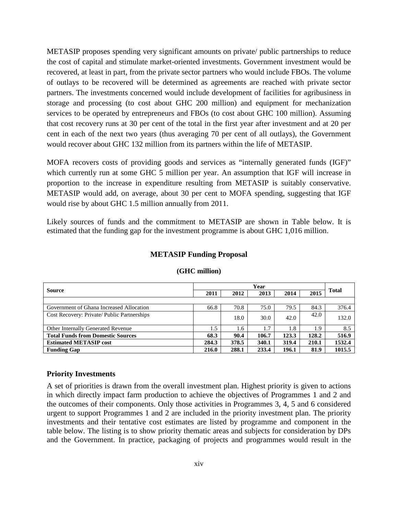METASIP proposes spending very significant amounts on private/ public partnerships to reduce the cost of capital and stimulate market-oriented investments. Government investment would be recovered, at least in part, from the private sector partners who would include FBOs. The volume of outlays to be recovered will be determined as agreements are reached with private sector partners. The investments concerned would include development of facilities for agribusiness in storage and processing (to cost about GHC 200 million) and equipment for mechanization services to be operated by entrepreneurs and FBOs (to cost about GHC 100 million). Assuming that cost recovery runs at 30 per cent of the total in the first year after investment and at 20 per cent in each of the next two years (thus averaging 70 per cent of all outlays), the Government would recover about GHC 132 million from its partners within the life of METASIP.

MOFA recovers costs of providing goods and services as "internally generated funds (IGF)" which currently run at some GHC 5 million per year. An assumption that IGF will increase in proportion to the increase in expenditure resulting from METASIP is suitably conservative. METASIP would add, on average, about 30 per cent to MOFA spending, suggesting that IGF would rise by about GHC 1.5 million annually from 2011.

Likely sources of funds and the commitment to METASIP are shown in Table below. It is estimated that the funding gap for the investment programme is about GHC 1,016 million.

|                                            | Year  |       |       |       |       |              |
|--------------------------------------------|-------|-------|-------|-------|-------|--------------|
| <b>Source</b>                              |       | 2012  | 2013  | 2014  | 2015  | <b>Total</b> |
|                                            |       |       |       |       |       |              |
| Government of Ghana Increased Allocation   | 66.8  | 70.8  | 75.0  | 79.5  | 84.3  | 376.4        |
| Cost Recovery: Private/Public Partnerships |       | 18.0  | 30.0  | 42.0  | 42.0  | 132.0        |
| Other Internally Generated Revenue         | 1.5   | 1.6   | 1.7   | 1.8   | 1.9   | 8.5          |
| <b>Total Funds from Domestic Sources</b>   | 68.3  | 90.4  | 106.7 | 123.3 | 128.2 | 516.9        |
| <b>Estimated METASIP cost</b>              | 284.3 | 378.5 | 340.1 | 319.4 | 210.1 | 1532.4       |
| <b>Funding Gap</b>                         | 216.0 | 288.1 | 233.4 | 196.1 | 81.9  | 1015.5       |

#### **METASIP Funding Proposal**

**(GHC million)**

#### **Priority Investments**

A set of priorities is drawn from the overall investment plan. Highest priority is given to actions in which directly impact farm production to achieve the objectives of Programmes 1 and 2 and the outcomes of their components. Only those activities in Programmes 3, 4, 5 and 6 considered urgent to support Programmes 1 and 2 are included in the priority investment plan. The priority investments and their tentative cost estimates are listed by programme and component in the table below. The listing is to show priority thematic areas and subjects for consideration by DPs and the Government. In practice, packaging of projects and programmes would result in the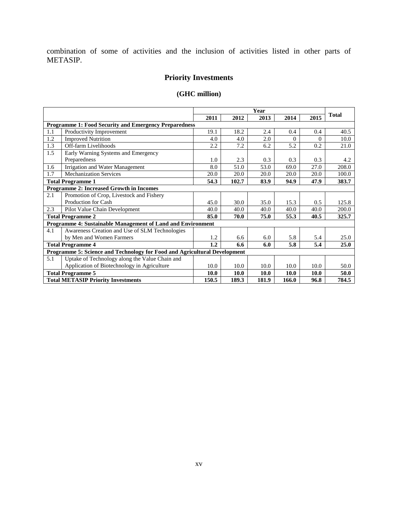combination of some of activities and the inclusion of activities listed in other parts of METASIP.

# **Priority Investments**

# **(GHC million)**

|                                                                           |                                                                                       | Year        |       |             |          |          |              |
|---------------------------------------------------------------------------|---------------------------------------------------------------------------------------|-------------|-------|-------------|----------|----------|--------------|
|                                                                           |                                                                                       | 2011        | 2012  | 2013        | 2014     | 2015     | <b>Total</b> |
|                                                                           | <b>Programme 1: Food Security and Emergency Preparedness</b>                          |             |       |             |          |          |              |
| 1.1                                                                       | Productivity Improvement                                                              | 19.1        | 18.2  | 2.4         | 0.4      | 0.4      | 40.5         |
| 1.2                                                                       | <b>Improved Nutrition</b>                                                             | 4.0         | 4.0   | 2.0         | $\Omega$ | $\Omega$ | 10.0         |
| 1.3                                                                       | Off-farm Livelihoods                                                                  | 2.2         | 7.2   | 6.2         | 5.2      | 0.2      | 21.0         |
| 1.5                                                                       | Early Warning Systems and Emergency                                                   |             |       |             |          |          |              |
|                                                                           | Preparedness                                                                          | 1.0         | 2.3   | 0.3         | 0.3      | 0.3      | 4.2          |
| 1.6                                                                       | Irrigation and Water Management                                                       | 8.0         | 51.0  | 53.0        | 69.0     | 27.0     | 208.0        |
| 1.7                                                                       | <b>Mechanization Services</b>                                                         | 20.0        | 20.0  | 20.0        | 20.0     | 20.0     | 100.0        |
| <b>Total Programme 1</b>                                                  |                                                                                       | 54.3        | 102.7 | 83.9        | 94.9     | 47.9     | 383.7        |
| <b>Programme 2: Increased Growth in Incomes</b>                           |                                                                                       |             |       |             |          |          |              |
| 2.1                                                                       | Promotion of Crop, Livestock and Fishery                                              |             |       |             |          |          |              |
|                                                                           | Production for Cash                                                                   | 45.0        | 30.0  | 35.0        | 15.3     | 0.5      | 125.8        |
| 2.3                                                                       | Pilot Value Chain Development                                                         | 40.0        | 40.0  | 40.0        | 40.0     | 40.0     | 200.0        |
|                                                                           | <b>Total Programme 2</b>                                                              | 85.0        | 70.0  | 75.0        | 55.3     | 40.5     | 325.7        |
|                                                                           | Programme 4: Sustainable Management of Land and Environment                           |             |       |             |          |          |              |
| 4.1                                                                       | Awareness Creation and Use of SLM Technologies                                        |             |       |             |          |          |              |
|                                                                           | by Men and Women Farmers                                                              | 1.2         | 6.6   | 6.0         | 5.8      | 5.4      | 25.0         |
|                                                                           | <b>Total Programme 4</b>                                                              | 1.2         | 6.6   | 6.0         | 5.8      | 5.4      | 25.0         |
| Programme 5: Science and Technology for Food and Agricultural Development |                                                                                       |             |       |             |          |          |              |
| 5.1                                                                       | Uptake of Technology along the Value Chain and                                        |             |       |             |          |          |              |
|                                                                           | Application of Biotechnology in Agriculture                                           | 10.0        | 10.0  | 10.0        | 10.0     | 10.0     | 50.0         |
|                                                                           | <b>Total Programme 5</b>                                                              | <b>10.0</b> | 10.0  | <b>10.0</b> | 10.0     | 10.0     | 50.0         |
|                                                                           | <b>Total METASIP Priority Investments</b><br>150.5<br>189.3<br>181.9<br>166.0<br>96.8 |             |       |             | 784.5    |          |              |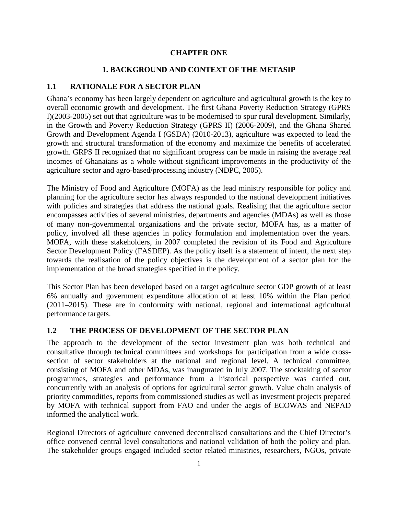#### **CHAPTER ONE**

## **1. BACKGROUND AND CONTEXT OF THE METASIP**

#### <span id="page-16-2"></span><span id="page-16-1"></span><span id="page-16-0"></span>**1.1 RATIONALE FOR A SECTOR PLAN**

Ghana's economy has been largely dependent on agriculture and agricultural growth is the key to overall economic growth and development. The first Ghana Poverty Reduction Strategy (GPRS I)(2003-2005) set out that agriculture was to be modernised to spur rural development. Similarly, in the Growth and Poverty Reduction Strategy (GPRS II) (2006-2009), and the Ghana Shared Growth and Development Agenda I (GSDA) (2010-2013), agriculture was expected to lead the growth and structural transformation of the economy and maximize the benefits of accelerated growth. GRPS II recognized that no significant progress can be made in raising the average real incomes of Ghanaians as a whole without significant improvements in the productivity of the agriculture sector and agro-based/processing industry (NDPC, 2005).

The Ministry of Food and Agriculture (MOFA) as the lead ministry responsible for policy and planning for the agriculture sector has always responded to the national development initiatives with policies and strategies that address the national goals. Realising that the agriculture sector encompasses activities of several ministries, departments and agencies (MDAs) as well as those of many non-governmental organizations and the private sector, MOFA has, as a matter of policy, involved all these agencies in policy formulation and implementation over the years. MOFA, with these stakeholders, in 2007 completed the revision of its Food and Agriculture Sector Development Policy (FASDEP). As the policy itself is a statement of intent, the next step towards the realisation of the policy objectives is the development of a sector plan for the implementation of the broad strategies specified in the policy.

This Sector Plan has been developed based on a target agriculture sector GDP growth of at least 6% annually and government expenditure allocation of at least 10% within the Plan period (2011–2015). These are in conformity with national, regional and international agricultural performance targets.

## <span id="page-16-3"></span>**1.2 THE PROCESS OF DEVELOPMENT OF THE SECTOR PLAN**

The approach to the development of the sector investment plan was both technical and consultative through technical committees and workshops for participation from a wide crosssection of sector stakeholders at the national and regional level. A technical committee, consisting of MOFA and other MDAs, was inaugurated in July 2007. The stocktaking of sector programmes, strategies and performance from a historical perspective was carried out, concurrently with an analysis of options for agricultural sector growth. Value chain analysis of priority commodities, reports from commissioned studies as well as investment projects prepared by MOFA with technical support from FAO and under the aegis of ECOWAS and NEPAD informed the analytical work.

Regional Directors of agriculture convened decentralised consultations and the Chief Director's office convened central level consultations and national validation of both the policy and plan. The stakeholder groups engaged included sector related ministries, researchers, NGOs, private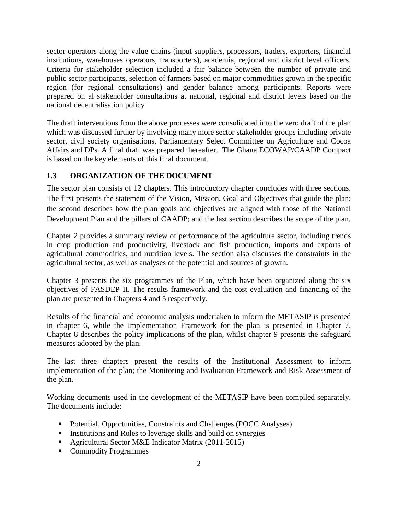sector operators along the value chains (input suppliers, processors, traders, exporters, financial institutions, warehouses operators, transporters), academia, regional and district level officers. Criteria for stakeholder selection included a fair balance between the number of private and public sector participants, selection of farmers based on major commodities grown in the specific region (for regional consultations) and gender balance among participants. Reports were prepared on al stakeholder consultations at national, regional and district levels based on the national decentralisation policy

The draft interventions from the above processes were consolidated into the zero draft of the plan which was discussed further by involving many more sector stakeholder groups including private sector, civil society organisations, Parliamentary Select Committee on Agriculture and Cocoa Affairs and DPs. A final draft was prepared thereafter. The Ghana ECOWAP/CAADP Compact is based on the key elements of this final document.

# <span id="page-17-0"></span>**1.3 ORGANIZATION OF THE DOCUMENT**

The sector plan consists of 12 chapters. This introductory chapter concludes with three sections. The first presents the statement of the Vision, Mission, Goal and Objectives that guide the plan; the second describes how the plan goals and objectives are aligned with those of the National Development Plan and the pillars of CAADP; and the last section describes the scope of the plan.

Chapter 2 provides a summary review of performance of the agriculture sector, including trends in crop production and productivity, livestock and fish production, imports and exports of agricultural commodities, and nutrition levels. The section also discusses the constraints in the agricultural sector, as well as analyses of the potential and sources of growth.

Chapter 3 presents the six programmes of the Plan, which have been organized along the six objectives of FASDEP II. The results framework and the cost evaluation and financing of the plan are presented in Chapters 4 and 5 respectively.

Results of the financial and economic analysis undertaken to inform the METASIP is presented in chapter 6, while the Implementation Framework for the plan is presented in Chapter 7. Chapter 8 describes the policy implications of the plan, whilst chapter 9 presents the safeguard measures adopted by the plan.

The last three chapters present the results of the Institutional Assessment to inform implementation of the plan; the Monitoring and Evaluation Framework and Risk Assessment of the plan.

Working documents used in the development of the METASIP have been compiled separately. The documents include:

- Potential, Opportunities, Constraints and Challenges (POCC Analyses)
- Institutions and Roles to leverage skills and build on synergies
- Agricultural Sector M&E Indicator Matrix (2011-2015)
- Commodity Programmes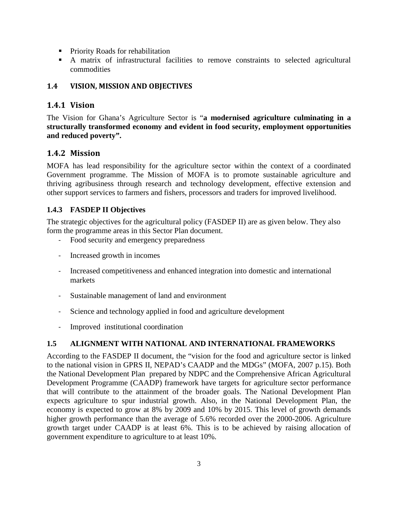- **Priority Roads for rehabilitation**
- A matrix of infrastructural facilities to remove constraints to selected agricultural commodities

# <span id="page-18-0"></span>**1.4 VISION, MISSION AND OBJECTIVES**

# <span id="page-18-1"></span>**1.4.1 Vision**

The Vision for Ghana's Agriculture Sector is "**a modernised agriculture culminating in a structurally transformed economy and evident in food security, employment opportunities and reduced poverty".**

# <span id="page-18-2"></span>**1.4.2 Mission**

MOFA has lead responsibility for the agriculture sector within the context of a coordinated Government programme. The Mission of MOFA is to promote sustainable agriculture and thriving agribusiness through research and technology development, effective extension and other support services to farmers and fishers, processors and traders for improved livelihood.

# <span id="page-18-3"></span>**1.4.3 FASDEP II Objectives**

The strategic objectives for the agricultural policy (FASDEP II) are as given below. They also form the programme areas in this Sector Plan document.

- Food security and emergency preparedness
- Increased growth in incomes
- Increased competitiveness and enhanced integration into domestic and international markets
- Sustainable management of land and environment
- Science and technology applied in food and agriculture development
- Improved institutional coordination

# <span id="page-18-4"></span>**1.5 ALIGNMENT WITH NATIONAL AND INTERNATIONAL FRAMEWORKS**

According to the FASDEP II document, the "vision for the food and agriculture sector is linked to the national vision in GPRS II, NEPAD's CAADP and the MDGs" (MOFA, 2007 p.15). Both the National Development Plan prepared by NDPC and the Comprehensive African Agricultural Development Programme (CAADP) framework have targets for agriculture sector performance that will contribute to the attainment of the broader goals. The National Development Plan expects agriculture to spur industrial growth. Also, in the National Development Plan, the economy is expected to grow at 8% by 2009 and 10% by 2015. This level of growth demands higher growth performance than the average of 5.6% recorded over the 2000-2006. Agriculture growth target under CAADP is at least 6%. This is to be achieved by raising allocation of government expenditure to agriculture to at least 10%.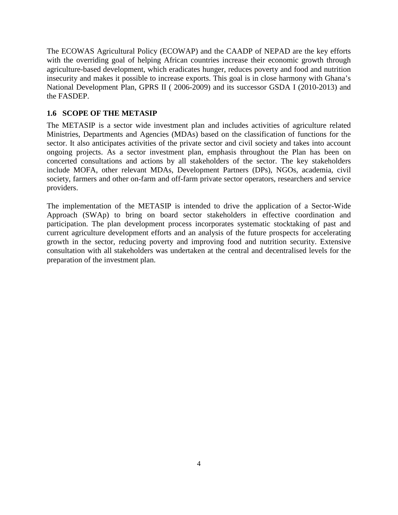The ECOWAS Agricultural Policy (ECOWAP) and the CAADP of NEPAD are the key efforts with the overriding goal of helping African countries increase their economic growth through agriculture-based development, which eradicates hunger, reduces poverty and food and nutrition insecurity and makes it possible to increase exports. This goal is in close harmony with Ghana's National Development Plan, GPRS II ( 2006-2009) and its successor GSDA I (2010-2013) and the FASDEP.

# <span id="page-19-0"></span>**1.6 SCOPE OF THE METASIP**

The METASIP is a sector wide investment plan and includes activities of agriculture related Ministries, Departments and Agencies (MDAs) based on the classification of functions for the sector. It also anticipates activities of the private sector and civil society and takes into account ongoing projects. As a sector investment plan, emphasis throughout the Plan has been on concerted consultations and actions by all stakeholders of the sector. The key stakeholders include MOFA, other relevant MDAs, Development Partners (DPs), NGOs, academia, civil society, farmers and other on-farm and off-farm private sector operators, researchers and service providers.

The implementation of the METASIP is intended to drive the application of a Sector-Wide Approach (SWAp) to bring on board sector stakeholders in effective coordination and participation. The plan development process incorporates systematic stocktaking of past and current agriculture development efforts and an analysis of the future prospects for accelerating growth in the sector, reducing poverty and improving food and nutrition security. Extensive consultation with all stakeholders was undertaken at the central and decentralised levels for the preparation of the investment plan.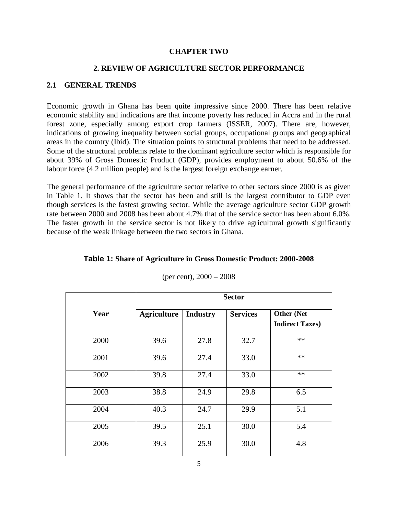#### **CHAPTER TWO**

# **2. REVIEW OF AGRICULTURE SECTOR PERFORMANCE**

#### <span id="page-20-2"></span><span id="page-20-1"></span><span id="page-20-0"></span>**2.1 GENERAL TRENDS**

Economic growth in Ghana has been quite impressive since 2000. There has been relative economic stability and indications are that income poverty has reduced in Accra and in the rural forest zone, especially among export crop farmers (ISSER, 2007). There are, however, indications of growing inequality between social groups, occupational groups and geographical areas in the country (Ibid). The situation points to structural problems that need to be addressed. Some of the structural problems relate to the dominant agriculture sector which is responsible for about 39% of Gross Domestic Product (GDP), provides employment to about 50.6% of the labour force (4.2 million people) and is the largest foreign exchange earner.

The general performance of the agriculture sector relative to other sectors since 2000 is as given in Table 1. It shows that the sector has been and still is the largest contributor to GDP even though services is the fastest growing sector. While the average agriculture sector GDP growth rate between 2000 and 2008 has been about 4.7% that of the service sector has been about 6.0%. The faster growth in the service sector is not likely to drive agricultural growth significantly because of the weak linkage between the two sectors in Ghana.

|      | <b>Sector</b>      |                 |                 |                                              |  |  |  |  |
|------|--------------------|-----------------|-----------------|----------------------------------------------|--|--|--|--|
| Year | <b>Agriculture</b> | <b>Industry</b> | <b>Services</b> | <b>Other (Net</b><br><b>Indirect Taxes</b> ) |  |  |  |  |
| 2000 | 39.6               | 27.8            | 32.7            | $**$                                         |  |  |  |  |
| 2001 | 39.6               | 27.4            | 33.0            | $**$                                         |  |  |  |  |
| 2002 | 39.8               | 27.4            | 33.0            | $**$                                         |  |  |  |  |
| 2003 | 38.8               | 24.9            | 29.8            | 6.5                                          |  |  |  |  |
| 2004 | 40.3               | 24.7            | 29.9            | 5.1                                          |  |  |  |  |
| 2005 | 39.5               | 25.1            | 30.0            | 5.4                                          |  |  |  |  |
| 2006 | 39.3               | 25.9            | 30.0            | 4.8                                          |  |  |  |  |

# <span id="page-20-3"></span>**Table 1: Share of Agriculture in Gross Domestic Product: 2000-2008** (per cent), 2000 – 2008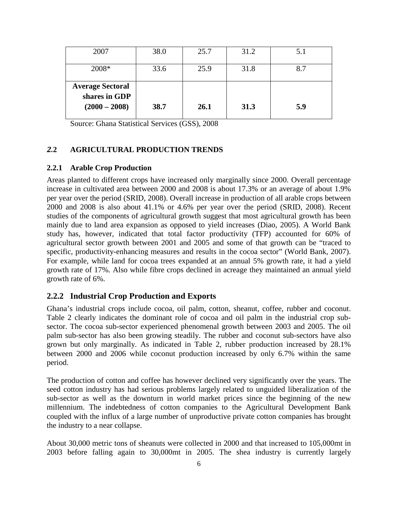| 2007                                                        | 38.0 | 25.7 | 31.2 | 5.1 |
|-------------------------------------------------------------|------|------|------|-----|
| 2008*                                                       | 33.6 | 25.9 | 31.8 | 8.7 |
| <b>Average Sectoral</b><br>shares in GDP<br>$(2000 - 2008)$ | 38.7 | 26.1 | 31.3 | 5.9 |

Source: Ghana Statistical Services (GSS), 2008

#### <span id="page-21-0"></span>*2.***2 AGRICULTURAL PRODUCTION TRENDS**

#### <span id="page-21-1"></span>**2.2.1 Arable Crop Production**

Areas planted to different crops have increased only marginally since 2000. Overall percentage increase in cultivated area between 2000 and 2008 is about 17.3% or an average of about 1.9% per year over the period (SRID, 2008). Overall increase in production of all arable crops between 2000 and 2008 is also about 41.1% or 4.6% per year over the period (SRID, 2008). Recent studies of the components of agricultural growth suggest that most agricultural growth has been mainly due to land area expansion as opposed to yield increases (Diao, 2005). A World Bank study has, however, indicated that total factor productivity (TFP) accounted for 60% of agricultural sector growth between 2001 and 2005 and some of that growth can be "traced to specific, productivity-enhancing measures and results in the cocoa sector" (World Bank, 2007). For example, while land for cocoa trees expanded at an annual 5% growth rate, it had a yield growth rate of 17%. Also while fibre crops declined in acreage they maintained an annual yield growth rate of 6%.

#### <span id="page-21-2"></span>**2.2.2 Industrial Crop Production and Exports**

Ghana's industrial crops include cocoa, oil palm, cotton, sheanut, coffee, rubber and coconut. Table 2 clearly indicates the dominant role of cocoa and oil palm in the industrial crop subsector. The cocoa sub-sector experienced phenomenal growth between 2003 and 2005. The oil palm sub-sector has also been growing steadily. The rubber and coconut sub-sectors have also grown but only marginally. As indicated in Table 2, rubber production increased by 28.1% between 2000 and 2006 while coconut production increased by only 6.7% within the same period.

The production of cotton and coffee has however declined very significantly over the years. The seed cotton industry has had serious problems largely related to unguided liberalization of the sub-sector as well as the downturn in world market prices since the beginning of the new millennium. The indebtedness of cotton companies to the Agricultural Development Bank coupled with the influx of a large number of unproductive private cotton companies has brought the industry to a near collapse.

About 30,000 metric tons of sheanuts were collected in 2000 and that increased to 105,000mt in 2003 before falling again to 30,000mt in 2005. The shea industry is currently largely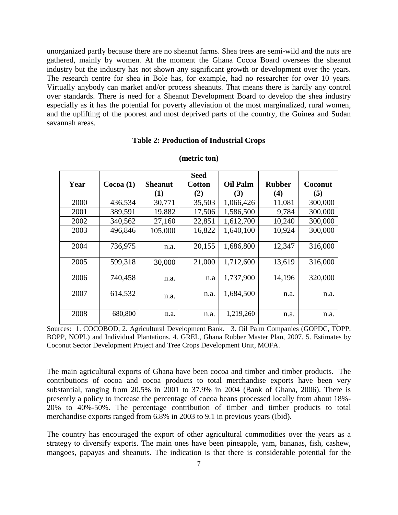unorganized partly because there are no sheanut farms. Shea trees are semi-wild and the nuts are gathered, mainly by women. At the moment the Ghana Cocoa Board oversees the sheanut industry but the industry has not shown any significant growth or development over the years. The research centre for shea in Bole has, for example, had no researcher for over 10 years. Virtually anybody can market and/or process sheanuts. That means there is hardly any control over standards. There is need for a Sheanut Development Board to develop the shea industry especially as it has the potential for poverty alleviation of the most marginalized, rural women, and the uplifting of the poorest and most deprived parts of the country, the Guinea and Sudan savannah areas.

#### **Table 2: Production of Industrial Crops**

<span id="page-22-0"></span>

|      |          |                | <b>Seed</b> |                 |                   |         |
|------|----------|----------------|-------------|-----------------|-------------------|---------|
| Year | Cocoa(1) | <b>Sheanut</b> | Cotton      | <b>Oil Palm</b> | <b>Rubber</b>     | Coconut |
|      |          | (1)            | (2)         | (3)             | $\left( 4\right)$ | (5)     |
| 2000 | 436,534  | 30,771         | 35,503      | 1,066,426       | 11,081            | 300,000 |
| 2001 | 389,591  | 19,882         | 17,506      | 1,586,500       | 9,784             | 300,000 |
| 2002 | 340,562  | 27,160         | 22,851      | 1,612,700       | 10,240            | 300,000 |
| 2003 | 496,846  | 105,000        | 16,822      | 1,640,100       | 10,924            | 300,000 |
| 2004 | 736,975  | n.a.           | 20,155      | 1,686,800       | 12,347            | 316,000 |
| 2005 | 599,318  | 30,000         | 21,000      | 1,712,600       | 13,619            | 316,000 |
| 2006 | 740,458  | n.a.           | n.a         | 1,737,900       | 14,196            | 320,000 |
| 2007 | 614,532  | n.a.           | n.a.        | 1,684,500       | n.a.              | n.a.    |
| 2008 | 680,800  | n.a.           | n.a.        | 1,219,260       | n.a.              | n.a.    |

#### **(metric ton)**

Sources: 1. COCOBOD, 2. Agricultural Development Bank. 3. Oil Palm Companies (GOPDC, TOPP, BOPP, NOPL) and Individual Plantations. 4. GREL, Ghana Rubber Master Plan, 2007. 5. Estimates by Coconut Sector Development Project and Tree Crops Development Unit, MOFA.

The main agricultural exports of Ghana have been cocoa and timber and timber products. The contributions of cocoa and cocoa products to total merchandise exports have been very substantial, ranging from 20.5% in 2001 to 37.9% in 2004 (Bank of Ghana, 2006). There is presently a policy to increase the percentage of cocoa beans processed locally from about 18%- 20% to 40%-50%. The percentage contribution of timber and timber products to total merchandise exports ranged from 6.8% in 2003 to 9.1 in previous years (Ibid).

The country has encouraged the export of other agricultural commodities over the years as a strategy to diversify exports. The main ones have been pineapple, yam, bananas, fish, cashew, mangoes, papayas and sheanuts. The indication is that there is considerable potential for the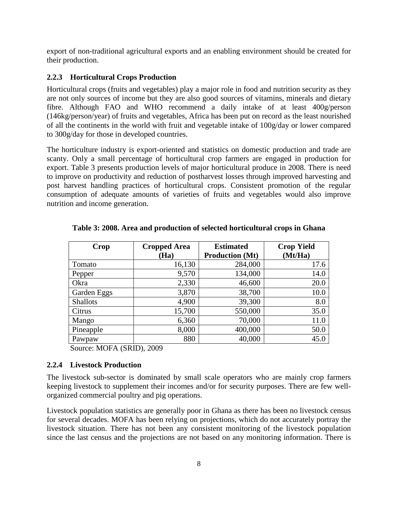export of non-traditional agricultural exports and an enabling environment should be created for their production.

# <span id="page-23-0"></span>**2.2.3 Horticultural Crops Production**

Horticultural crops (fruits and vegetables) play a major role in food and nutrition security as they are not only sources of income but they are also good sources of vitamins, minerals and dietary fibre. Although FAO and WHO recommend a daily intake of at least 400g/person (146kg/person/year) of fruits and vegetables, Africa has been put on record as the least nourished of all the continents in the world with fruit and vegetable intake of 100g/day or lower compared to 300g/day for those in developed countries.

The horticulture industry is export-oriented and statistics on domestic production and trade are scanty. Only a small percentage of horticultural crop farmers are engaged in production for export. Table 3 presents production levels of major horticultural produce in 2008. There is need to improve on productivity and reduction of postharvest losses through improved harvesting and post harvest handling practices of horticultural crops. Consistent promotion of the regular consumption of adequate amounts of varieties of fruits and vegetables would also improve nutrition and income generation.

| Crop            | <b>Cropped Area</b> | <b>Estimated</b>       | <b>Crop Yield</b> |  |  |
|-----------------|---------------------|------------------------|-------------------|--|--|
|                 | (Ha)                | <b>Production (Mt)</b> | (Mt/Ha)           |  |  |
| Tomato          | 16,130              | 284,000                | 17.6              |  |  |
| Pepper          | 9,570               | 134,000                | 14.0              |  |  |
| Okra            | 2,330               | 46,600                 | 20.0              |  |  |
| Garden Eggs     | 3,870               | 38,700                 | 10.0              |  |  |
| <b>Shallots</b> | 4,900               | 39,300                 | 8.0               |  |  |
| Citrus          | 15,700              | 550,000                | 35.0              |  |  |
| Mango           | 6,360               | 70,000                 | 11.0              |  |  |
| Pineapple       | 8,000               | 400,000                | 50.0              |  |  |
| Pawpaw          | 880                 | 40,000                 | 45.0              |  |  |

<span id="page-23-2"></span>**Table 3: 2008. Area and production of selected horticultural crops in Ghana**

Source: MOFA (SRID), 2009

## <span id="page-23-1"></span>**2.2.4 Livestock Production**

The livestock sub-sector is dominated by small scale operators who are mainly crop farmers keeping livestock to supplement their incomes and/or for security purposes. There are few wellorganized commercial poultry and pig operations.

Livestock population statistics are generally poor in Ghana as there has been no livestock census for several decades. MOFA has been relying on projections, which do not accurately portray the livestock situation. There has not been any consistent monitoring of the livestock population since the last census and the projections are not based on any monitoring information. There is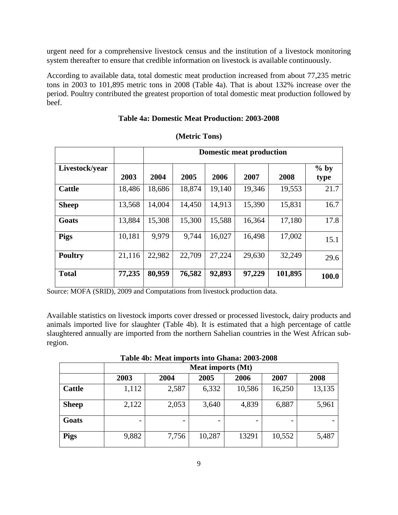urgent need for a comprehensive livestock census and the institution of a livestock monitoring system thereafter to ensure that credible information on livestock is available continuously.

According to available data, total domestic meat production increased from about 77,235 metric tons in 2003 to 101,895 metric tons in 2008 (Table 4a). That is about 132% increase over the period. Poultry contributed the greatest proportion of total domestic meat production followed by beef.

<span id="page-24-0"></span>

|                |        | <b>Domestic meat production</b> |        |        |        |         |                |  |  |  |
|----------------|--------|---------------------------------|--------|--------|--------|---------|----------------|--|--|--|
| Livestock/year | 2003   | 2004                            | 2005   | 2006   | 2007   | 2008    | $%$ by<br>type |  |  |  |
| <b>Cattle</b>  | 18,486 | 18,686                          | 18,874 | 19,140 | 19,346 | 19,553  | 21.7           |  |  |  |
| <b>Sheep</b>   | 13,568 | 14,004                          | 14,450 | 14,913 | 15,390 | 15,831  | 16.7           |  |  |  |
| Goats          | 13,884 | 15,308                          | 15,300 | 15,588 | 16,364 | 17,180  | 17.8           |  |  |  |
| <b>Pigs</b>    | 10,181 | 9,979                           | 9,744  | 16,027 | 16,498 | 17,002  | 15.1           |  |  |  |
| <b>Poultry</b> | 21,116 | 22,982                          | 22,709 | 27,224 | 29,630 | 32,249  | 29.6           |  |  |  |
| <b>Total</b>   | 77,235 | 80,959                          | 76,582 | 92,893 | 97,229 | 101,895 | 100.0          |  |  |  |

# **Table 4a: Domestic Meat Production: 2003-2008**

**(Metric Tons)**

Source: MOFA (SRID), 2009 and Computations from livestock production data.

Available statistics on livestock imports cover dressed or processed livestock, dairy products and animals imported live for slaughter (Table 4b). It is estimated that a high percentage of cattle slaughtered annually are imported from the northern Sahelian countries in the West African subregion.

**Table 4b: Meat imports into Ghana: 2003-2008**

|               |       |       | <b>Meat imports (Mt)</b> |        |        |        |
|---------------|-------|-------|--------------------------|--------|--------|--------|
|               | 2003  | 2004  | 2005                     | 2006   | 2007   | 2008   |
| <b>Cattle</b> | 1,112 | 2,587 | 6,332                    | 10,586 | 16,250 | 13,135 |
| <b>Sheep</b>  | 2,122 | 2,053 | 3,640                    | 4,839  | 6,887  | 5,961  |
| Goats         |       |       |                          |        |        |        |
| <b>Pigs</b>   | 9,882 | 7,756 | 10,287                   | 13291  | 10,552 | 5,487  |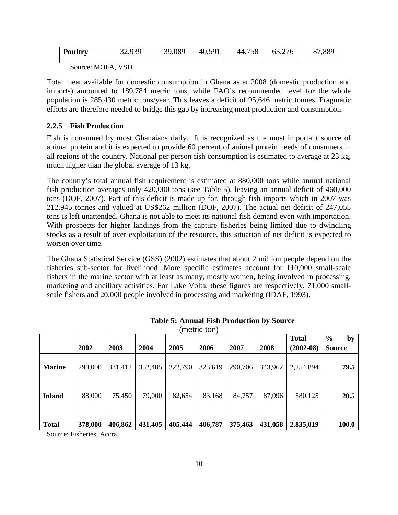| <b>Poultry</b> | 32,939 | 39,089 | 40,591 | 44,758 | 63,276 | 87,889 |
|----------------|--------|--------|--------|--------|--------|--------|
|                |        |        |        |        |        |        |

Source: MOFA, VSD.

Total meat available for domestic consumption in Ghana as at 2008 (domestic production and imports) amounted to 189,784 metric tons, while FAO's recommended level for the whole population is 285,430 metric tons/year. This leaves a deficit of 95,646 metric tonnes. Pragmatic efforts are therefore needed to bridge this gap by increasing meat production and consumption.

# <span id="page-25-0"></span>**2.2.5 Fish Production**

Fish is consumed by most Ghanaians daily. It is recognized as the most important source of animal protein and it is expected to provide 60 percent of animal protein needs of consumers in all regions of the country. National per person fish consumption is estimated to average at 23 kg, much higher than the global average of 13 kg.

The country's total annual fish requirement is estimated at 880,000 tons while annual national fish production averages only 420,000 tons (see Table 5), leaving an annual deficit of 460,000 tons (DOF, 2007). Part of this deficit is made up for, through fish imports which in 2007 was 212,945 tonnes and valued at US\$262 million (DOF, 2007). The actual net deficit of 247,055 tons is left unattended. Ghana is not able to meet its national fish demand even with importation. With prospects for higher landings from the capture fisheries being limited due to dwindling stocks as a result of over exploitation of the resource, this situation of net deficit is expected to worsen over time.

The Ghana Statistical Service (GSS) (2002) estimates that about 2 million people depend on the fisheries sub-sector for livelihood. More specific estimates account for 110,000 small-scale fishers in the marine sector with at least as many, mostly women, being involved in processing, marketing and ancillary activities. For Lake Volta, these figures are respectively, 71,000 smallscale fishers and 20,000 people involved in processing and marketing (IDAF, 1993).

<span id="page-25-1"></span>

|               |         |         |         |         |         |         |         | <b>Total</b>  | $\frac{0}{0}$<br>by |
|---------------|---------|---------|---------|---------|---------|---------|---------|---------------|---------------------|
|               | 2002    | 2003    | 2004    | 2005    | 2006    | 2007    | 2008    | $(2002 - 08)$ | <b>Source</b>       |
| <b>Marine</b> | 290,000 | 331,412 | 352,405 | 322,790 | 323,619 | 290,706 | 343,962 | 2,254,894     | 79.5                |
| <b>Inland</b> | 88,000  | 75,450  | 79,000  | 82,654  | 83,168  | 84,757  | 87,096  | 580,125       | 20.5                |
| <b>Total</b>  | 378,000 | 406,862 | 431,405 | 405,444 | 406,787 | 375,463 | 431,058 | 2,835,019     | 100.0               |

**Table 5: Annual Fish Production by Source** (metric ton)

Source: Fisheries, Accra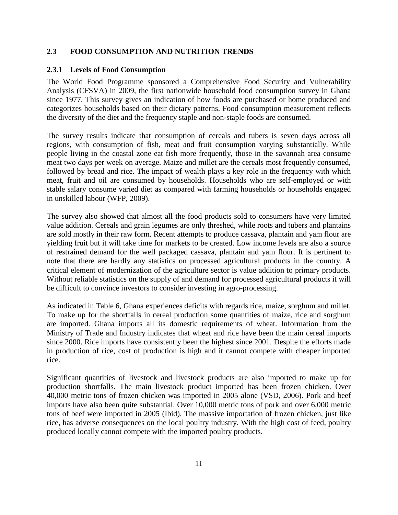#### <span id="page-26-0"></span>**2.3 FOOD CONSUMPTION AND NUTRITION TRENDS**

#### <span id="page-26-1"></span>**2.3.1 Levels of Food Consumption**

The World Food Programme sponsored a Comprehensive Food Security and Vulnerability Analysis (CFSVA) in 2009, the first nationwide household food consumption survey in Ghana since 1977. This survey gives an indication of how foods are purchased or home produced and categorizes households based on their dietary patterns. Food consumption measurement reflects the diversity of the diet and the frequency staple and non-staple foods are consumed.

The survey results indicate that consumption of cereals and tubers is seven days across all regions, with consumption of fish, meat and fruit consumption varying substantially. While people living in the coastal zone eat fish more frequently, those in the savannah area consume meat two days per week on average. Maize and millet are the cereals most frequently consumed, followed by bread and rice. The impact of wealth plays a key role in the frequency with which meat, fruit and oil are consumed by households. Households who are self-employed or with stable salary consume varied diet as compared with farming households or households engaged in unskilled labour (WFP, 2009).

The survey also showed that almost all the food products sold to consumers have very limited value addition. Cereals and grain legumes are only threshed, while roots and tubers and plantains are sold mostly in their raw form. Recent attempts to produce cassava, plantain and yam flour are yielding fruit but it will take time for markets to be created. Low income levels are also a source of restrained demand for the well packaged cassava, plantain and yam flour. It is pertinent to note that there are hardly any statistics on processed agricultural products in the country. A critical element of modernization of the agriculture sector is value addition to primary products. Without reliable statistics on the supply of and demand for processed agricultural products it will be difficult to convince investors to consider investing in agro-processing.

As indicated in Table 6, Ghana experiences deficits with regards rice, maize, sorghum and millet. To make up for the shortfalls in cereal production some quantities of maize, rice and sorghum are imported. Ghana imports all its domestic requirements of wheat. Information from the Ministry of Trade and Industry indicates that wheat and rice have been the main cereal imports since 2000. Rice imports have consistently been the highest since 2001. Despite the efforts made in production of rice, cost of production is high and it cannot compete with cheaper imported rice.

Significant quantities of livestock and livestock products are also imported to make up for production shortfalls. The main livestock product imported has been frozen chicken. Over 40,000 metric tons of frozen chicken was imported in 2005 alone (VSD, 2006). Pork and beef imports have also been quite substantial. Over 10,000 metric tons of pork and over 6,000 metric tons of beef were imported in 2005 (Ibid). The massive importation of frozen chicken, just like rice, has adverse consequences on the local poultry industry. With the high cost of feed, poultry produced locally cannot compete with the imported poultry products.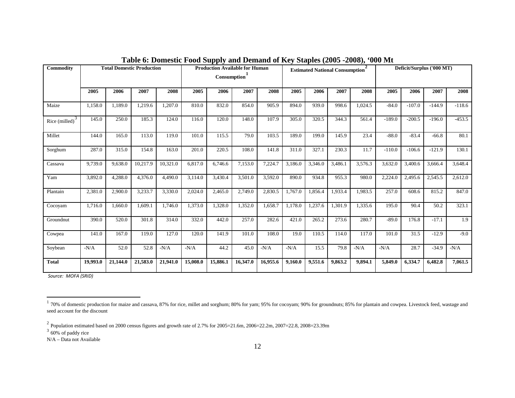| <b>Commodity</b>  |          |          | <b>Total Domestic Production</b> |          |          | <b>Production Available for Human</b><br><b>Estimated National Consumption</b><br>Consumption <sup>1</sup> |          |          | $P^{\text{new}}$ (= $\sigma \sigma$ ) = $\sigma \sigma \sigma$ /9<br>00011 | Deficit/Surplus ('000 MT) |         |         |          |          |          |          |
|-------------------|----------|----------|----------------------------------|----------|----------|------------------------------------------------------------------------------------------------------------|----------|----------|----------------------------------------------------------------------------|---------------------------|---------|---------|----------|----------|----------|----------|
|                   | 2005     | 2006     | 2007                             | 2008     | 2005     | 2006                                                                                                       | 2007     | 2008     | 2005                                                                       | 2006                      | 2007    | 2008    | 2005     | 2006     | 2007     | 2008     |
| Maize             | 1,158.0  | 1,189.0  | 1,219.6                          | 1,207.0  | 810.0    | 832.0                                                                                                      | 854.0    | 905.9    | 894.0                                                                      | 939.0                     | 998.6   | 1,024.5 | $-84.0$  | $-107.0$ | $-144.9$ | $-118.6$ |
| Rice $(milled)^3$ | 145.0    | 250.0    | 185.3                            | 124.0    | 116.0    | 120.0                                                                                                      | 148.0    | 107.9    | 305.0                                                                      | 320.5                     | 344.3   | 561.4   | $-189.0$ | $-200.5$ | $-196.0$ | $-453.5$ |
| Millet            | 144.0    | 165.0    | 113.0                            | 119.0    | 101.0    | 115.5                                                                                                      | 79.0     | 103.5    | 189.0                                                                      | 199.0                     | 145.9   | 23.4    | $-88.0$  | $-83.4$  | $-66.8$  | 80.1     |
| Sorghum           | 287.0    | 315.0    | 154.8                            | 163.0    | 201.0    | 220.5                                                                                                      | 108.0    | 141.8    | 311.0                                                                      | 327.1                     | 230.3   | 11.7    | $-110.0$ | $-106.6$ | $-121.9$ | 130.1    |
| Cassava           | 9,739.0  | 9,638.0  | 10,217.9                         | 10,321.0 | 6,817.0  | 6,746.6                                                                                                    | 7,153.0  | 7,224.7  | 3,186.0                                                                    | 3,346.0                   | 3,486.1 | 3,576.3 | 3,632.0  | 3,400.6  | 3,666.4  | 3,648.4  |
| Yam               | 3,892.0  | 4,288.0  | 4,376.0                          | 4,490.0  | 3,114.0  | 3,430.4                                                                                                    | 3,501.0  | 3,592.0  | 890.0                                                                      | 934.8                     | 955.3   | 980.0   | 2,224.0  | 2,495.6  | 2,545.5  | 2,612.0  |
| Plantain          | 2,381.0  | 2,900.0  | 3,233.7                          | 3,330.0  | 2,024.0  | 2,465.0                                                                                                    | 2,749.0  | 2,830.5  | 1,767.0                                                                    | 1,856.4                   | 1,933.4 | 1,983.5 | 257.0    | 608.6    | 815.2    | 847.0    |
| Cocoyam           | 1,716.0  | 1,660.0  | 1,609.1                          | 1,746.0  | 1,373.0  | 1,328.0                                                                                                    | 1,352.0  | 1,658.7  | 1,178.0                                                                    | 1,237.6                   | 1,301.9 | 1,335.6 | 195.0    | 90.4     | 50.2     | 323.1    |
| Groundnut         | 390.0    | 520.0    | 301.8                            | 314.0    | 332.0    | 442.0                                                                                                      | 257.0    | 282.6    | 421.0                                                                      | 265.2                     | 273.6   | 280.7   | $-89.0$  | 176.8    | $-17.1$  | 1.9      |
| Cowpea            | 141.0    | 167.0    | 119.0                            | 127.0    | 120.0    | 141.9                                                                                                      | 101.0    | 108.0    | 19.0                                                                       | 110.5                     | 114.0   | 117.0   | 101.0    | 31.5     | $-12.9$  | $-9.0$   |
| Soybean           | $-N/A$   | 52.0     | 52.8                             | $-N/A$   | $-N/A$   | 44.2                                                                                                       | 45.0     | $-N/A$   | $-N/A$                                                                     | 15.5                      | 79.8    | $-N/A$  | $-N/A$   | 28.7     | $-34.9$  | $-N/A$   |
| <b>Total</b>      | 19,993.0 | 21,144.0 | 21,583.0                         | 21,941.0 | 15,008.0 | 15,886.1                                                                                                   | 16,347.0 | 16,955.6 | 9,160.0                                                                    | 9,551.6                   | 9,863.2 | 9,894.1 | 5,849.0  | 6,334.7  | 6,482.8  | 7,061.5  |

<span id="page-27-3"></span><span id="page-27-2"></span><span id="page-27-1"></span>**Table 6: Domestic Food Supply and Demand of Key Staples (2005 -2008), '000 Mt**

<span id="page-27-0"></span>*Source: MOFA (SRID)*

N/A – Data not Available

<sup>&</sup>lt;sup>1</sup> 70% of domestic production for maize and cassava, 87% for rice, millet and sorghum; 80% for yam; 95% for cocoyam; 90% for groundnuts; 85% for plantain and cowpea. Livestock feed, wastage and seed account for the discount

 $\frac{2}{3}$  Population estimated based on 2000 census figures and growth rate of 2.7% for 2005=21.6m, 2006=22.2m, 2007=22.8, 2008=23.39m  $\frac{3}{3}$  60% of paddy rice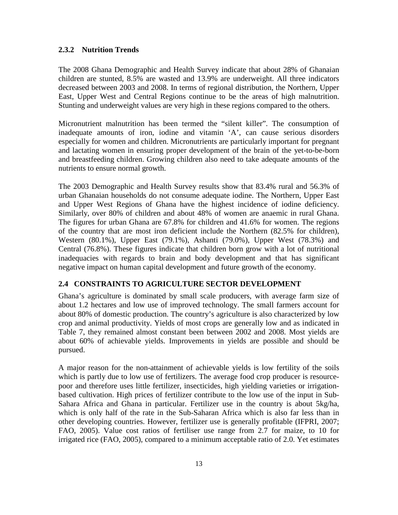#### <span id="page-28-0"></span>**2.3.2 Nutrition Trends**

The 2008 Ghana Demographic and Health Survey indicate that about 28% of Ghanaian children are stunted, 8.5% are wasted and 13.9% are underweight. All three indicators decreased between 2003 and 2008. In terms of regional distribution, the Northern, Upper East, Upper West and Central Regions continue to be the areas of high malnutrition. Stunting and underweight values are very high in these regions compared to the others.

Micronutrient malnutrition has been termed the "silent killer". The consumption of inadequate amounts of iron, iodine and vitamin 'A', can cause serious disorders especially for women and children. Micronutrients are particularly important for pregnant and lactating women in ensuring proper development of the brain of the yet-to-be-born and breastfeeding children. Growing children also need to take adequate amounts of the nutrients to ensure normal growth.

The 2003 Demographic and Health Survey results show that 83.4% rural and 56.3% of urban Ghanaian households do not consume adequate iodine. The Northern, Upper East and Upper West Regions of Ghana have the highest incidence of iodine deficiency. Similarly, over 80% of children and about 48% of women are anaemic in rural Ghana. The figures for urban Ghana are 67.8% for children and 41.6% for women. The regions of the country that are most iron deficient include the Northern (82.5% for children), Western (80.1%), Upper East (79.1%), Ashanti (79.0%), Upper West (78.3%) and Central (76.8%). These figures indicate that children born grow with a lot of nutritional inadequacies with regards to brain and body development and that has significant negative impact on human capital development and future growth of the economy.

## <span id="page-28-1"></span>**2.4 CONSTRAINTS TO AGRICULTURE SECTOR DEVELOPMENT**

Ghana's agriculture is dominated by small scale producers, with average farm size of about 1.2 hectares and low use of improved technology. The small farmers account for about 80% of domestic production. The country's agriculture is also characterized by low crop and animal productivity. Yields of most crops are generally low and as indicated in Table 7, they remained almost constant been between 2002 and 2008. Most yields are about 60% of achievable yields. Improvements in yields are possible and should be pursued.

A major reason for the non-attainment of achievable yields is low fertility of the soils which is partly due to low use of fertilizers. The average food crop producer is resourcepoor and therefore uses little fertilizer, insecticides, high yielding varieties or irrigationbased cultivation. High prices of fertilizer contribute to the low use of the input in Sub-Sahara Africa and Ghana in particular. Fertilizer use in the country is about 5kg/ha, which is only half of the rate in the Sub-Saharan Africa which is also far less than in other developing countries. However, fertilizer use is generally profitable (IFPRI, 2007; FAO, 2005). Value cost ratios of fertiliser use range from 2.7 for maize, to 10 for irrigated rice (FAO, 2005), compared to a minimum acceptable ratio of 2.0. Yet estimates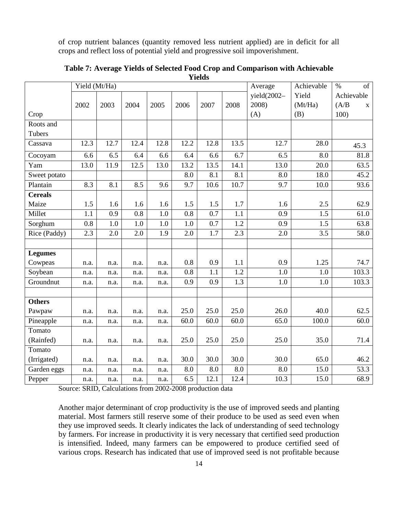of crop nutrient balances (quantity removed less nutrient applied) are in deficit for all crops and reflect loss of potential yield and progressive soil impoverishment.

|                   | Yield (Mt/Ha) |      |      |      |                  |      |                  | Average          | Achievable | $\%$<br>of           |
|-------------------|---------------|------|------|------|------------------|------|------------------|------------------|------------|----------------------|
|                   |               |      |      |      |                  |      |                  | yield $(2002 -$  | Yield      | Achievable           |
|                   | 2002          | 2003 | 2004 | 2005 | 2006             | 2007 | 2008             | 2008)            | (Mt/Ha)    | (A/B)<br>$\mathbf X$ |
| Crop              |               |      |      |      |                  |      |                  | (A)              | (B)        | 100)                 |
| Roots and         |               |      |      |      |                  |      |                  |                  |            |                      |
| Tubers            |               |      |      |      |                  |      |                  |                  |            |                      |
| Cassava           | 12.3          | 12.7 | 12.4 | 12.8 | 12.2             | 12.8 | 13.5             | 12.7             | 28.0       | 45.3                 |
| Cocoyam           | 6.6           | 6.5  | 6.4  | 6.6  | 6.4              | 6.6  | 6.7              | 6.5              | 8.0        | 81.8                 |
| $\overline{Y}$ am | 13.0          | 11.9 | 12.5 | 13.0 | 13.2             | 13.5 | 14.1             | 13.0             | 20.0       | 63.5                 |
| Sweet potato      |               |      |      |      | 8.0              | 8.1  | 8.1              | 8.0              | 18.0       | 45.2                 |
| Plantain          | 8.3           | 8.1  | 8.5  | 9.6  | 9.7              | 10.6 | 10.7             | 9.7              | 10.0       | 93.6                 |
| <b>Cereals</b>    |               |      |      |      |                  |      |                  |                  |            |                      |
| Maize             | 1.5           | 1.6  | 1.6  | 1.6  | 1.5              | 1.5  | 1.7              | 1.6              | 2.5        | 62.9                 |
| Millet            | 1.1           | 0.9  | 0.8  | 1.0  | $\overline{0.8}$ | 0.7  | $\overline{1.1}$ | $\overline{0.9}$ | 1.5        | 61.0                 |
| Sorghum           | 0.8           | 1.0  | 1.0  | 1.0  | 1.0              | 0.7  | 1.2              | 0.9              | 1.5        | 63.8                 |
| Rice (Paddy)      | 2.3           | 2.0  | 2.0  | 1.9  | 2.0              | 1.7  | 2.3              | 2.0              | 3.5        | 58.0                 |
|                   |               |      |      |      |                  |      |                  |                  |            |                      |
| <b>Legumes</b>    |               |      |      |      |                  |      |                  |                  |            |                      |
| Cowpeas           | n.a.          | n.a. | n.a. | n.a. | 0.8              | 0.9  | 1.1              | 0.9              | 1.25       | 74.7                 |
| Soybean           | n.a.          | n.a. | n.a. | n.a. | 0.8              | 1.1  | 1.2              | 1.0              | 1.0        | 103.3                |
| Groundnut         | n.a.          | n.a. | n.a. | n.a. | 0.9              | 0.9  | 1.3              | 1.0              | 1.0        | 103.3                |
|                   |               |      |      |      |                  |      |                  |                  |            |                      |
| <b>Others</b>     |               |      |      |      |                  |      |                  |                  |            |                      |
| Pawpaw            | n.a.          | n.a. | n.a. | n.a. | 25.0             | 25.0 | 25.0             | 26.0             | 40.0       | 62.5                 |
| Pineapple         | n.a.          | n.a. | n.a. | n.a. | 60.0             | 60.0 | 60.0             | 65.0             | 100.0      | 60.0                 |
| Tomato            |               |      |      |      |                  |      |                  |                  |            |                      |
| (Rainfed)         | n.a.          | n.a. | n.a. | n.a. | 25.0             | 25.0 | 25.0             | 25.0             | 35.0       | 71.4                 |
| Tomato            |               |      |      |      |                  |      |                  |                  |            |                      |
| (Irrigated)       | n.a.          | n.a. | n.a. | n.a. | 30.0             | 30.0 | 30.0             | 30.0             | 65.0       | 46.2                 |
| Garden eggs       | n.a.          | n.a. | n.a. | n.a. | 8.0              | 8.0  | 8.0              | 8.0              | 15.0       | 53.3                 |
| Pepper            | n.a.          | n.a. | n.a. | n.a. | 6.5              | 12.1 | 12.4             | 10.3             | 15.0       | 68.9                 |

<span id="page-29-0"></span>**Table 7: Average Yields of Selected Food Crop and Comparison with Achievable Yields**

Source: SRID, Calculations from 2002-2008 production data

Another major determinant of crop productivity is the use of improved seeds and planting material. Most farmers still reserve some of their produce to be used as seed even when they use improved seeds. It clearly indicates the lack of understanding of seed technology by farmers. For increase in productivity it is very necessary that certified seed production is intensified. Indeed, many farmers can be empowered to produce certified seed of various crops. Research has indicated that use of improved seed is not profitable because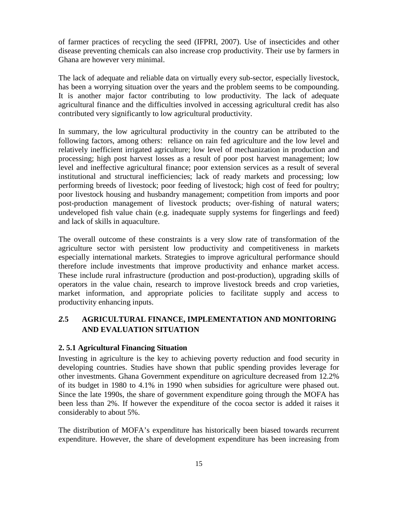of farmer practices of recycling the seed (IFPRI, 2007). Use of insecticides and other disease preventing chemicals can also increase crop productivity. Their use by farmers in Ghana are however very minimal.

The lack of adequate and reliable data on virtually every sub-sector, especially livestock, has been a worrying situation over the years and the problem seems to be compounding. It is another major factor contributing to low productivity. The lack of adequate agricultural finance and the difficulties involved in accessing agricultural credit has also contributed very significantly to low agricultural productivity.

In summary, the low agricultural productivity in the country can be attributed to the following factors, among others: reliance on rain fed agriculture and the low level and relatively inefficient irrigated agriculture; low level of mechanization in production and processing; high post harvest losses as a result of poor post harvest management; low level and ineffective agricultural finance; poor extension services as a result of several institutional and structural inefficiencies; lack of ready markets and processing; low performing breeds of livestock; poor feeding of livestock; high cost of feed for poultry; poor livestock housing and husbandry management; competition from imports and poor post-production management of livestock products; over-fishing of natural waters; undeveloped fish value chain (e.g. inadequate supply systems for fingerlings and feed) and lack of skills in aquaculture.

The overall outcome of these constraints is a very slow rate of transformation of the agriculture sector with persistent low productivity and competitiveness in markets especially international markets. Strategies to improve agricultural performance should therefore include investments that improve productivity and enhance market access. These include rural infrastructure (production and post-production), upgrading skills of operators in the value chain, research to improve livestock breeds and crop varieties, market information, and appropriate policies to facilitate supply and access to productivity enhancing inputs.

# <span id="page-30-0"></span>*2.***5 AGRICULTURAL FINANCE, IMPLEMENTATION AND MONITORING AND EVALUATION SITUATION**

#### <span id="page-30-1"></span>**2. 5.1 Agricultural Financing Situation**

Investing in agriculture is the key to achieving poverty reduction and food security in developing countries. Studies have shown that public spending provides leverage for other investments. Ghana Government expenditure on agriculture decreased from 12.2% of its budget in 1980 to 4.1% in 1990 when subsidies for agriculture were phased out. Since the late 1990s, the share of government expenditure going through the MOFA has been less than 2%. If however the expenditure of the cocoa sector is added it raises it considerably to about 5%.

The distribution of MOFA's expenditure has historically been biased towards recurrent expenditure. However, the share of development expenditure has been increasing from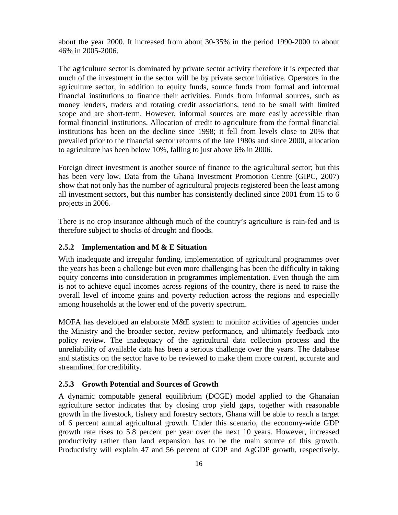about the year 2000. It increased from about 30-35% in the period 1990-2000 to about 46% in 2005-2006.

The agriculture sector is dominated by private sector activity therefore it is expected that much of the investment in the sector will be by private sector initiative. Operators in the agriculture sector, in addition to equity funds, source funds from formal and informal financial institutions to finance their activities. Funds from informal sources, such as money lenders, traders and rotating credit associations, tend to be small with limited scope and are short-term. However, informal sources are more easily accessible than formal financial institutions. Allocation of credit to agriculture from the formal financial institutions has been on the decline since 1998; it fell from levels close to 20% that prevailed prior to the financial sector reforms of the late 1980s and since 2000, allocation to agriculture has been below 10%, falling to just above 6% in 2006.

Foreign direct investment is another source of finance to the agricultural sector; but this has been very low. Data from the Ghana Investment Promotion Centre (GIPC, 2007) show that not only has the number of agricultural projects registered been the least among all investment sectors, but this number has consistently declined since 2001 from 15 to 6 projects in 2006.

There is no crop insurance although much of the country's agriculture is rain-fed and is therefore subject to shocks of drought and floods.

#### <span id="page-31-0"></span>**2.5.2 Implementation and M & E Situation**

With inadequate and irregular funding, implementation of agricultural programmes over the years has been a challenge but even more challenging has been the difficulty in taking equity concerns into consideration in programmes implementation. Even though the aim is not to achieve equal incomes across regions of the country, there is need to raise the overall level of income gains and poverty reduction across the regions and especially among households at the lower end of the poverty spectrum.

MOFA has developed an elaborate M&E system to monitor activities of agencies under the Ministry and the broader sector, review performance, and ultimately feedback into policy review. The inadequacy of the agricultural data collection process and the unreliability of available data has been a serious challenge over the years. The database and statistics on the sector have to be reviewed to make them more current, accurate and streamlined for credibility.

#### <span id="page-31-1"></span>**2.5.3 Growth Potential and Sources of Growth**

A dynamic computable general equilibrium (DCGE) model applied to the Ghanaian agriculture sector indicates that by closing crop yield gaps, together with reasonable growth in the livestock, fishery and forestry sectors, Ghana will be able to reach a target of 6 percent annual agricultural growth. Under this scenario, the economy-wide GDP growth rate rises to 5.8 percent per year over the next 10 years. However, increased productivity rather than land expansion has to be the main source of this growth. Productivity will explain 47 and 56 percent of GDP and AgGDP growth, respectively.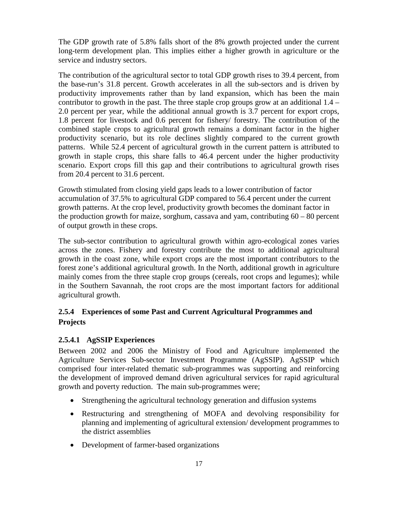The GDP growth rate of 5.8% falls short of the 8% growth projected under the current long-term development plan. This implies either a higher growth in agriculture or the service and industry sectors.

The contribution of the agricultural sector to total GDP growth rises to 39.4 percent, from the base-run's 31.8 percent. Growth accelerates in all the sub-sectors and is driven by productivity improvements rather than by land expansion, which has been the main contributor to growth in the past. The three staple crop groups grow at an additional  $1.4 -$ 2.0 percent per year, while the additional annual growth is 3.7 percent for export crops, 1.8 percent for livestock and 0.6 percent for fishery/ forestry. The contribution of the combined staple crops to agricultural growth remains a dominant factor in the higher productivity scenario, but its role declines slightly compared to the current growth patterns. While 52.4 percent of agricultural growth in the current pattern is attributed to growth in staple crops, this share falls to 46.4 percent under the higher productivity scenario. Export crops fill this gap and their contributions to agricultural growth rises from 20.4 percent to 31.6 percent.

Growth stimulated from closing yield gaps leads to a lower contribution of factor accumulation of 37.5% to agricultural GDP compared to 56.4 percent under the current growth patterns. At the crop level, productivity growth becomes the dominant factor in the production growth for maize, sorghum, cassava and yam, contributing  $60 - 80$  percent of output growth in these crops.

The sub-sector contribution to agricultural growth within agro-ecological zones varies across the zones. Fishery and forestry contribute the most to additional agricultural growth in the coast zone, while export crops are the most important contributors to the forest zone's additional agricultural growth. In the North, additional growth in agriculture mainly comes from the three staple crop groups (cereals, root crops and legumes); while in the Southern Savannah, the root crops are the most important factors for additional agricultural growth.

# <span id="page-32-0"></span>**2.5.4 Experiences of some Past and Current Agricultural Programmes and Projects**

# <span id="page-32-1"></span>**2.5.4.1 AgSSIP Experiences**

Between 2002 and 2006 the Ministry of Food and Agriculture implemented the Agriculture Services Sub-sector Investment Programme (AgSSIP). AgSSIP which comprised four inter-related thematic sub-programmes was supporting and reinforcing the development of improved demand driven agricultural services for rapid agricultural growth and poverty reduction. The main sub-programmes were;

- Strengthening the agricultural technology generation and diffusion systems
- Restructuring and strengthening of MOFA and devolving responsibility for planning and implementing of agricultural extension/ development programmes to the district assemblies
- Development of farmer-based organizations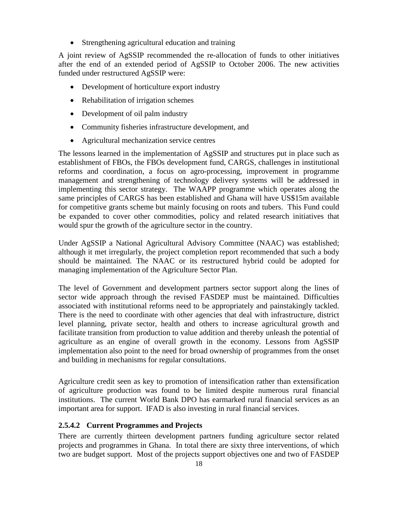• Strengthening agricultural education and training

A joint review of AgSSIP recommended the re-allocation of funds to other initiatives after the end of an extended period of AgSSIP to October 2006. The new activities funded under restructured AgSSIP were:

- Development of horticulture export industry
- Rehabilitation of irrigation schemes
- Development of oil palm industry
- Community fisheries infrastructure development, and
- Agricultural mechanization service centres

The lessons learned in the implementation of AgSSIP and structures put in place such as establishment of FBOs, the FBOs development fund, CARGS, challenges in institutional reforms and coordination, a focus on agro-processing, improvement in programme management and strengthening of technology delivery systems will be addressed in implementing this sector strategy. The WAAPP programme which operates along the same principles of CARGS has been established and Ghana will have US\$15m available for competitive grants scheme but mainly focusing on roots and tubers. This Fund could be expanded to cover other commodities, policy and related research initiatives that would spur the growth of the agriculture sector in the country.

Under AgSSIP a National Agricultural Advisory Committee (NAAC) was established; although it met irregularly, the project completion report recommended that such a body should be maintained. The NAAC or its restructured hybrid could be adopted for managing implementation of the Agriculture Sector Plan.

The level of Government and development partners sector support along the lines of sector wide approach through the revised FASDEP must be maintained. Difficulties associated with institutional reforms need to be appropriately and painstakingly tackled. There is the need to coordinate with other agencies that deal with infrastructure, district level planning, private sector, health and others to increase agricultural growth and facilitate transition from production to value addition and thereby unleash the potential of agriculture as an engine of overall growth in the economy. Lessons from AgSSIP implementation also point to the need for broad ownership of programmes from the onset and building in mechanisms for regular consultations.

Agriculture credit seen as key to promotion of intensification rather than extensification of agriculture production was found to be limited despite numerous rural financial institutions. The current World Bank DPO has earmarked rural financial services as an important area for support. IFAD is also investing in rural financial services.

## <span id="page-33-0"></span>**2.5.4.2 Current Programmes and Projects**

There are currently thirteen development partners funding agriculture sector related projects and programmes in Ghana. In total there are sixty three interventions, of which two are budget support. Most of the projects support objectives one and two of FASDEP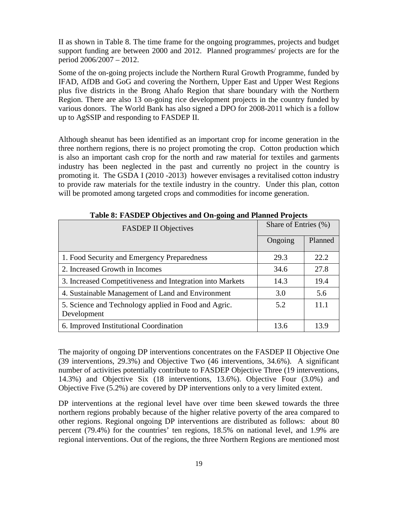II as shown in Table 8. The time frame for the ongoing programmes, projects and budget support funding are between 2000 and 2012. Planned programmes/ projects are for the period 2006/2007 – 2012.

Some of the on-going projects include the Northern Rural Growth Programme, funded by IFAD, AfDB and GoG and covering the Northern, Upper East and Upper West Regions plus five districts in the Brong Ahafo Region that share boundary with the Northern Region. There are also 13 on-going rice development projects in the country funded by various donors. The World Bank has also signed a DPO for 2008-2011 which is a follow up to AgSSIP and responding to FASDEP II.

Although sheanut has been identified as an important crop for income generation in the three northern regions, there is no project promoting the crop. Cotton production which is also an important cash crop for the north and raw material for textiles and garments industry has been neglected in the past and currently no project in the country is promoting it. The GSDA I (2010 -2013) however envisages a revitalised cotton industry to provide raw materials for the textile industry in the country. Under this plan, cotton will be promoted among targeted crops and commodities for income generation.

<span id="page-34-0"></span>

| Table of PASDET Objectives and On-going and Flanned Frojects        |                      |         |  |  |  |  |  |  |
|---------------------------------------------------------------------|----------------------|---------|--|--|--|--|--|--|
| <b>FASDEP II Objectives</b>                                         | Share of Entries (%) |         |  |  |  |  |  |  |
|                                                                     | Ongoing              | Planned |  |  |  |  |  |  |
| 1. Food Security and Emergency Preparedness                         | 29.3                 | 22.2    |  |  |  |  |  |  |
| 2. Increased Growth in Incomes                                      | 34.6                 | 27.8    |  |  |  |  |  |  |
| 3. Increased Competitiveness and Integration into Markets           | 14.3                 | 19.4    |  |  |  |  |  |  |
| 4. Sustainable Management of Land and Environment                   | 3.0                  | 5.6     |  |  |  |  |  |  |
| 5. Science and Technology applied in Food and Agric.<br>Development | 5.2                  | 11.1    |  |  |  |  |  |  |
| 6. Improved Institutional Coordination                              | 13.6                 | 13.9    |  |  |  |  |  |  |

**Table 8: FASDEP Objectives and On-going and Planned Projects**

The majority of ongoing DP interventions concentrates on the FASDEP II Objective One (39 interventions, 29.3%) and Objective Two (46 interventions, 34.6%). A significant number of activities potentially contribute to FASDEP Objective Three (19 interventions, 14.3%) and Objective Six (18 interventions, 13.6%). Objective Four (3.0%) and Objective Five (5.2%) are covered by DP interventions only to a very limited extent.

DP interventions at the regional level have over time been skewed towards the three northern regions probably because of the higher relative poverty of the area compared to other regions. Regional ongoing DP interventions are distributed as follows: about 80 percent (79.4%) for the countries' ten regions, 18.5% on national level, and 1.9% are regional interventions. Out of the regions, the three Northern Regions are mentioned most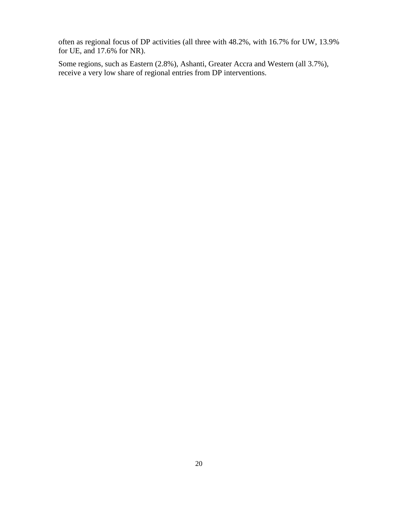often as regional focus of DP activities (all three with 48.2%, with 16.7% for UW, 13.9% for UE, and 17.6% for NR).

Some regions, such as Eastern (2.8%), Ashanti, Greater Accra and Western (all 3.7%), receive a very low share of regional entries from DP interventions.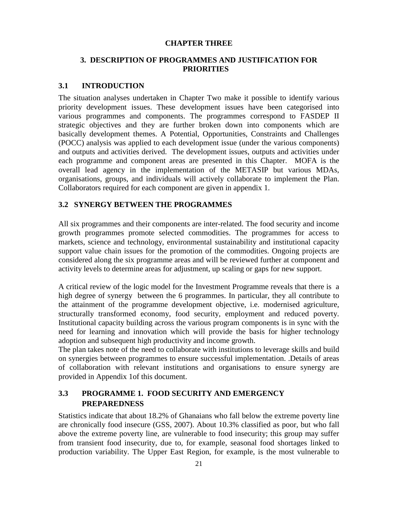#### **CHAPTER THREE**

# **3. DESCRIPTION OF PROGRAMMES AND JUSTIFICATION FOR PRIORITIES**

### **3.1 INTRODUCTION**

The situation analyses undertaken in Chapter Two make it possible to identify various priority development issues. These development issues have been categorised into various programmes and components. The programmes correspond to FASDEP II strategic objectives and they are further broken down into components which are basically development themes. A Potential, Opportunities, Constraints and Challenges (POCC) analysis was applied to each development issue (under the various components) and outputs and activities derived. The development issues, outputs and activities under each programme and component areas are presented in this Chapter. MOFA is the overall lead agency in the implementation of the METASIP but various MDAs, organisations, groups, and individuals will actively collaborate to implement the Plan. Collaborators required for each component are given in appendix 1.

### **3.2 SYNERGY BETWEEN THE PROGRAMMES**

All six programmes and their components are inter-related. The food security and income growth programmes promote selected commodities. The programmes for access to markets, science and technology, environmental sustainability and institutional capacity support value chain issues for the promotion of the commodities. Ongoing projects are considered along the six programme areas and will be reviewed further at component and activity levels to determine areas for adjustment, up scaling or gaps for new support.

A critical review of the logic model for the Investment Programme reveals that there is a high degree of synergy between the 6 programmes. In particular, they all contribute to the attainment of the programme development objective, i.e. modernised agriculture, structurally transformed economy, food security, employment and reduced poverty. Institutional capacity building across the various program components is in sync with the need for learning and innovation which will provide the basis for higher technology adoption and subsequent high productivity and income growth.

The plan takes note of the need to collaborate with institutions to leverage skills and build on synergies between programmes to ensure successful implementation. .Details of areas of collaboration with relevant institutions and organisations to ensure synergy are provided in Appendix 1of this document.

# **3.3 PROGRAMME 1. FOOD SECURITY AND EMERGENCY PREPAREDNESS**

Statistics indicate that about 18.2% of Ghanaians who fall below the extreme poverty line are chronically food insecure (GSS, 2007). About 10.3% classified as poor, but who fall above the extreme poverty line, are vulnerable to food insecurity; this group may suffer from transient food insecurity, due to, for example, seasonal food shortages linked to production variability. The Upper East Region, for example, is the most vulnerable to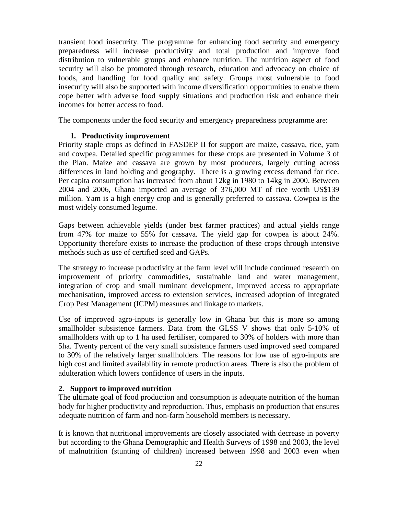transient food insecurity. The programme for enhancing food security and emergency preparedness will increase productivity and total production and improve food distribution to vulnerable groups and enhance nutrition. The nutrition aspect of food security will also be promoted through research, education and advocacy on choice of foods, and handling for food quality and safety. Groups most vulnerable to food insecurity will also be supported with income diversification opportunities to enable them cope better with adverse food supply situations and production risk and enhance their incomes for better access to food.

The components under the food security and emergency preparedness programme are:

### **1. Productivity improvement**

Priority staple crops as defined in FASDEP II for support are maize, cassava, rice, yam and cowpea. Detailed specific programmes for these crops are presented in Volume 3 of the Plan. Maize and cassava are grown by most producers, largely cutting across differences in land holding and geography. There is a growing excess demand for rice. Per capita consumption has increased from about 12kg in 1980 to 14kg in 2000. Between 2004 and 2006, Ghana imported an average of 376,000 MT of rice worth US\$139 million. Yam is a high energy crop and is generally preferred to cassava. Cowpea is the most widely consumed legume.

Gaps between achievable yields (under best farmer practices) and actual yields range from 47% for maize to 55% for cassava. The yield gap for cowpea is about 24%. Opportunity therefore exists to increase the production of these crops through intensive methods such as use of certified seed and GAPs.

The strategy to increase productivity at the farm level will include continued research on improvement of priority commodities, sustainable land and water management, integration of crop and small ruminant development, improved access to appropriate mechanisation, improved access to extension services, increased adoption of Integrated Crop Pest Management (ICPM) measures and linkage to markets.

Use of improved agro-inputs is generally low in Ghana but this is more so among smallholder subsistence farmers. Data from the GLSS V shows that only 5-10% of smallholders with up to 1 ha used fertiliser, compared to 30% of holders with more than 5ha. Twenty percent of the very small subsistence farmers used improved seed compared to 30% of the relatively larger smallholders. The reasons for low use of agro-inputs are high cost and limited availability in remote production areas. There is also the problem of adulteration which lowers confidence of users in the inputs.

# **2. Support to improved nutrition**

The ultimate goal of food production and consumption is adequate nutrition of the human body for higher productivity and reproduction. Thus, emphasis on production that ensures adequate nutrition of farm and non-farm household members is necessary.

It is known that nutritional improvements are closely associated with decrease in poverty but according to the Ghana Demographic and Health Surveys of 1998 and 2003, the level of malnutrition (stunting of children) increased between 1998 and 2003 even when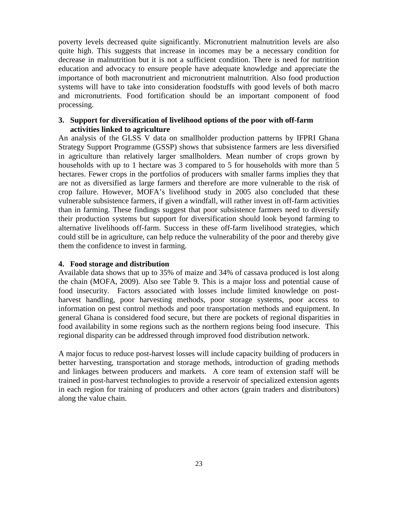poverty levels decreased quite significantly. Micronutrient malnutrition levels are also quite high. This suggests that increase in incomes may be a necessary condition for decrease in malnutrition but it is not a sufficient condition. There is need for nutrition education and advocacy to ensure people have adequate knowledge and appreciate the importance of both macronutrient and micronutrient malnutrition. Also food production systems will have to take into consideration foodstuffs with good levels of both macro and micronutrients. Food fortification should be an important component of food processing.

### **3. Support for diversification of livelihood options of the poor with off-farm activities linked to agriculture**

An analysis of the GLSS V data on smallholder production patterns by IFPRI Ghana Strategy Support Programme (GSSP) shows that subsistence farmers are less diversified in agriculture than relatively larger smallholders. Mean number of crops grown by households with up to 1 hectare was 3 compared to 5 for households with more than 5 hectares. Fewer crops in the portfolios of producers with smaller farms implies they that are not as diversified as large farmers and therefore are more vulnerable to the risk of crop failure. However, MOFA's livelihood study in 2005 also concluded that these vulnerable subsistence farmers, if given a windfall, will rather invest in off-farm activities than in farming. These findings suggest that poor subsistence farmers need to diversify their production systems but support for diversification should look beyond farming to alternative livelihoods off-farm. Success in these off-farm livelihood strategies, which could still be in agriculture, can help reduce the vulnerability of the poor and thereby give them the confidence to invest in farming.

#### **4. Food storage and distribution**

Available data shows that up to 35% of maize and 34% of cassava produced is lost along the chain (MOFA, 2009). Also see Table 9. This is a major loss and potential cause of food insecurity. Factors associated with losses include limited knowledge on postharvest handling, poor harvesting methods, poor storage systems, poor access to information on pest control methods and poor transportation methods and equipment. In general Ghana is considered food secure, but there are pockets of regional disparities in food availability in some regions such as the northern regions being food insecure. This regional disparity can be addressed through improved food distribution network.

A major focus to reduce post-harvest losses will include capacity building of producers in better harvesting, transportation and storage methods, introduction of grading methods and linkages between producers and markets. A core team of extension staff will be trained in post-harvest technologies to provide a reservoir of specialized extension agents in each region for training of producers and other actors (grain traders and distributors) along the value chain.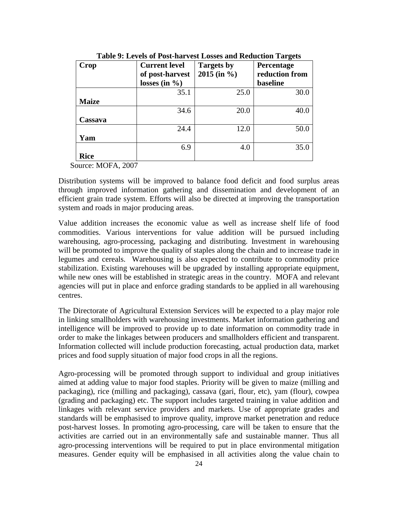| Crop         | <b>Current level</b> | <b>Targets by</b> | o<br>Percentage |
|--------------|----------------------|-------------------|-----------------|
|              | of post-harvest      | $2015$ (in %)     | reduction from  |
|              | losses (in $\%$ )    |                   | baseline        |
|              | 35.1                 | 25.0              | 30.0            |
| <b>Maize</b> |                      |                   |                 |
|              | 34.6                 | 20.0              | 40.0            |
| Cassava      |                      |                   |                 |
|              | 24.4                 | 12.0              | 50.0            |
| Yam          |                      |                   |                 |
|              | 6.9                  | 4.0               | 35.0            |
| <b>Rice</b>  |                      |                   |                 |

**Table 9: Levels of Post-harvest Losses and Reduction Targets**

Source: MOFA, 2007

Distribution systems will be improved to balance food deficit and food surplus areas through improved information gathering and dissemination and development of an efficient grain trade system. Efforts will also be directed at improving the transportation system and roads in major producing areas.

Value addition increases the economic value as well as increase shelf life of food commodities. Various interventions for value addition will be pursued including warehousing, agro-processing, packaging and distributing. Investment in warehousing will be promoted to improve the quality of staples along the chain and to increase trade in legumes and cereals. Warehousing is also expected to contribute to commodity price stabilization. Existing warehouses will be upgraded by installing appropriate equipment, while new ones will be established in strategic areas in the country. MOFA and relevant agencies will put in place and enforce grading standards to be applied in all warehousing centres.

The Directorate of Agricultural Extension Services will be expected to a play major role in linking smallholders with warehousing investments. Market information gathering and intelligence will be improved to provide up to date information on commodity trade in order to make the linkages between producers and smallholders efficient and transparent. Information collected will include production forecasting, actual production data, market prices and food supply situation of major food crops in all the regions.

Agro-processing will be promoted through support to individual and group initiatives aimed at adding value to major food staples. Priority will be given to maize (milling and packaging), rice (milling and packaging), cassava (gari, flour, etc), yam (flour), cowpea (grading and packaging) etc. The support includes targeted training in value addition and linkages with relevant service providers and markets. Use of appropriate grades and standards will be emphasised to improve quality, improve market penetration and reduce post-harvest losses. In promoting agro-processing, care will be taken to ensure that the activities are carried out in an environmentally safe and sustainable manner. Thus all agro-processing interventions will be required to put in place environmental mitigation measures. Gender equity will be emphasised in all activities along the value chain to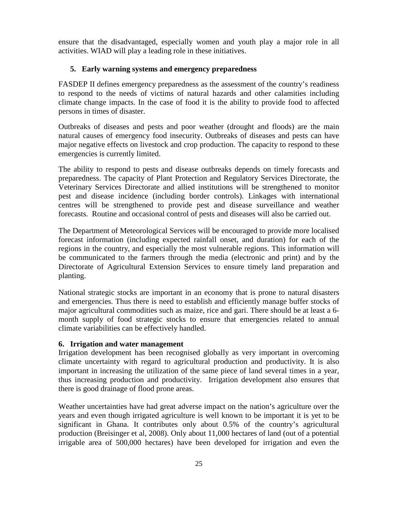ensure that the disadvantaged, especially women and youth play a major role in all activities. WIAD will play a leading role in these initiatives.

### **5. Early warning systems and emergency preparedness**

FASDEP II defines emergency preparedness as the assessment of the country's readiness to respond to the needs of victims of natural hazards and other calamities including climate change impacts. In the case of food it is the ability to provide food to affected persons in times of disaster.

Outbreaks of diseases and pests and poor weather (drought and floods) are the main natural causes of emergency food insecurity. Outbreaks of diseases and pests can have major negative effects on livestock and crop production. The capacity to respond to these emergencies is currently limited.

The ability to respond to pests and disease outbreaks depends on timely forecasts and preparedness. The capacity of Plant Protection and Regulatory Services Directorate, the Veterinary Services Directorate and allied institutions will be strengthened to monitor pest and disease incidence (including border controls). Linkages with international centres will be strengthened to provide pest and disease surveillance and weather forecasts. Routine and occasional control of pests and diseases will also be carried out.

The Department of Meteorological Services will be encouraged to provide more localised forecast information (including expected rainfall onset, and duration) for each of the regions in the country, and especially the most vulnerable regions. This information will be communicated to the farmers through the media (electronic and print) and by the Directorate of Agricultural Extension Services to ensure timely land preparation and planting.

National strategic stocks are important in an economy that is prone to natural disasters and emergencies. Thus there is need to establish and efficiently manage buffer stocks of major agricultural commodities such as maize, rice and gari. There should be at least a 6 month supply of food strategic stocks to ensure that emergencies related to annual climate variabilities can be effectively handled.

### **6. Irrigation and water management**

Irrigation development has been recognised globally as very important in overcoming climate uncertainty with regard to agricultural production and productivity. It is also important in increasing the utilization of the same piece of land several times in a year, thus increasing production and productivity. Irrigation development also ensures that there is good drainage of flood prone areas.

Weather uncertainties have had great adverse impact on the nation's agriculture over the years and even though irrigated agriculture is well known to be important it is yet to be significant in Ghana. It contributes only about 0.5% of the country's agricultural production (Breisinger et al, 2008). Only about 11,000 hectares of land (out of a potential irrigable area of 500,000 hectares) have been developed for irrigation and even the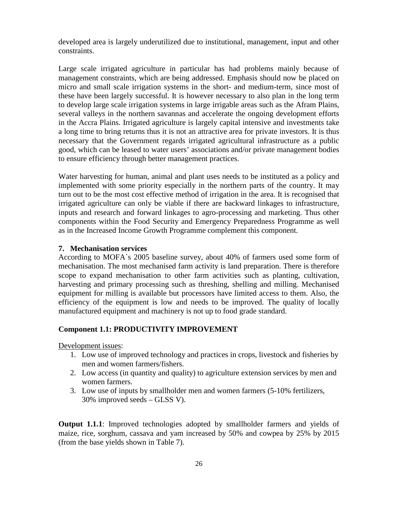developed area is largely underutilized due to institutional, management, input and other constraints.

Large scale irrigated agriculture in particular has had problems mainly because of management constraints, which are being addressed. Emphasis should now be placed on micro and small scale irrigation systems in the short- and medium-term, since most of these have been largely successful. It is however necessary to also plan in the long term to develop large scale irrigation systems in large irrigable areas such as the Afram Plains, several valleys in the northern savannas and accelerate the ongoing development efforts in the Accra Plains. Irrigated agriculture is largely capital intensive and investments take a long time to bring returns thus it is not an attractive area for private investors. It is thus necessary that the Government regards irrigated agricultural infrastructure as a public good, which can be leased to water users' associations and/or private management bodies to ensure efficiency through better management practices.

Water harvesting for human, animal and plant uses needs to be instituted as a policy and implemented with some priority especially in the northern parts of the country. It may turn out to be the most cost effective method of irrigation in the area. It is recognised that irrigated agriculture can only be viable if there are backward linkages to infrastructure, inputs and research and forward linkages to agro-processing and marketing. Thus other components within the Food Security and Emergency Preparedness Programme as well as in the Increased Income Growth Programme complement this component.

#### **7. Mechanisation services**

According to MOFA`s 2005 baseline survey, about 40% of farmers used some form of mechanisation. The most mechanised farm activity is land preparation. There is therefore scope to expand mechanisation to other farm activities such as planting, cultivation, harvesting and primary processing such as threshing, shelling and milling. Mechanised equipment for milling is available but processors have limited access to them. Also, the efficiency of the equipment is low and needs to be improved. The quality of locally manufactured equipment and machinery is not up to food grade standard.

# **Component 1.1: PRODUCTIVITY IMPROVEMENT**

Development issues:

- 1. Low use of improved technology and practices in crops, livestock and fisheries by men and women farmers/fishers.
- 2. Low access (in quantity and quality) to agriculture extension services by men and women farmers.
- 3. Low use of inputs by smallholder men and women farmers (5-10% fertilizers, 30% improved seeds – GLSS V).

**Output 1.1.1**: Improved technologies adopted by smallholder farmers and yields of maize, rice, sorghum, cassava and yam increased by 50% and cowpea by 25% by 2015 (from the base yields shown in Table 7).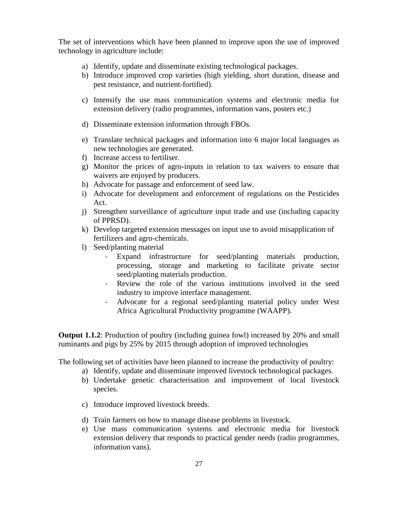The set of interventions which have been planned to improve upon the use of improved technology in agriculture include:

- a) Identify, update and disseminate existing technological packages.
- b) Introduce improved crop varieties (high yielding, short duration, disease and pest resistance, and nutrient-fortified).
- c) Intensify the use mass communication systems and electronic media for extension delivery (radio programmes, information vans, posters etc.)
- d) Disseminate extension information through FBOs.
- e) Translate technical packages and information into 6 major local languages as new technologies are generated.
- f) Increase access to fertiliser.
- g) Monitor the prices of agro-inputs in relation to tax waivers to ensure that waivers are enjoyed by producers.
- h) Advocate for passage and enforcement of seed law.
- i) Advocate for development and enforcement of regulations on the Pesticides Act.
- j) Strengthen surveillance of agriculture input trade and use (including capacity of PPRSD).
- k) Develop targeted extension messages on input use to avoid misapplication of fertilizers and agro-chemicals.
- l) Seed/planting material
	- Expand infrastructure for seed/planting materials production, processing, storage and marketing to facilitate private sector seed/planting materials production.
	- Review the role of the various institutions involved in the seed industry to improve interface management.
	- Advocate for a regional seed/planting material policy under West Africa Agricultural Productivity programme (WAAPP).

**Output 1.1.2**: Production of poultry (including guinea fowl) increased by 20% and small ruminants and pigs by 25% by 2015 through adoption of improved technologies

The following set of activities have been planned to increase the productivity of poultry:

- a) Identify, update and disseminate improved livestock technological packages.
- b) Undertake genetic characterisation and improvement of local livestock species.
- c) Introduce improved livestock breeds.
- d) Train farmers on how to manage disease problems in livestock.
- e) Use mass communication systems and electronic media for livestock extension delivery that responds to practical gender needs (radio programmes, information vans).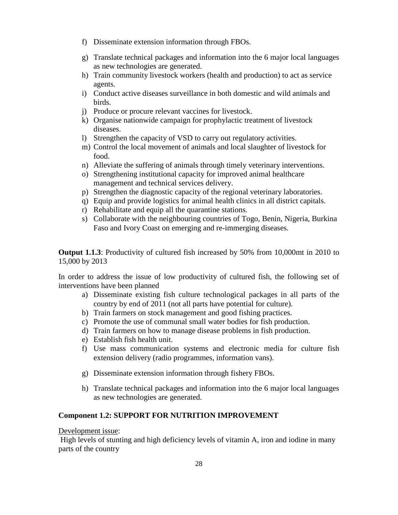- f) Disseminate extension information through FBOs.
- g) Translate technical packages and information into the 6 major local languages as new technologies are generated.
- h) Train community livestock workers (health and production) to act as service agents.
- i) Conduct active diseases surveillance in both domestic and wild animals and birds.
- j) Produce or procure relevant vaccines for livestock.
- k) Organise nationwide campaign for prophylactic treatment of livestock diseases.
- l) Strengthen the capacity of VSD to carry out regulatory activities.
- m) Control the local movement of animals and local slaughter of livestock for food.
- n) Alleviate the suffering of animals through timely veterinary interventions.
- o) Strengthening institutional capacity for improved animal healthcare management and technical services delivery.
- p) Strengthen the diagnostic capacity of the regional veterinary laboratories.
- q) Equip and provide logistics for animal health clinics in all district capitals.
- r) Rehabilitate and equip all the quarantine stations.
- s) Collaborate with the neighbouring countries of Togo, Benin, Nigeria, Burkina Faso and Ivory Coast on emerging and re-immerging diseases.

**Output 1.1.3**: Productivity of cultured fish increased by 50% from 10,000mt in 2010 to 15,000 by 2013

In order to address the issue of low productivity of cultured fish, the following set of interventions have been planned

- a) Disseminate existing fish culture technological packages in all parts of the country by end of 2011 (not all parts have potential for culture).
- b) Train farmers on stock management and good fishing practices.
- c) Promote the use of communal small water bodies for fish production.
- d) Train farmers on how to manage disease problems in fish production.
- e) Establish fish health unit.
- f) Use mass communication systems and electronic media for culture fish extension delivery (radio programmes, information vans).
- g) Disseminate extension information through fishery FBOs.
- h) Translate technical packages and information into the 6 major local languages as new technologies are generated.

# **Component 1.2: SUPPORT FOR NUTRITION IMPROVEMENT**

### Development issue:

High levels of stunting and high deficiency levels of vitamin A, iron and iodine in many parts of the country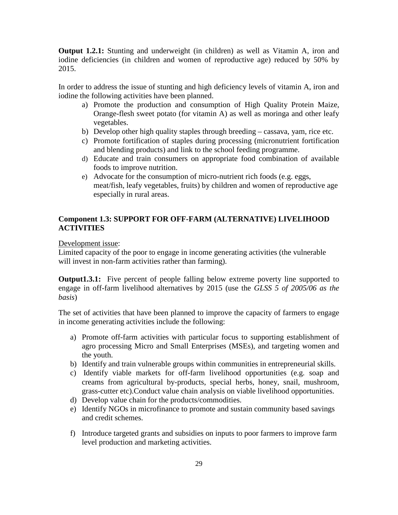**Output 1.2.1:** Stunting and underweight (in children) as well as Vitamin A, iron and iodine deficiencies (in children and women of reproductive age) reduced by 50% by 2015.

In order to address the issue of stunting and high deficiency levels of vitamin A, iron and iodine the following activities have been planned.

- a) Promote the production and consumption of High Quality Protein Maize, Orange-flesh sweet potato (for vitamin A) as well as moringa and other leafy vegetables.
- b) Develop other high quality staples through breeding cassava, yam, rice etc.
- c) Promote fortification of staples during processing (micronutrient fortification and blending products) and link to the school feeding programme.
- d) Educate and train consumers on appropriate food combination of available foods to improve nutrition.
- e) Advocate for the consumption of micro-nutrient rich foods (e.g. eggs, meat/fish, leafy vegetables, fruits) by children and women of reproductive age especially in rural areas.

# **Component 1.3: SUPPORT FOR OFF-FARM (ALTERNATIVE) LIVELIHOOD ACTIVITIES**

Development issue:

Limited capacity of the poor to engage in income generating activities (the vulnerable will invest in non-farm activities rather than farming).

**Output1.3.1:** Five percent of people falling below extreme poverty line supported to engage in off-farm livelihood alternatives by 2015 (use the *GLSS 5 of 2005/06 as the basis*)

The set of activities that have been planned to improve the capacity of farmers to engage in income generating activities include the following:

- a) Promote off-farm activities with particular focus to supporting establishment of agro processing Micro and Small Enterprises (MSEs), and targeting women and the youth.
- b) Identify and train vulnerable groups within communities in entrepreneurial skills.
- c) Identify viable markets for off-farm livelihood opportunities (e.g. soap and creams from agricultural by-products, special herbs, honey, snail, mushroom, grass-cutter etc).Conduct value chain analysis on viable livelihood opportunities.
- d) Develop value chain for the products/commodities.
- e) Identify NGOs in microfinance to promote and sustain community based savings and credit schemes.
- f) Introduce targeted grants and subsidies on inputs to poor farmers to improve farm level production and marketing activities.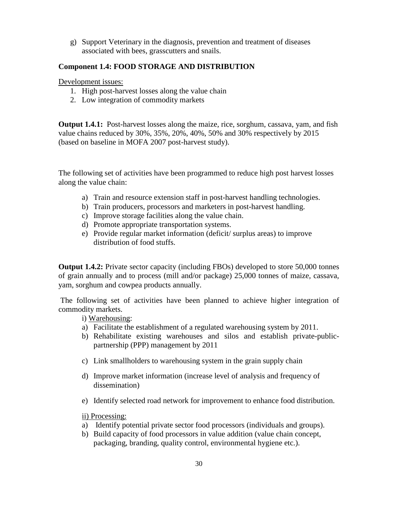g) Support Veterinary in the diagnosis, prevention and treatment of diseases associated with bees, grasscutters and snails.

## **Component 1.4: FOOD STORAGE AND DISTRIBUTION**

Development issues:

- 1. High post-harvest losses along the value chain
- 2. Low integration of commodity markets

**Output 1.4.1:** Post-harvest losses along the maize, rice, sorghum, cassava, yam, and fish value chains reduced by 30%, 35%, 20%, 40%, 50% and 30% respectively by 2015 (based on baseline in MOFA 2007 post-harvest study).

The following set of activities have been programmed to reduce high post harvest losses along the value chain:

- a) Train and resource extension staff in post-harvest handling technologies.
- b) Train producers, processors and marketers in post-harvest handling.
- c) Improve storage facilities along the value chain.
- d) Promote appropriate transportation systems.
- e) Provide regular market information (deficit/ surplus areas) to improve distribution of food stuffs.

**Output 1.4.2:** Private sector capacity (including FBOs) developed to store 50,000 tonnes of grain annually and to process (mill and/or package) 25,000 tonnes of maize, cassava, yam, sorghum and cowpea products annually.

The following set of activities have been planned to achieve higher integration of commodity markets.

i) Warehousing:

- a) Facilitate the establishment of a regulated warehousing system by 2011.
- b) Rehabilitate existing warehouses and silos and establish private-publicpartnership (PPP) management by 2011
- c) Link smallholders to warehousing system in the grain supply chain
- d) Improve market information (increase level of analysis and frequency of dissemination)
- e) Identify selected road network for improvement to enhance food distribution.

ii) Processing:

- a) Identify potential private sector food processors (individuals and groups).
- b) Build capacity of food processors in value addition (value chain concept, packaging, branding, quality control, environmental hygiene etc.).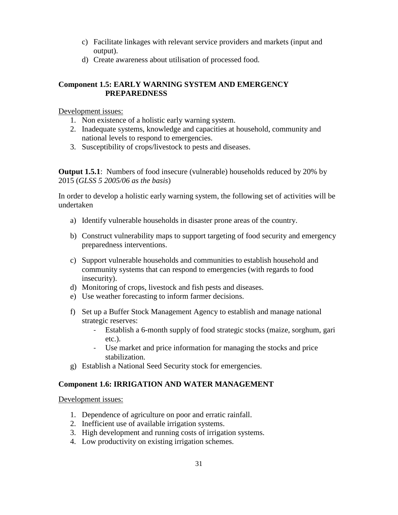- c) Facilitate linkages with relevant service providers and markets (input and output).
- d) Create awareness about utilisation of processed food.

# **Component 1.5: EARLY WARNING SYSTEM AND EMERGENCY PREPAREDNESS**

Development issues:

- 1. Non existence of a holistic early warning system.
- 2. Inadequate systems, knowledge and capacities at household, community and national levels to respond to emergencies.
- 3. Susceptibility of crops/livestock to pests and diseases.

**Output 1.5.1**: Numbers of food insecure (vulnerable) households reduced by 20% by 2015 (*GLSS 5 2005/06 as the basis*)

In order to develop a holistic early warning system, the following set of activities will be undertaken

- a) Identify vulnerable households in disaster prone areas of the country.
- b) Construct vulnerability maps to support targeting of food security and emergency preparedness interventions.
- c) Support vulnerable households and communities to establish household and community systems that can respond to emergencies (with regards to food insecurity).
- d) Monitoring of crops, livestock and fish pests and diseases.
- e) Use weather forecasting to inform farmer decisions.
- f) Set up a Buffer Stock Management Agency to establish and manage national strategic reserves:
	- Establish a 6-month supply of food strategic stocks (maize, sorghum, gari etc.).
	- Use market and price information for managing the stocks and price stabilization.
- g) Establish a National Seed Security stock for emergencies.

# **Component 1.6: IRRIGATION AND WATER MANAGEMENT**

Development issues:

- 1. Dependence of agriculture on poor and erratic rainfall.
- 2. Inefficient use of available irrigation systems.
- 3. High development and running costs of irrigation systems.
- 4. Low productivity on existing irrigation schemes.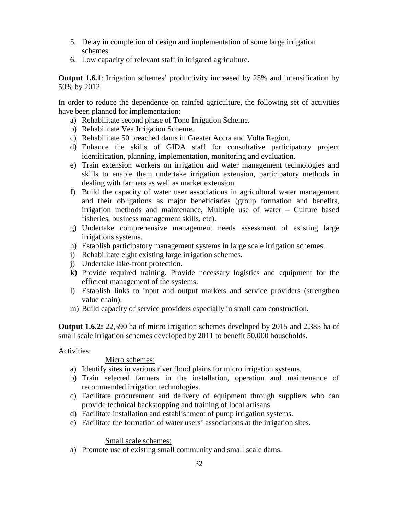- 5. Delay in completion of design and implementation of some large irrigation schemes.
- 6. Low capacity of relevant staff in irrigated agriculture.

**Output 1.6.1**: Irrigation schemes' productivity increased by 25% and intensification by 50% by 2012

In order to reduce the dependence on rainfed agriculture, the following set of activities have been planned for implementation:

- a) Rehabilitate second phase of Tono Irrigation Scheme.
- b) Rehabilitate Vea Irrigation Scheme.
- c) Rehabilitate 50 breached dams in Greater Accra and Volta Region.
- d) Enhance the skills of GIDA staff for consultative participatory project identification, planning, implementation, monitoring and evaluation.
- e) Train extension workers on irrigation and water management technologies and skills to enable them undertake irrigation extension, participatory methods in dealing with farmers as well as market extension.
- f) Build the capacity of water user associations in agricultural water management and their obligations as major beneficiaries (group formation and benefits, irrigation methods and maintenance, Multiple use of water – Culture based fisheries, business management skills, etc).
- g) Undertake comprehensive management needs assessment of existing large irrigations systems.
- h) Establish participatory management systems in large scale irrigation schemes.
- i) Rehabilitate eight existing large irrigation schemes.
- j) Undertake lake-front protection.
- **k)** Provide required training. Provide necessary logistics and equipment for the efficient management of the systems.
- l) Establish links to input and output markets and service providers (strengthen value chain).
- m) Build capacity of service providers especially in small dam construction.

**Output 1.6.2:** 22,590 ha of micro irrigation schemes developed by 2015 and 2,385 ha of small scale irrigation schemes developed by 2011 to benefit 50,000 households.

# Activities:

# Micro schemes:

- a) Identify sites in various river flood plains for micro irrigation systems.
- b) Train selected farmers in the installation, operation and maintenance of recommended irrigation technologies.
- c) Facilitate procurement and delivery of equipment through suppliers who can provide technical backstopping and training of local artisans.
- d) Facilitate installation and establishment of pump irrigation systems.
- e) Facilitate the formation of water users' associations at the irrigation sites.

# Small scale schemes:

a) Promote use of existing small community and small scale dams.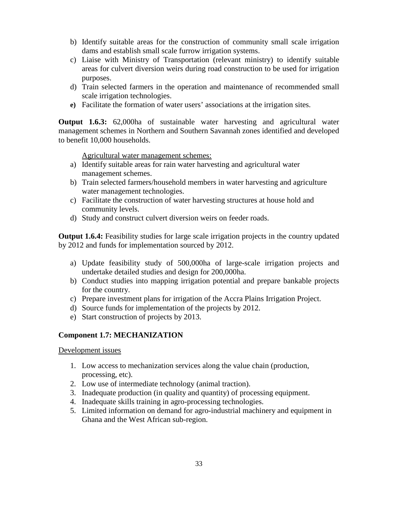- b) Identify suitable areas for the construction of community small scale irrigation dams and establish small scale furrow irrigation systems.
- c) Liaise with Ministry of Transportation (relevant ministry) to identify suitable areas for culvert diversion weirs during road construction to be used for irrigation purposes.
- d) Train selected farmers in the operation and maintenance of recommended small scale irrigation technologies.
- **e)** Facilitate the formation of water users' associations at the irrigation sites.

**Output 1.6.3:** 62,000ha of sustainable water harvesting and agricultural water management schemes in Northern and Southern Savannah zones identified and developed to benefit 10,000 households.

Agricultural water management schemes:

- a) Identify suitable areas for rain water harvesting and agricultural water management schemes.
- b) Train selected farmers/household members in water harvesting and agriculture water management technologies.
- c) Facilitate the construction of water harvesting structures at house hold and community levels.
- d) Study and construct culvert diversion weirs on feeder roads.

**Output 1.6.4:** Feasibility studies for large scale irrigation projects in the country updated by 2012 and funds for implementation sourced by 2012.

- a) Update feasibility study of 500,000ha of large-scale irrigation projects and undertake detailed studies and design for 200,000ha.
- b) Conduct studies into mapping irrigation potential and prepare bankable projects for the country.
- c) Prepare investment plans for irrigation of the Accra Plains Irrigation Project.
- d) Source funds for implementation of the projects by 2012.
- e) Start construction of projects by 2013.

# **Component 1.7: MECHANIZATION**

Development issues

- 1. Low access to mechanization services along the value chain (production, processing, etc).
- 2. Low use of intermediate technology (animal traction).
- 3. Inadequate production (in quality and quantity) of processing equipment.
- 4. Inadequate skills training in agro-processing technologies.
- 5. Limited information on demand for agro-industrial machinery and equipment in Ghana and the West African sub-region.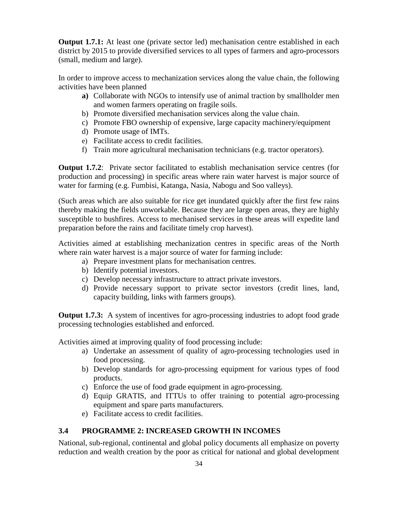**Output 1.7.1:** At least one (private sector led) mechanisation centre established in each district by 2015 to provide diversified services to all types of farmers and agro-processors (small, medium and large).

In order to improve access to mechanization services along the value chain, the following activities have been planned

- **a)** Collaborate with NGOs to intensify use of animal traction by smallholder men and women farmers operating on fragile soils.
- b) Promote diversified mechanisation services along the value chain.
- c) Promote FBO ownership of expensive, large capacity machinery/equipment
- d) Promote usage of IMTs.
- e) Facilitate access to credit facilities.
- f) Train more agricultural mechanisation technicians (e.g. tractor operators).

**Output 1.7.2:** Private sector facilitated to establish mechanisation service centres (for production and processing) in specific areas where rain water harvest is major source of water for farming (e.g. Fumbisi, Katanga, Nasia, Nabogu and Soo valleys).

(Such areas which are also suitable for rice get inundated quickly after the first few rains thereby making the fields unworkable. Because they are large open areas, they are highly susceptible to bushfires. Access to mechanised services in these areas will expedite land preparation before the rains and facilitate timely crop harvest).

Activities aimed at establishing mechanization centres in specific areas of the North where rain water harvest is a major source of water for farming include:

- a) Prepare investment plans for mechanisation centres.
- b) Identify potential investors.
- c) Develop necessary infrastructure to attract private investors.
- d) Provide necessary support to private sector investors (credit lines, land, capacity building, links with farmers groups).

**Output 1.7.3:** A system of incentives for agro-processing industries to adopt food grade processing technologies established and enforced.

Activities aimed at improving quality of food processing include:

- a) Undertake an assessment of quality of agro-processing technologies used in food processing.
- b) Develop standards for agro-processing equipment for various types of food products.
- c) Enforce the use of food grade equipment in agro-processing.
- d) Equip GRATIS, and ITTUs to offer training to potential agro-processing equipment and spare parts manufacturers.
- e) Facilitate access to credit facilities.

# **3.4 PROGRAMME 2: INCREASED GROWTH IN INCOMES**

National, sub-regional, continental and global policy documents all emphasize on poverty reduction and wealth creation by the poor as critical for national and global development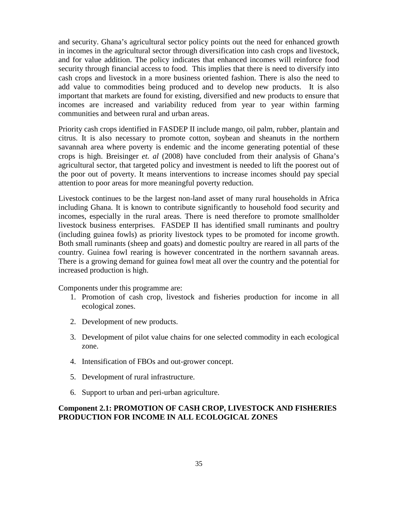and security. Ghana's agricultural sector policy points out the need for enhanced growth in incomes in the agricultural sector through diversification into cash crops and livestock, and for value addition. The policy indicates that enhanced incomes will reinforce food security through financial access to food. This implies that there is need to diversify into cash crops and livestock in a more business oriented fashion. There is also the need to add value to commodities being produced and to develop new products. It is also important that markets are found for existing, diversified and new products to ensure that incomes are increased and variability reduced from year to year within farming communities and between rural and urban areas.

Priority cash crops identified in FASDEP II include mango, oil palm, rubber, plantain and citrus. It is also necessary to promote cotton, soybean and sheanuts in the northern savannah area where poverty is endemic and the income generating potential of these crops is high. Breisinger *et. al* (2008) have concluded from their analysis of Ghana's agricultural sector, that targeted policy and investment is needed to lift the poorest out of the poor out of poverty. It means interventions to increase incomes should pay special attention to poor areas for more meaningful poverty reduction.

Livestock continues to be the largest non-land asset of many rural households in Africa including Ghana. It is known to contribute significantly to household food security and incomes, especially in the rural areas. There is need therefore to promote smallholder livestock business enterprises. FASDEP II has identified small ruminants and poultry (including guinea fowls) as priority livestock types to be promoted for income growth. Both small ruminants (sheep and goats) and domestic poultry are reared in all parts of the country. Guinea fowl rearing is however concentrated in the northern savannah areas. There is a growing demand for guinea fowl meat all over the country and the potential for increased production is high.

Components under this programme are:

- 1. Promotion of cash crop, livestock and fisheries production for income in all ecological zones.
- 2. Development of new products.
- 3. Development of pilot value chains for one selected commodity in each ecological zone.
- 4. Intensification of FBOs and out-grower concept.
- 5. Development of rural infrastructure.
- 6. Support to urban and peri-urban agriculture.

# **Component 2.1: PROMOTION OF CASH CROP, LIVESTOCK AND FISHERIES PRODUCTION FOR INCOME IN ALL ECOLOGICAL ZONES**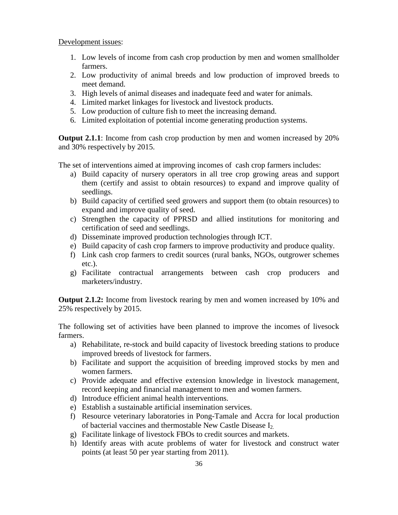Development issues:

- 1. Low levels of income from cash crop production by men and women smallholder farmers.
- 2. Low productivity of animal breeds and low production of improved breeds to meet demand.
- 3. High levels of animal diseases and inadequate feed and water for animals.
- 4. Limited market linkages for livestock and livestock products.
- 5. Low production of culture fish to meet the increasing demand.
- 6. Limited exploitation of potential income generating production systems.

**Output 2.1.1**: Income from cash crop production by men and women increased by 20% and 30% respectively by 2015.

The set of interventions aimed at improving incomes of cash crop farmers includes:

- a) Build capacity of nursery operators in all tree crop growing areas and support them (certify and assist to obtain resources) to expand and improve quality of seedlings.
- b) Build capacity of certified seed growers and support them (to obtain resources) to expand and improve quality of seed.
- c) Strengthen the capacity of PPRSD and allied institutions for monitoring and certification of seed and seedlings.
- d) Disseminate improved production technologies through ICT.
- e) Build capacity of cash crop farmers to improve productivity and produce quality.
- f) Link cash crop farmers to credit sources (rural banks, NGOs, outgrower schemes etc.).
- g) Facilitate contractual arrangements between cash crop producers and marketers/industry.

**Output 2.1.2:** Income from livestock rearing by men and women increased by 10% and 25% respectively by 2015.

The following set of activities have been planned to improve the incomes of livesock farmers.

- a) Rehabilitate, re-stock and build capacity of livestock breeding stations to produce improved breeds of livestock for farmers.
- b) Facilitate and support the acquisition of breeding improved stocks by men and women farmers.
- c) Provide adequate and effective extension knowledge in livestock management, record keeping and financial management to men and women farmers.
- d) Introduce efficient animal health interventions.
- e) Establish a sustainable artificial insemination services.
- f) Resource veterinary laboratories in Pong-Tamale and Accra for local production of bacterial vaccines and thermostable New Castle Disease I2.
- g) Facilitate linkage of livestock FBOs to credit sources and markets.
- h) Identify areas with acute problems of water for livestock and construct water points (at least 50 per year starting from 2011).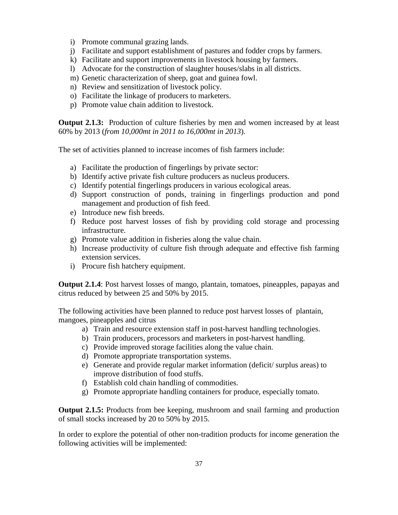- i) Promote communal grazing lands.
- j) Facilitate and support establishment of pastures and fodder crops by farmers.
- k) Facilitate and support improvements in livestock housing by farmers.
- l) Advocate for the construction of slaughter houses/slabs in all districts.
- m) Genetic characterization of sheep, goat and guinea fowl.
- n) Review and sensitization of livestock policy.
- o) Facilitate the linkage of producers to marketers.
- p) Promote value chain addition to livestock.

**Output 2.1.3:** Production of culture fisheries by men and women increased by at least 60% by 2013 (*from 10,000mt in 2011 to 16,000mt in 2013*).

The set of activities planned to increase incomes of fish farmers include:

- a) Facilitate the production of fingerlings by private sector:
- b) Identify active private fish culture producers as nucleus producers.
- c) Identify potential fingerlings producers in various ecological areas.
- d) Support construction of ponds, training in fingerlings production and pond management and production of fish feed.
- e) Introduce new fish breeds.
- f) Reduce post harvest losses of fish by providing cold storage and processing infrastructure.
- g) Promote value addition in fisheries along the value chain.
- h) Increase productivity of culture fish through adequate and effective fish farming extension services.
- i) Procure fish hatchery equipment.

**Output 2.1.4**: Post harvest losses of mango, plantain, tomatoes, pineapples, papayas and citrus reduced by between 25 and 50% by 2015.

The following activities have been planned to reduce post harvest losses of plantain, mangoes, pineapples and citrus

- a) Train and resource extension staff in post-harvest handling technologies.
- b) Train producers, processors and marketers in post-harvest handling.
- c) Provide improved storage facilities along the value chain.
- d) Promote appropriate transportation systems.
- e) Generate and provide regular market information (deficit/ surplus areas) to improve distribution of food stuffs.
- f) Establish cold chain handling of commodities.
- g) Promote appropriate handling containers for produce, especially tomato.

**Output 2.1.5:** Products from bee keeping, mushroom and snail farming and production of small stocks increased by 20 to 50% by 2015.

In order to explore the potential of other non-tradition products for income generation the following activities will be implemented: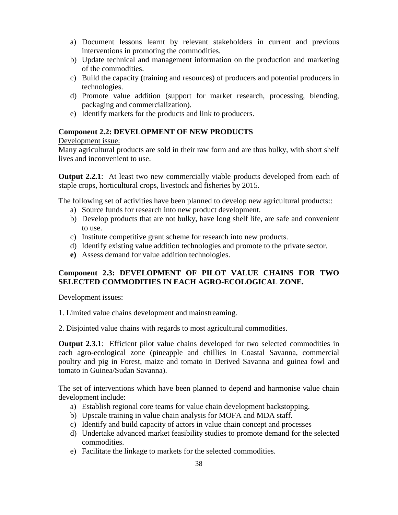- a) Document lessons learnt by relevant stakeholders in current and previous interventions in promoting the commodities.
- b) Update technical and management information on the production and marketing of the commodities.
- c) Build the capacity (training and resources) of producers and potential producers in technologies.
- d) Promote value addition (support for market research, processing, blending, packaging and commercialization).
- e) Identify markets for the products and link to producers.

# **Component 2.2: DEVELOPMENT OF NEW PRODUCTS**

### Development issue:

Many agricultural products are sold in their raw form and are thus bulky, with short shelf lives and inconvenient to use.

**Output 2.2.1**: At least two new commercially viable products developed from each of staple crops, horticultural crops, livestock and fisheries by 2015.

The following set of activities have been planned to develop new agricultural products::

- a) Source funds for research into new product development.
- b) Develop products that are not bulky, have long shelf life, are safe and convenient to use.
- c) Institute competitive grant scheme for research into new products.
- d) Identify existing value addition technologies and promote to the private sector.
- **e)** Assess demand for value addition technologies.

# **Component 2.3: DEVELOPMENT OF PILOT VALUE CHAINS FOR TWO SELECTED COMMODITIES IN EACH AGRO-ECOLOGICAL ZONE.**

### Development issues:

- 1. Limited value chains development and mainstreaming.
- 2. Disjointed value chains with regards to most agricultural commodities.

**Output 2.3.1**: Efficient pilot value chains developed for two selected commodities in each agro-ecological zone (pineapple and chillies in Coastal Savanna, commercial poultry and pig in Forest, maize and tomato in Derived Savanna and guinea fowl and tomato in Guinea/Sudan Savanna).

The set of interventions which have been planned to depend and harmonise value chain development include:

- a) Establish regional core teams for value chain development backstopping.
- b) Upscale training in value chain analysis for MOFA and MDA staff.
- c) Identify and build capacity of actors in value chain concept and processes
- d) Undertake advanced market feasibility studies to promote demand for the selected commodities.
- e) Facilitate the linkage to markets for the selected commodities.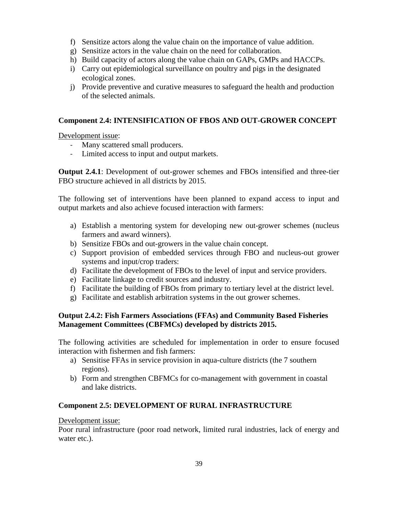- f) Sensitize actors along the value chain on the importance of value addition.
- g) Sensitize actors in the value chain on the need for collaboration.
- h) Build capacity of actors along the value chain on GAPs, GMPs and HACCPs.
- i) Carry out epidemiological surveillance on poultry and pigs in the designated ecological zones.
- j) Provide preventive and curative measures to safeguard the health and production of the selected animals.

# **Component 2.4: INTENSIFICATION OF FBOS AND OUT-GROWER CONCEPT**

Development issue:

- Many scattered small producers.
- Limited access to input and output markets.

**Output 2.4.1**: Development of out-grower schemes and FBOs intensified and three-tier FBO structure achieved in all districts by 2015.

The following set of interventions have been planned to expand access to input and output markets and also achieve focused interaction with farmers:

- a) Establish a mentoring system for developing new out-grower schemes (nucleus farmers and award winners).
- b) Sensitize FBOs and out-growers in the value chain concept.
- c) Support provision of embedded services through FBO and nucleus-out grower systems and input/crop traders:
- d) Facilitate the development of FBOs to the level of input and service providers.
- e) Facilitate linkage to credit sources and industry.
- f) Facilitate the building of FBOs from primary to tertiary level at the district level.
- g) Facilitate and establish arbitration systems in the out grower schemes.

# **Output 2.4.2: Fish Farmers Associations (FFAs) and Community Based Fisheries Management Committees (CBFMCs) developed by districts 2015.**

The following activities are scheduled for implementation in order to ensure focused interaction with fishermen and fish farmers:

- a) Sensitise FFAs in service provision in aqua-culture districts (the 7 southern regions).
- b) Form and strengthen CBFMCs for co-management with government in coastal and lake districts.

# **Component 2.5: DEVELOPMENT OF RURAL INFRASTRUCTURE**

# Development issue:

Poor rural infrastructure (poor road network, limited rural industries, lack of energy and water etc.).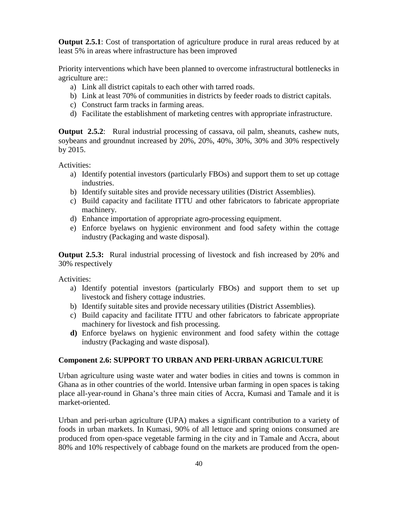**Output 2.5.1**: Cost of transportation of agriculture produce in rural areas reduced by at least 5% in areas where infrastructure has been improved

Priority interventions which have been planned to overcome infrastructural bottlenecks in agriculture are::

- a) Link all district capitals to each other with tarred roads.
- b) Link at least 70% of communities in districts by feeder roads to district capitals.
- c) Construct farm tracks in farming areas.
- d) Facilitate the establishment of marketing centres with appropriate infrastructure.

**Output 2.5.2:** Rural industrial processing of cassava, oil palm, sheanuts, cashew nuts, soybeans and groundnut increased by 20%, 20%, 40%, 30%, 30% and 30% respectively by 2015.

Activities:

- a) Identify potential investors (particularly FBOs) and support them to set up cottage industries.
- b) Identify suitable sites and provide necessary utilities (District Assemblies).
- c) Build capacity and facilitate ITTU and other fabricators to fabricate appropriate machinery.
- d) Enhance importation of appropriate agro-processing equipment.
- e) Enforce byelaws on hygienic environment and food safety within the cottage industry (Packaging and waste disposal).

**Output 2.5.3:** Rural industrial processing of livestock and fish increased by 20% and 30% respectively

Activities:

- a) Identify potential investors (particularly FBOs) and support them to set up livestock and fishery cottage industries.
- b) Identify suitable sites and provide necessary utilities (District Assemblies).
- c) Build capacity and facilitate ITTU and other fabricators to fabricate appropriate machinery for livestock and fish processing.
- **d)** Enforce byelaws on hygienic environment and food safety within the cottage industry (Packaging and waste disposal).

### **Component 2.6: SUPPORT TO URBAN AND PERI-URBAN AGRICULTURE**

Urban agriculture using waste water and water bodies in cities and towns is common in Ghana as in other countries of the world. Intensive urban farming in open spaces is taking place all-year-round in Ghana's three main cities of Accra, Kumasi and Tamale and it is market-oriented.

Urban and peri-urban agriculture (UPA) makes a significant contribution to a variety of foods in urban markets. In Kumasi, 90% of all lettuce and spring onions consumed are produced from open-space vegetable farming in the city and in Tamale and Accra, about 80% and 10% respectively of cabbage found on the markets are produced from the open-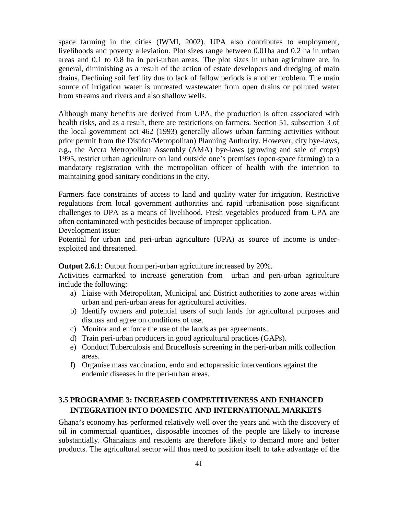space farming in the cities (IWMI, 2002). UPA also contributes to employment, livelihoods and poverty alleviation. Plot sizes range between 0.01ha and 0.2 ha in urban areas and 0.1 to 0.8 ha in peri-urban areas. The plot sizes in urban agriculture are, in general, diminishing as a result of the action of estate developers and dredging of main drains. Declining soil fertility due to lack of fallow periods is another problem. The main source of irrigation water is untreated wastewater from open drains or polluted water from streams and rivers and also shallow wells.

Although many benefits are derived from UPA, the production is often associated with health risks, and as a result, there are restrictions on farmers. Section 51, subsection 3 of the local government act 462 (1993) generally allows urban farming activities without prior permit from the District/Metropolitan) Planning Authority. However, city bye-laws, e.g., the Accra Metropolitan Assembly (AMA) bye-laws (growing and sale of crops) 1995, restrict urban agriculture on land outside one's premises (open-space farming) to a mandatory registration with the metropolitan officer of health with the intention to maintaining good sanitary conditions in the city.

Farmers face constraints of access to land and quality water for irrigation. Restrictive regulations from local government authorities and rapid urbanisation pose significant challenges to UPA as a means of livelihood. Fresh vegetables produced from UPA are often contaminated with pesticides because of improper application.

Development issue:

Potential for urban and peri-urban agriculture (UPA) as source of income is underexploited and threatened.

**Output 2.6.1**: Output from peri-urban agriculture increased by 20%.

Activities earmarked to increase generation from urban and peri-urban agriculture include the following:

- a) Liaise with Metropolitan, Municipal and District authorities to zone areas within urban and peri-urban areas for agricultural activities.
- b) Identify owners and potential users of such lands for agricultural purposes and discuss and agree on conditions of use.
- c) Monitor and enforce the use of the lands as per agreements.
- d) Train peri-urban producers in good agricultural practices (GAPs).
- e) Conduct Tuberculosis and Brucellosis screening in the peri-urban milk collection areas.
- f) Organise mass vaccination, endo and ectoparasitic interventions against the endemic diseases in the peri-urban areas.

# **3.5 PROGRAMME 3: INCREASED COMPETITIVENESS AND ENHANCED INTEGRATION INTO DOMESTIC AND INTERNATIONAL MARKETS**

Ghana's economy has performed relatively well over the years and with the discovery of oil in commercial quantities, disposable incomes of the people are likely to increase substantially. Ghanaians and residents are therefore likely to demand more and better products. The agricultural sector will thus need to position itself to take advantage of the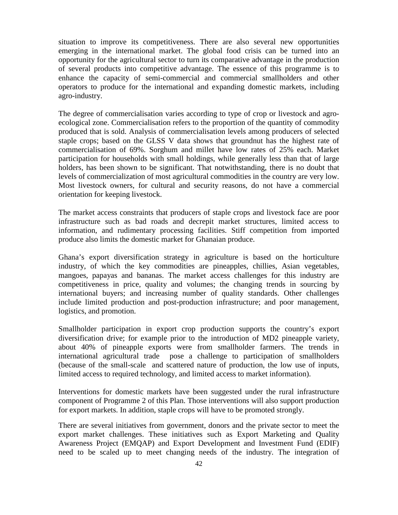situation to improve its competitiveness. There are also several new opportunities emerging in the international market. The global food crisis can be turned into an opportunity for the agricultural sector to turn its comparative advantage in the production of several products into competitive advantage. The essence of this programme is to enhance the capacity of semi-commercial and commercial smallholders and other operators to produce for the international and expanding domestic markets, including agro-industry.

The degree of commercialisation varies according to type of crop or livestock and agroecological zone. Commercialisation refers to the proportion of the quantity of commodity produced that is sold. Analysis of commercialisation levels among producers of selected staple crops; based on the GLSS V data shows that groundnut has the highest rate of commercialisation of 69%. Sorghum and millet have low rates of 25% each. Market participation for households with small holdings, while generally less than that of large holders, has been shown to be significant. That notwithstanding, there is no doubt that levels of commercialization of most agricultural commodities in the country are very low. Most livestock owners, for cultural and security reasons, do not have a commercial orientation for keeping livestock.

The market access constraints that producers of staple crops and livestock face are poor infrastructure such as bad roads and decrepit market structures, limited access to information, and rudimentary processing facilities. Stiff competition from imported produce also limits the domestic market for Ghanaian produce.

Ghana's export diversification strategy in agriculture is based on the horticulture industry, of which the key commodities are pineapples, chillies, Asian vegetables, mangoes, papayas and bananas. The market access challenges for this industry are competitiveness in price, quality and volumes; the changing trends in sourcing by international buyers; and increasing number of quality standards. Other challenges include limited production and post-production infrastructure; and poor management, logistics, and promotion.

Smallholder participation in export crop production supports the country's export diversification drive; for example prior to the introduction of MD2 pineapple variety, about 40% of pineapple exports were from smallholder farmers. The trends in international agricultural trade pose a challenge to participation of smallholders (because of the small-scale and scattered nature of production, the low use of inputs, limited access to required technology, and limited access to market information).

Interventions for domestic markets have been suggested under the rural infrastructure component of Programme 2 of this Plan. Those interventions will also support production for export markets. In addition, staple crops will have to be promoted strongly.

There are several initiatives from government, donors and the private sector to meet the export market challenges. These initiatives such as Export Marketing and Quality Awareness Project (EMQAP) and Export Development and Investment Fund (EDIF) need to be scaled up to meet changing needs of the industry. The integration of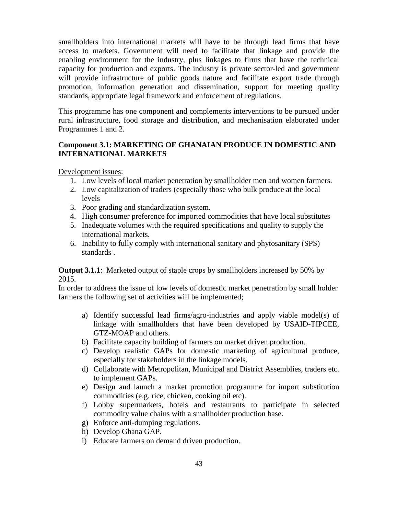smallholders into international markets will have to be through lead firms that have access to markets. Government will need to facilitate that linkage and provide the enabling environment for the industry, plus linkages to firms that have the technical capacity for production and exports. The industry is private sector-led and government will provide infrastructure of public goods nature and facilitate export trade through promotion, information generation and dissemination, support for meeting quality standards, appropriate legal framework and enforcement of regulations.

This programme has one component and complements interventions to be pursued under rural infrastructure, food storage and distribution, and mechanisation elaborated under Programmes 1 and 2.

# **Component 3.1: MARKETING OF GHANAIAN PRODUCE IN DOMESTIC AND INTERNATIONAL MARKETS**

Development issues:

- 1. Low levels of local market penetration by smallholder men and women farmers.
- 2. Low capitalization of traders (especially those who bulk produce at the local levels
- 3. Poor grading and standardization system.
- 4. High consumer preference for imported commodities that have local substitutes
- 5. Inadequate volumes with the required specifications and quality to supply the international markets.
- 6. Inability to fully comply with international sanitary and phytosanitary (SPS) standards .

**Output 3.1.1**: Marketed output of staple crops by smallholders increased by 50% by 2015.

In order to address the issue of low levels of domestic market penetration by small holder farmers the following set of activities will be implemented;

- a) Identify successful lead firms/agro-industries and apply viable model(s) of linkage with smallholders that have been developed by USAID-TIPCEE, GTZ-MOAP and others.
- b) Facilitate capacity building of farmers on market driven production.
- c) Develop realistic GAPs for domestic marketing of agricultural produce, especially for stakeholders in the linkage models.
- d) Collaborate with Metropolitan, Municipal and District Assemblies, traders etc. to implement GAPs.
- e) Design and launch a market promotion programme for import substitution commodities (e.g. rice, chicken, cooking oil etc).
- f) Lobby supermarkets, hotels and restaurants to participate in selected commodity value chains with a smallholder production base.
- g) Enforce anti-dumping regulations.
- h) Develop Ghana GAP.
- i) Educate farmers on demand driven production.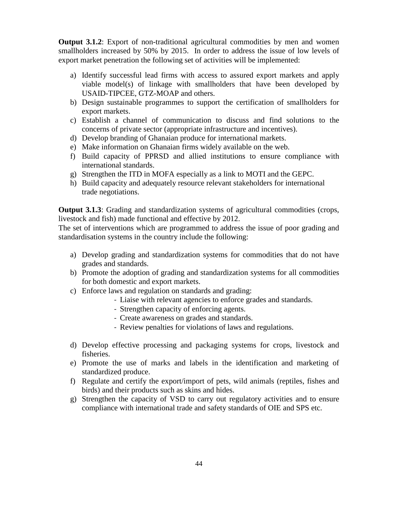**Output 3.1.2**: Export of non-traditional agricultural commodities by men and women smallholders increased by 50% by 2015. In order to address the issue of low levels of export market penetration the following set of activities will be implemented:

- a) Identify successful lead firms with access to assured export markets and apply viable model(s) of linkage with smallholders that have been developed by USAID-TIPCEE, GTZ-MOAP and others.
- b) Design sustainable programmes to support the certification of smallholders for export markets.
- c) Establish a channel of communication to discuss and find solutions to the concerns of private sector (appropriate infrastructure and incentives).
- d) Develop branding of Ghanaian produce for international markets.
- e) Make information on Ghanaian firms widely available on the web.
- f) Build capacity of PPRSD and allied institutions to ensure compliance with international standards.
- g) Strengthen the ITD in MOFA especially as a link to MOTI and the GEPC.
- h) Build capacity and adequately resource relevant stakeholders for international trade negotiations.

**Output 3.1.3**: Grading and standardization systems of agricultural commodities (crops, livestock and fish) made functional and effective by 2012.

The set of interventions which are programmed to address the issue of poor grading and standardisation systems in the country include the following:

- a) Develop grading and standardization systems for commodities that do not have grades and standards.
- b) Promote the adoption of grading and standardization systems for all commodities for both domestic and export markets.
- c) Enforce laws and regulation on standards and grading:
	- Liaise with relevant agencies to enforce grades and standards.
	- Strengthen capacity of enforcing agents.
	- Create awareness on grades and standards.
	- Review penalties for violations of laws and regulations.
- d) Develop effective processing and packaging systems for crops, livestock and fisheries.
- e) Promote the use of marks and labels in the identification and marketing of standardized produce.
- f) Regulate and certify the export/import of pets, wild animals (reptiles, fishes and birds) and their products such as skins and hides.
- g) Strengthen the capacity of VSD to carry out regulatory activities and to ensure compliance with international trade and safety standards of OIE and SPS etc.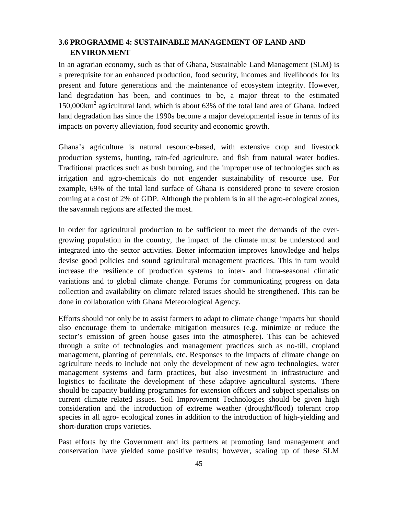# **3.6 PROGRAMME 4: SUSTAINABLE MANAGEMENT OF LAND AND ENVIRONMENT**

In an agrarian economy, such as that of Ghana, Sustainable Land Management (SLM) is a prerequisite for an enhanced production, food security, incomes and livelihoods for its present and future generations and the maintenance of ecosystem integrity. However, land degradation has been, and continues to be, a major threat to the estimated 150,000km<sup>2</sup> agricultural land, which is about 63% of the total land area of Ghana. Indeed land degradation has since the 1990s become a major developmental issue in terms of its impacts on poverty alleviation, food security and economic growth.

Ghana's agriculture is natural resource-based, with extensive crop and livestock production systems, hunting, rain-fed agriculture, and fish from natural water bodies. Traditional practices such as bush burning, and the improper use of technologies such as irrigation and agro-chemicals do not engender sustainability of resource use. For example, 69% of the total land surface of Ghana is considered prone to severe erosion coming at a cost of 2% of GDP. Although the problem is in all the agro-ecological zones, the savannah regions are affected the most.

In order for agricultural production to be sufficient to meet the demands of the evergrowing population in the country, the impact of the climate must be understood and integrated into the sector activities. Better information improves knowledge and helps devise good policies and sound agricultural management practices. This in turn would increase the resilience of production systems to inter- and intra-seasonal climatic variations and to global climate change. Forums for communicating progress on data collection and availability on climate related issues should be strengthened. This can be done in collaboration with Ghana Meteorological Agency.

Efforts should not only be to assist farmers to adapt to climate change impacts but should also encourage them to undertake mitigation measures (e.g. minimize or reduce the sector's emission of green house gases into the atmosphere). This can be achieved through a suite of technologies and management practices such as no-till, cropland management, planting of perennials, etc. Responses to the impacts of climate change on agriculture needs to include not only the development of new agro technologies, water management systems and farm practices, but also investment in infrastructure and logistics to facilitate the development of these adaptive agricultural systems. There should be capacity building programmes for extension officers and subject specialists on current climate related issues. Soil Improvement Technologies should be given high consideration and the introduction of extreme weather (drought/flood) tolerant crop species in all agro- ecological zones in addition to the introduction of high-yielding and short-duration crops varieties.

Past efforts by the Government and its partners at promoting land management and conservation have yielded some positive results; however, scaling up of these SLM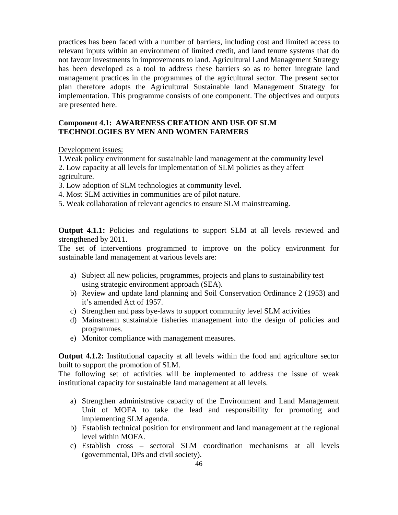practices has been faced with a number of barriers, including cost and limited access to relevant inputs within an environment of limited credit, and land tenure systems that do not favour investments in improvements to land. Agricultural Land Management Strategy has been developed as a tool to address these barriers so as to better integrate land management practices in the programmes of the agricultural sector. The present sector plan therefore adopts the Agricultural Sustainable land Management Strategy for implementation. This programme consists of one component. The objectives and outputs are presented here.

## **Component 4.1: AWARENESS CREATION AND USE OF SLM TECHNOLOGIES BY MEN AND WOMEN FARMERS**

Development issues:

1.Weak policy environment for sustainable land management at the community level 2. Low capacity at all levels for implementation of SLM policies as they affect agriculture.

3. Low adoption of SLM technologies at community level.

- 4. Most SLM activities in communities are of pilot nature.
- 5. Weak collaboration of relevant agencies to ensure SLM mainstreaming.

**Output 4.1.1:** Policies and regulations to support SLM at all levels reviewed and strengthened by 2011.

The set of interventions programmed to improve on the policy environment for sustainable land management at various levels are:

- a) Subject all new policies, programmes, projects and plans to sustainability test using strategic environment approach (SEA).
- b) Review and update land planning and Soil Conservation Ordinance 2 (1953) and it's amended Act of 1957.
- c) Strengthen and pass bye-laws to support community level SLM activities
- d) Mainstream sustainable fisheries management into the design of policies and programmes.
- e) Monitor compliance with management measures.

**Output 4.1.2:** Institutional capacity at all levels within the food and agriculture sector built to support the promotion of SLM.

The following set of activities will be implemented to address the issue of weak institutional capacity for sustainable land management at all levels.

- a) Strengthen administrative capacity of the Environment and Land Management Unit of MOFA to take the lead and responsibility for promoting and implementing SLM agenda.
- b) Establish technical position for environment and land management at the regional level within MOFA.
- c) Establish cross sectoral SLM coordination mechanisms at all levels (governmental, DPs and civil society).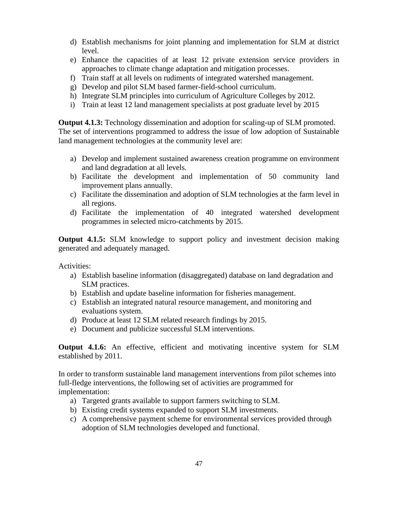- d) Establish mechanisms for joint planning and implementation for SLM at district level.
- e) Enhance the capacities of at least 12 private extension service providers in approaches to climate change adaptation and mitigation processes.
- f) Train staff at all levels on rudiments of integrated watershed management.
- g) Develop and pilot SLM based farmer-field-school curriculum.
- h) Integrate SLM principles into curriculum of Agriculture Colleges by 2012.
- i) Train at least 12 land management specialists at post graduate level by 2015

**Output 4.1.3:** Technology dissemination and adoption for scaling-up of SLM promoted. The set of interventions programmed to address the issue of low adoption of Sustainable land management technologies at the community level are:

- a) Develop and implement sustained awareness creation programme on environment and land degradation at all levels.
- b) Facilitate the development and implementation of 50 community land improvement plans annually.
- c) Facilitate the dissemination and adoption of SLM technologies at the farm level in all regions.
- d) Facilitate the implementation of 40 integrated watershed development programmes in selected micro-catchments by 2015.

**Output 4.1.5:** SLM knowledge to support policy and investment decision making generated and adequately managed.

Activities:

- a) Establish baseline information (disaggregated) database on land degradation and SLM practices.
- b) Establish and update baseline information for fisheries management.
- c) Establish an integrated natural resource management, and monitoring and evaluations system.
- d) Produce at least 12 SLM related research findings by 2015.
- e) Document and publicize successful SLM interventions.

**Output 4.1.6:** An effective, efficient and motivating incentive system for SLM established by 2011.

In order to transform sustainable land management interventions from pilot schemes into full-fledge interventions, the following set of activities are programmed for implementation:

- a) Targeted grants available to support farmers switching to SLM.
- b) Existing credit systems expanded to support SLM investments.
- c) A comprehensive payment scheme for environmental services provided through adoption of SLM technologies developed and functional.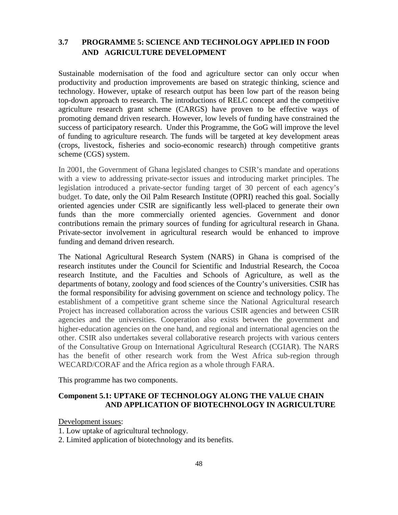# **3.7 PROGRAMME 5: SCIENCE AND TECHNOLOGY APPLIED IN FOOD AND AGRICULTURE DEVELOPMENT**

Sustainable modernisation of the food and agriculture sector can only occur when productivity and production improvements are based on strategic thinking, science and technology. However, uptake of research output has been low part of the reason being top-down approach to research. The introductions of RELC concept and the competitive agriculture research grant scheme (CARGS) have proven to be effective ways of promoting demand driven research. However, low levels of funding have constrained the success of participatory research. Under this Programme, the GoG will improve the level of funding to agriculture research. The funds will be targeted at key development areas (crops, livestock, fisheries and socio-economic research) through competitive grants scheme (CGS) system.

In 2001, the Government of Ghana legislated changes to CSIR's mandate and operations with a view to addressing private-sector issues and introducing market principles. The legislation introduced a private-sector funding target of 30 percent of each agency's budget. To date, only the Oil Palm Research Institute (OPRI) reached this goal. Socially oriented agencies under CSIR are significantly less well-placed to generate their own funds than the more commercially oriented agencies. Government and donor contributions remain the primary sources of funding for agricultural research in Ghana. Private-sector involvement in agricultural research would be enhanced to improve funding and demand driven research.

The National Agricultural Research System (NARS) in Ghana is comprised of the research institutes under the Council for Scientific and Industrial Research, the Cocoa research Institute, and the Faculties and Schools of Agriculture, as well as the departments of botany, zoology and food sciences of the Country's universities. CSIR has the formal responsibility for advising government on science and technology policy. The establishment of a competitive grant scheme since the National Agricultural research Project has increased collaboration across the various CSIR agencies and between CSIR agencies and the universities. Cooperation also exists between the government and higher-education agencies on the one hand, and regional and international agencies on the other. CSIR also undertakes several collaborative research projects with various centers of the Consultative Group on International Agricultural Research (CGIAR). The NARS has the benefit of other research work from the West Africa sub-region through WECARD/CORAF and the Africa region as a whole through FARA.

This programme has two components.

### **Component 5.1: UPTAKE OF TECHNOLOGY ALONG THE VALUE CHAIN AND APPLICATION OF BIOTECHNOLOGY IN AGRICULTURE**

Development issues:

1. Low uptake of agricultural technology.

2. Limited application of biotechnology and its benefits.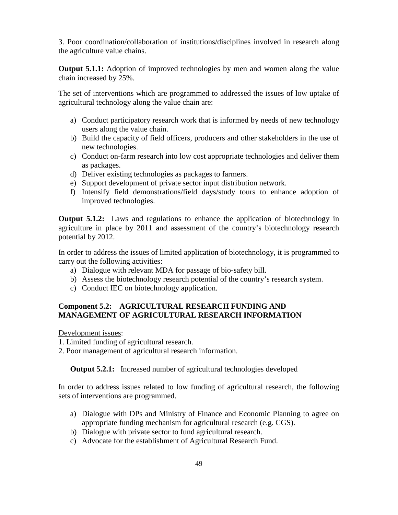3. Poor coordination/collaboration of institutions/disciplines involved in research along the agriculture value chains.

**Output 5.1.1:** Adoption of improved technologies by men and women along the value chain increased by 25%.

The set of interventions which are programmed to addressed the issues of low uptake of agricultural technology along the value chain are:

- a) Conduct participatory research work that is informed by needs of new technology users along the value chain.
- b) Build the capacity of field officers, producers and other stakeholders in the use of new technologies.
- c) Conduct on-farm research into low cost appropriate technologies and deliver them as packages.
- d) Deliver existing technologies as packages to farmers.
- e) Support development of private sector input distribution network.
- f) Intensify field demonstrations/field days/study tours to enhance adoption of improved technologies.

**Output 5.1.2:** Laws and regulations to enhance the application of biotechnology in agriculture in place by 2011 and assessment of the country's biotechnology research potential by 2012.

In order to address the issues of limited application of biotechnology, it is programmed to carry out the following activities:

- a) Dialogue with relevant MDA for passage of bio-safety bill.
- b) Assess the biotechnology research potential of the country's research system.
- c) Conduct IEC on biotechnology application.

# **Component 5.2: AGRICULTURAL RESEARCH FUNDING AND MANAGEMENT OF AGRICULTURAL RESEARCH INFORMATION**

Development issues:

1. Limited funding of agricultural research.

2. Poor management of agricultural research information.

**Output 5.2.1:** Increased number of agricultural technologies developed

In order to address issues related to low funding of agricultural research, the following sets of interventions are programmed.

- a) Dialogue with DPs and Ministry of Finance and Economic Planning to agree on appropriate funding mechanism for agricultural research (e.g. CGS).
- b) Dialogue with private sector to fund agricultural research.
- c) Advocate for the establishment of Agricultural Research Fund.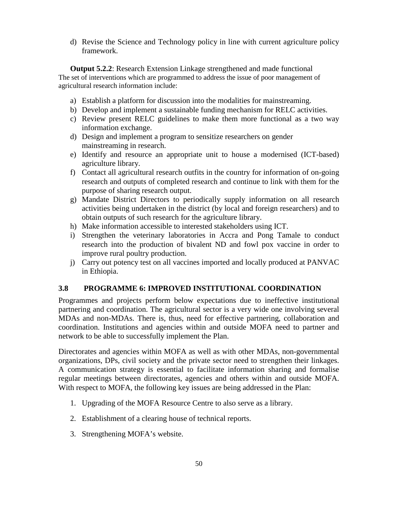d) Revise the Science and Technology policy in line with current agriculture policy framework.

**Output 5.2.2**: Research Extension Linkage strengthened and made functional The set of interventions which are programmed to address the issue of poor management of agricultural research information include:

- a) Establish a platform for discussion into the modalities for mainstreaming.
- b) Develop and implement a sustainable funding mechanism for RELC activities.
- c) Review present RELC guidelines to make them more functional as a two way information exchange.
- d) Design and implement a program to sensitize researchers on gender mainstreaming in research.
- e) Identify and resource an appropriate unit to house a modernised (ICT-based) agriculture library.
- f) Contact all agricultural research outfits in the country for information of on-going research and outputs of completed research and continue to link with them for the purpose of sharing research output.
- g) Mandate District Directors to periodically supply information on all research activities being undertaken in the district (by local and foreign researchers) and to obtain outputs of such research for the agriculture library.
- h) Make information accessible to interested stakeholders using ICT.
- i) Strengthen the veterinary laboratories in Accra and Pong Tamale to conduct research into the production of bivalent ND and fowl pox vaccine in order to improve rural poultry production.
- j) Carry out potency test on all vaccines imported and locally produced at PANVAC in Ethiopia.

# **3.8 PROGRAMME 6: IMPROVED INSTITUTIONAL COORDINATION**

Programmes and projects perform below expectations due to ineffective institutional partnering and coordination. The agricultural sector is a very wide one involving several MDAs and non-MDAs. There is, thus, need for effective partnering, collaboration and coordination. Institutions and agencies within and outside MOFA need to partner and network to be able to successfully implement the Plan.

Directorates and agencies within MOFA as well as with other MDAs, non-governmental organizations, DPs, civil society and the private sector need to strengthen their linkages. A communication strategy is essential to facilitate information sharing and formalise regular meetings between directorates, agencies and others within and outside MOFA. With respect to MOFA, the following key issues are being addressed in the Plan:

- 1. Upgrading of the MOFA Resource Centre to also serve as a library.
- 2. Establishment of a clearing house of technical reports.
- 3. Strengthening MOFA's website.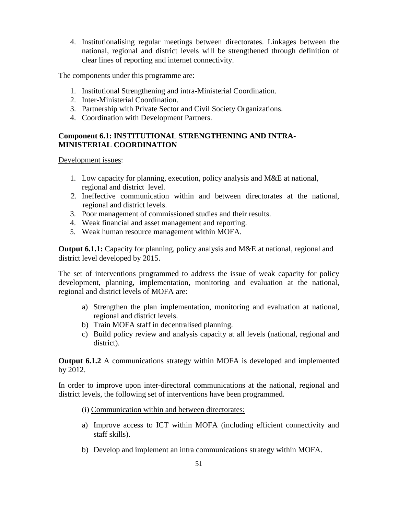4. Institutionalising regular meetings between directorates. Linkages between the national, regional and district levels will be strengthened through definition of clear lines of reporting and internet connectivity.

The components under this programme are:

- 1. Institutional Strengthening and intra-Ministerial Coordination.
- 2. Inter-Ministerial Coordination.
- 3. Partnership with Private Sector and Civil Society Organizations.
- 4. Coordination with Development Partners.

# **Component 6.1: INSTITUTIONAL STRENGTHENING AND INTRA-MINISTERIAL COORDINATION**

Development issues:

- 1. Low capacity for planning, execution, policy analysis and M&E at national, regional and district level.
- 2. Ineffective communication within and between directorates at the national, regional and district levels.
- 3. Poor management of commissioned studies and their results.
- 4. Weak financial and asset management and reporting.
- 5. Weak human resource management within MOFA.

**Output 6.1.1:** Capacity for planning, policy analysis and M&E at national, regional and district level developed by 2015.

The set of interventions programmed to address the issue of weak capacity for policy development, planning, implementation, monitoring and evaluation at the national, regional and district levels of MOFA are:

- a) Strengthen the plan implementation, monitoring and evaluation at national, regional and district levels.
- b) Train MOFA staff in decentralised planning.
- c) Build policy review and analysis capacity at all levels (national, regional and district).

**Output 6.1.2** A communications strategy within MOFA is developed and implemented by 2012.

In order to improve upon inter-directoral communications at the national, regional and district levels, the following set of interventions have been programmed.

- (i) Communication within and between directorates:
- a) Improve access to ICT within MOFA (including efficient connectivity and staff skills).
- b) Develop and implement an intra communications strategy within MOFA.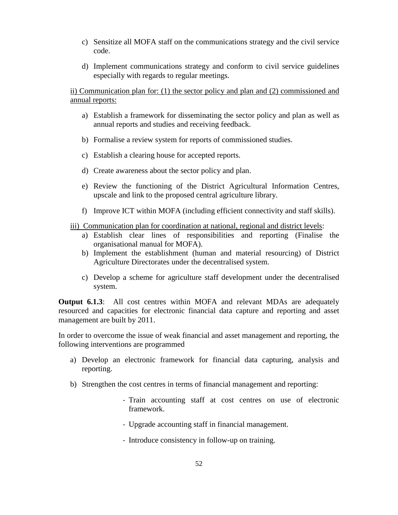- c) Sensitize all MOFA staff on the communications strategy and the civil service code.
- d) Implement communications strategy and conform to civil service guidelines especially with regards to regular meetings.

ii) Communication plan for: (1) the sector policy and plan and (2) commissioned and annual reports:

- a) Establish a framework for disseminating the sector policy and plan as well as annual reports and studies and receiving feedback.
- b) Formalise a review system for reports of commissioned studies.
- c) Establish a clearing house for accepted reports.
- d) Create awareness about the sector policy and plan.
- e) Review the functioning of the District Agricultural Information Centres, upscale and link to the proposed central agriculture library.
- f) Improve ICT within MOFA (including efficient connectivity and staff skills).

## iii) Communication plan for coordination at national, regional and district levels:

- a) Establish clear lines of responsibilities and reporting (Finalise the organisational manual for MOFA).
- b) Implement the establishment (human and material resourcing) of District Agriculture Directorates under the decentralised system.
- c) Develop a scheme for agriculture staff development under the decentralised system.

**Output 6.1.3**: All cost centres within MOFA and relevant MDAs are adequately resourced and capacities for electronic financial data capture and reporting and asset management are built by 2011.

In order to overcome the issue of weak financial and asset management and reporting, the following interventions are programmed

- a) Develop an electronic framework for financial data capturing, analysis and reporting.
- b) Strengthen the cost centres in terms of financial management and reporting:
	- Train accounting staff at cost centres on use of electronic framework.
	- Upgrade accounting staff in financial management.
	- Introduce consistency in follow-up on training.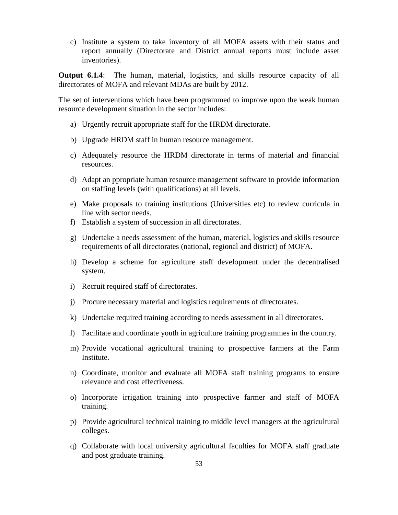c) Institute a system to take inventory of all MOFA assets with their status and report annually (Directorate and District annual reports must include asset inventories).

**Output 6.1.4**: The human, material, logistics, and skills resource capacity of all directorates of MOFA and relevant MDAs are built by 2012.

The set of interventions which have been programmed to improve upon the weak human resource development situation in the sector includes:

- a) Urgently recruit appropriate staff for the HRDM directorate.
- b) Upgrade HRDM staff in human resource management.
- c) Adequately resource the HRDM directorate in terms of material and financial resources.
- d) Adapt an ppropriate human resource management software to provide information on staffing levels (with qualifications) at all levels.
- e) Make proposals to training institutions (Universities etc) to review curricula in line with sector needs.
- f) Establish a system of succession in all directorates.
- g) Undertake a needs assessment of the human, material, logistics and skills resource requirements of all directorates (national, regional and district) of MOFA.
- h) Develop a scheme for agriculture staff development under the decentralised system.
- i) Recruit required staff of directorates.
- j) Procure necessary material and logistics requirements of directorates.
- k) Undertake required training according to needs assessment in all directorates.
- l) Facilitate and coordinate youth in agriculture training programmes in the country.
- m) Provide vocational agricultural training to prospective farmers at the Farm Institute.
- n) Coordinate, monitor and evaluate all MOFA staff training programs to ensure relevance and cost effectiveness.
- o) Incorporate irrigation training into prospective farmer and staff of MOFA training.
- p) Provide agricultural technical training to middle level managers at the agricultural colleges.
- q) Collaborate with local university agricultural faculties for MOFA staff graduate and post graduate training.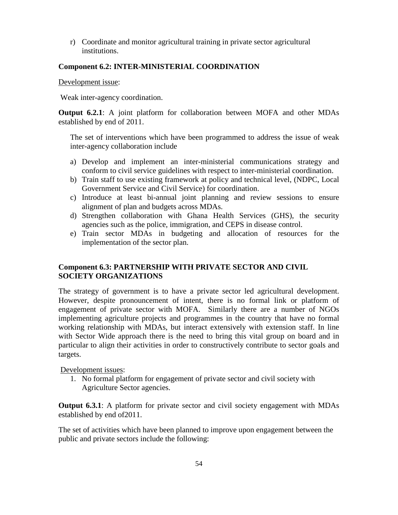r) Coordinate and monitor agricultural training in private sector agricultural institutions.

# **Component 6.2: INTER-MINISTERIAL COORDINATION**

Development issue:

Weak inter-agency coordination.

**Output 6.2.1**: A joint platform for collaboration between MOFA and other MDAs established by end of 2011.

The set of interventions which have been programmed to address the issue of weak inter-agency collaboration include

- a) Develop and implement an inter-ministerial communications strategy and conform to civil service guidelines with respect to inter-ministerial coordination.
- b) Train staff to use existing framework at policy and technical level, (NDPC, Local Government Service and Civil Service) for coordination.
- c) Introduce at least bi-annual joint planning and review sessions to ensure alignment of plan and budgets across MDAs.
- d) Strengthen collaboration with Ghana Health Services (GHS), the security agencies such as the police, immigration, and CEPS in disease control.
- e) Train sector MDAs in budgeting and allocation of resources for the implementation of the sector plan.

# **Component 6.3: PARTNERSHIP WITH PRIVATE SECTOR AND CIVIL SOCIETY ORGANIZATIONS**

The strategy of government is to have a private sector led agricultural development. However, despite pronouncement of intent, there is no formal link or platform of engagement of private sector with MOFA. Similarly there are a number of NGOs implementing agriculture projects and programmes in the country that have no formal working relationship with MDAs, but interact extensively with extension staff. In line with Sector Wide approach there is the need to bring this vital group on board and in particular to align their activities in order to constructively contribute to sector goals and targets.

Development issues:

1. No formal platform for engagement of private sector and civil society with Agriculture Sector agencies.

**Output 6.3.1**: A platform for private sector and civil society engagement with MDAs established by end of2011.

The set of activities which have been planned to improve upon engagement between the public and private sectors include the following: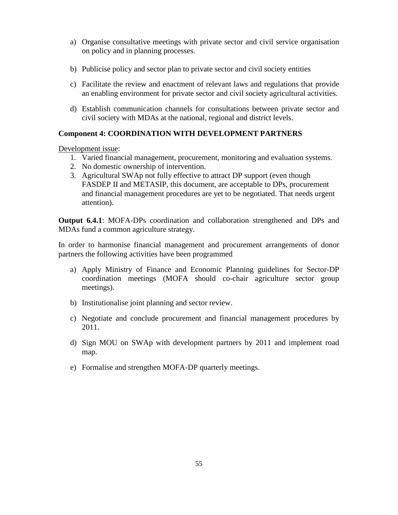- a) Organise consultative meetings with private sector and civil service organisation on policy and in planning processes.
- b) Publicise policy and sector plan to private sector and civil society entities
- c) Facilitate the review and enactment of relevant laws and regulations that provide an enabling environment for private sector and civil society agricultural activities.
- d) Establish communication channels for consultations between private sector and civil society with MDAs at the national, regional and district levels.

# **Component 4: COORDINATION WITH DEVELOPMENT PARTNERS**

Development issue:

- 1. Varied financial management, procurement, monitoring and evaluation systems.
- 2. No domestic ownership of intervention.
- 3. Agricultural SWAp not fully effective to attract DP support (even though FASDEP II and METASIP, this document, are acceptable to DPs, procurement and financial management procedures are yet to be negotiated. That needs urgent attention).

**Output 6.4.1**: MOFA-DPs coordination and collaboration strengthened and DPs and MDAs fund a common agriculture strategy.

In order to harmonise financial management and procurement arrangements of donor partners the following activities have been programmed

- a) Apply Ministry of Finance and Economic Planning guidelines for Sector-DP coordination meetings (MOFA should co-chair agriculture sector group meetings).
- b) Institutionalise joint planning and sector review.
- c) Negotiate and conclude procurement and financial management procedures by 2011.
- d) Sign MOU on SWAp with development partners by 2011 and implement road map.
- e) Formalise and strengthen MOFA-DP quarterly meetings.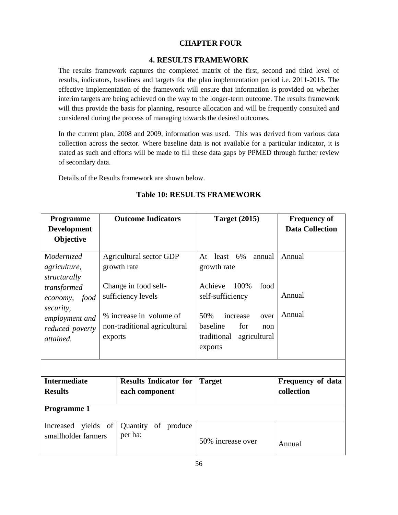## **CHAPTER FOUR**

### **4. RESULTS FRAMEWORK**

The results framework captures the completed matrix of the first, second and third level of results, indicators, baselines and targets for the plan implementation period i.e. 2011-2015. The effective implementation of the framework will ensure that information is provided on whether interim targets are being achieved on the way to the longer-term outcome. The results framework will thus provide the basis for planning, resource allocation and will be frequently consulted and considered during the process of managing towards the desired outcomes.

In the current plan, 2008 and 2009, information was used. This was derived from various data collection across the sector. Where baseline data is not available for a particular indicator, it is stated as such and efforts will be made to fill these data gaps by PPMED through further review of secondary data.

Details of the Results framework are shown below.

| Programme           | <b>Outcome Indicators</b>    |                                | <b>Target (2015)</b>        | <b>Frequency of</b>    |  |  |  |
|---------------------|------------------------------|--------------------------------|-----------------------------|------------------------|--|--|--|
| <b>Development</b>  |                              |                                |                             | <b>Data Collection</b> |  |  |  |
| Objective           |                              |                                |                             |                        |  |  |  |
| Modernized          |                              | <b>Agricultural sector GDP</b> | least $6\%$<br>annual<br>At | Annual                 |  |  |  |
| agriculture,        | growth rate                  |                                | growth rate                 |                        |  |  |  |
| structurally        |                              |                                |                             |                        |  |  |  |
| transformed         |                              | Change in food self-           | 100%<br>Achieve<br>food     |                        |  |  |  |
| food<br>economy,    | sufficiency levels           |                                | self-sufficiency            | Annual                 |  |  |  |
| security,           |                              |                                |                             |                        |  |  |  |
| employment and      | % increase in volume of      |                                | 50%<br>increase<br>over     | Annual                 |  |  |  |
| reduced poverty     | non-traditional agricultural |                                | baseline<br>for<br>non      |                        |  |  |  |
| attained.           | exports                      |                                | traditional<br>agricultural |                        |  |  |  |
|                     |                              |                                | exports                     |                        |  |  |  |
|                     |                              |                                |                             |                        |  |  |  |
| <b>Intermediate</b> |                              | <b>Results Indicator for</b>   | <b>Target</b>               | Frequency of data      |  |  |  |
| <b>Results</b>      |                              | each component                 |                             | collection             |  |  |  |
| Programme 1         |                              |                                |                             |                        |  |  |  |
| yields<br>Increased | of                           | Quantity<br>of produce         |                             |                        |  |  |  |
| smallholder farmers |                              | per ha:                        | 50% increase over           | Annual                 |  |  |  |

# **Table 10: RESULTS FRAMEWORK**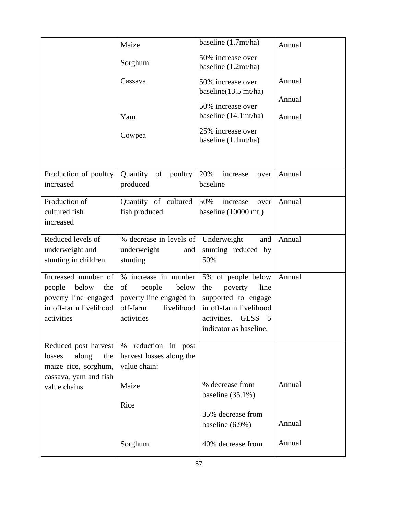|                                                                                                            | Maize                                                                                                            | baseline (1.7mt/ha)                                                                                                                                        | Annual |
|------------------------------------------------------------------------------------------------------------|------------------------------------------------------------------------------------------------------------------|------------------------------------------------------------------------------------------------------------------------------------------------------------|--------|
|                                                                                                            | Sorghum                                                                                                          | 50% increase over<br>baseline (1.2mt/ha)                                                                                                                   |        |
|                                                                                                            | Cassava                                                                                                          | 50% increase over<br>baseline $(13.5 \text{ mt/ha})$                                                                                                       | Annual |
|                                                                                                            |                                                                                                                  | 50% increase over                                                                                                                                          | Annual |
|                                                                                                            | Yam                                                                                                              | baseline $(14.1 \text{mt/ha})$                                                                                                                             | Annual |
|                                                                                                            | Cowpea                                                                                                           | 25% increase over<br>baseline (1.1mt/ha)                                                                                                                   |        |
| Production of poultry<br>increased                                                                         | Quantity of poultry<br>produced                                                                                  | 20%<br>increase<br>over<br>baseline                                                                                                                        | Annual |
| Production of<br>cultured fish<br>increased                                                                | Quantity of cultured<br>fish produced                                                                            | 50%<br>increase<br>over<br>baseline (10000 mt.)                                                                                                            | Annual |
| Reduced levels of<br>underweight and<br>stunting in children                                               | % decrease in levels of Underweight<br>underweight<br>and<br>stunting                                            | and<br>stunting reduced by<br>50%                                                                                                                          | Annual |
| Increased number of<br>people below<br>the<br>poverty line engaged<br>in off-farm livelihood<br>activities | % increase in number<br>people<br>below<br>of<br>poverty line engaged in<br>off-farm<br>livelihood<br>activities | 5% of people below<br>poverty<br>line<br>the<br>supported to engage<br>in off-farm livelihood<br>activities.<br><b>GLSS</b><br>5<br>indicator as baseline. | Annual |
| Reduced post harvest<br>losses<br>along<br>the<br>maize rice, sorghum,<br>cassava, yam and fish            | reduction in post<br>$\%$<br>harvest losses along the<br>value chain:                                            |                                                                                                                                                            |        |
| value chains                                                                                               | Maize                                                                                                            | % decrease from<br>baseline $(35.1\%)$                                                                                                                     | Annual |
|                                                                                                            | Rice                                                                                                             | 35% decrease from<br>baseline $(6.9\%)$                                                                                                                    | Annual |
|                                                                                                            | Sorghum                                                                                                          | 40% decrease from                                                                                                                                          | Annual |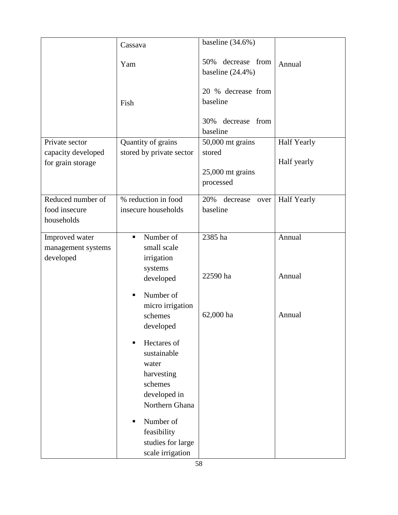|                                                  | Yam                                                                                                                                                                           | decrease from<br>50%<br>baseline $(24.4\%)$                        | Annual             |
|--------------------------------------------------|-------------------------------------------------------------------------------------------------------------------------------------------------------------------------------|--------------------------------------------------------------------|--------------------|
|                                                  | Fish                                                                                                                                                                          | 20 % decrease from<br>baseline<br>decrease from<br>30%<br>baseline |                    |
| Private sector                                   | Quantity of grains                                                                                                                                                            | 50,000 mt grains                                                   | <b>Half Yearly</b> |
| capacity developed                               | stored by private sector                                                                                                                                                      | stored                                                             |                    |
| for grain storage                                |                                                                                                                                                                               | $25,000$ mt grains                                                 | Half yearly        |
|                                                  |                                                                                                                                                                               | processed                                                          |                    |
| Reduced number of<br>food insecure<br>households | % reduction in food<br>insecure households                                                                                                                                    | 20%<br>decrease<br>over<br>baseline                                | <b>Half Yearly</b> |
| Improved water                                   | Number of<br>$\blacksquare$                                                                                                                                                   | 2385 ha                                                            | Annual             |
| management systems<br>developed                  | small scale<br>irrigation<br>systems<br>developed<br>Number of<br>٠                                                                                                           | 22590 ha                                                           | Annual             |
|                                                  | micro irrigation<br>schemes<br>developed                                                                                                                                      | 62,000 ha                                                          | Annual             |
|                                                  | Hectares of<br>٠<br>sustainable<br>water<br>harvesting<br>schemes<br>developed in<br>Northern Ghana<br>Number of<br>٠<br>feasibility<br>studies for large<br>scale irrigation |                                                                    |                    |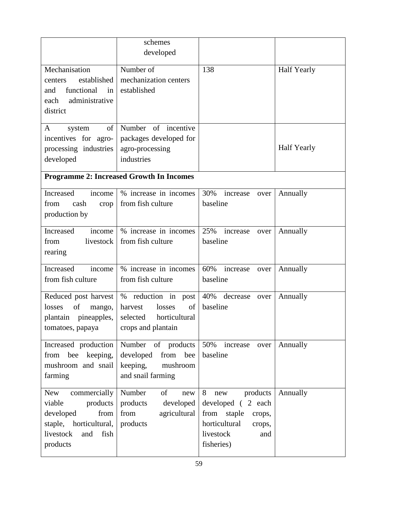|                                                                                                                                     | schemes<br>developed                                                                              |                                                                                                                                 |                    |
|-------------------------------------------------------------------------------------------------------------------------------------|---------------------------------------------------------------------------------------------------|---------------------------------------------------------------------------------------------------------------------------------|--------------------|
| Mechanisation<br>established<br>centers<br>functional<br>and<br>in<br>administrative<br>each<br>district                            | Number of<br>mechanization centers<br>established                                                 | 138                                                                                                                             | <b>Half Yearly</b> |
| of<br>system<br>A<br>incentives for agro-<br>processing industries<br>developed                                                     | Number of incentive<br>packages developed for<br>agro-processing<br>industries                    |                                                                                                                                 | <b>Half Yearly</b> |
|                                                                                                                                     | <b>Programme 2: Increased Growth In Incomes</b>                                                   |                                                                                                                                 |                    |
| Increased<br>income<br>from<br>cash<br>crop<br>production by                                                                        | % increase in incomes<br>from fish culture                                                        | 30%<br>increase<br>over<br>baseline                                                                                             | Annually           |
| Increased<br>income<br>from<br>livestock<br>rearing                                                                                 | % increase in incomes<br>from fish culture                                                        | 25%<br>increase<br>over<br>baseline                                                                                             | Annually           |
| Increased<br>income<br>from fish culture                                                                                            | % increase in incomes<br>from fish culture                                                        | 60%<br>increase<br>over<br>baseline                                                                                             | Annually           |
| Reduced post harvest<br>of<br>losses<br>mango,<br>plantain pineapples,<br>tomatoes, papaya                                          | % reduction in post<br>harvest<br>losses<br>οf<br>selected<br>horticultural<br>crops and plantain | 40% decrease over<br>baseline                                                                                                   | Annually           |
| Increased production<br>from bee keeping,<br>mushroom and snail<br>farming                                                          | Number<br>of products<br>developed<br>from bee<br>keeping,<br>mushroom<br>and snail farming       | 50%<br>increase<br>over<br>baseline                                                                                             | Annually           |
| New<br>commercially<br>products<br>viable<br>developed<br>from<br>horticultural,<br>staple,<br>livestock<br>fish<br>and<br>products | Number<br>of<br>new<br>products<br>developed<br>from<br>agricultural<br>products                  | 8<br>products<br>new<br>developed (2 each<br>from staple<br>crops,<br>horticultural<br>crops,<br>livestock<br>and<br>fisheries) | Annually           |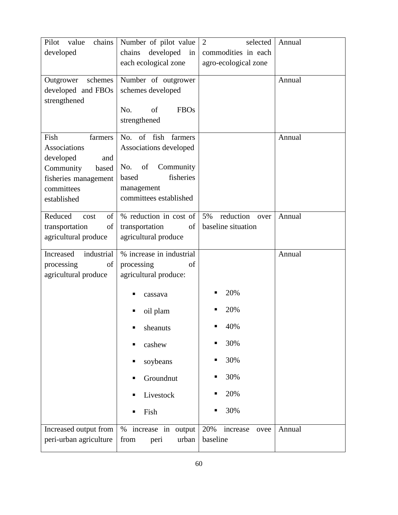| chains<br>Pilot<br>value<br>developed      | Number of pilot value<br>developed<br>chains<br>in | $\overline{2}$<br>selected<br>commodities in each | Annual |
|--------------------------------------------|----------------------------------------------------|---------------------------------------------------|--------|
|                                            | each ecological zone                               | agro-ecological zone                              |        |
| schemes<br>Outgrower<br>developed and FBOs | Number of outgrower<br>schemes developed           |                                                   | Annual |
| strengthened                               |                                                    |                                                   |        |
|                                            | of<br>No.<br><b>FBOs</b><br>strengthened           |                                                   |        |
| Fish<br>farmers                            | No. of fish<br>farmers                             |                                                   | Annual |
| Associations                               | Associations developed                             |                                                   |        |
| developed<br>and                           |                                                    |                                                   |        |
| Community<br>based                         | of<br>Community<br>No.                             |                                                   |        |
| fisheries management                       | fisheries<br>based                                 |                                                   |        |
| committees                                 | management                                         |                                                   |        |
| established                                | committees established                             |                                                   |        |
| Reduced<br>of<br>cost                      | % reduction in cost of                             | reduction<br>5%<br>over                           | Annual |
| transportation<br>of                       | transportation<br>of                               | baseline situation                                |        |
| agricultural produce                       | agricultural produce                               |                                                   |        |
| Increased<br>industrial                    | % increase in industrial                           |                                                   | Annual |
| processing<br>of                           | processing<br>of                                   |                                                   |        |
| agricultural produce                       | agricultural produce:                              |                                                   |        |
|                                            | cassava                                            | 20%                                               |        |
|                                            | oil plam                                           | 20%                                               |        |
|                                            | sheanuts                                           | 40%                                               |        |
|                                            | cashew                                             | 30%                                               |        |
|                                            | soybeans                                           | 30%                                               |        |
|                                            | Groundnut                                          | 30%                                               |        |
|                                            | Livestock                                          | 20%                                               |        |
|                                            | Fish                                               | 30%                                               |        |
| Increased output from                      | $\%$<br>increase in<br>output                      | 20%<br>increase<br>ovee                           | Annual |
| peri-urban agriculture                     | from<br>urban<br>peri                              | baseline                                          |        |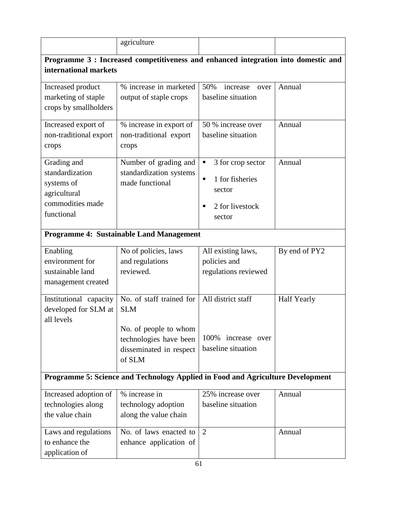|                                                                                                | agriculture                                                                                                                    |                                                                                            |                    |  |  |  |  |
|------------------------------------------------------------------------------------------------|--------------------------------------------------------------------------------------------------------------------------------|--------------------------------------------------------------------------------------------|--------------------|--|--|--|--|
|                                                                                                | Programme 3 : Increased competitiveness and enhanced integration into domestic and                                             |                                                                                            |                    |  |  |  |  |
| international markets                                                                          |                                                                                                                                |                                                                                            |                    |  |  |  |  |
| Increased product<br>marketing of staple<br>crops by smallholders                              | % increase in marketed<br>output of staple crops                                                                               | 50%<br>increase<br>over<br>baseline situation                                              | Annual             |  |  |  |  |
| Increased export of<br>non-traditional export<br>crops                                         | % increase in export of<br>non-traditional export<br>crops                                                                     | 50 % increase over<br>baseline situation                                                   | Annual             |  |  |  |  |
| Grading and<br>standardization<br>systems of<br>agricultural<br>commodities made<br>functional | Number of grading and<br>standardization systems<br>made functional                                                            | 3 for crop sector<br>п<br>1 for fisheries<br>٠<br>sector<br>2 for livestock<br>п<br>sector | Annual             |  |  |  |  |
|                                                                                                | <b>Programme 4: Sustainable Land Management</b>                                                                                |                                                                                            |                    |  |  |  |  |
| Enabling<br>environment for<br>sustainable land<br>management created                          | No of policies, laws<br>and regulations<br>reviewed.                                                                           | All existing laws,<br>policies and<br>regulations reviewed                                 | By end of PY2      |  |  |  |  |
| Institutional capacity<br>developed for SLM at<br>all levels                                   | No. of staff trained for<br><b>SLM</b><br>No. of people to whom<br>technologies have been<br>disseminated in respect<br>of SLM | All district staff<br>increase over<br>100%<br>baseline situation                          | <b>Half Yearly</b> |  |  |  |  |
|                                                                                                | Programme 5: Science and Technology Applied in Food and Agriculture Development                                                |                                                                                            |                    |  |  |  |  |
| Increased adoption of<br>technologies along<br>the value chain                                 | % increase in<br>technology adoption<br>along the value chain                                                                  | 25% increase over<br>baseline situation                                                    | Annual             |  |  |  |  |
| Laws and regulations<br>to enhance the<br>application of                                       | No. of laws enacted to<br>enhance application of                                                                               | 2                                                                                          | Annual             |  |  |  |  |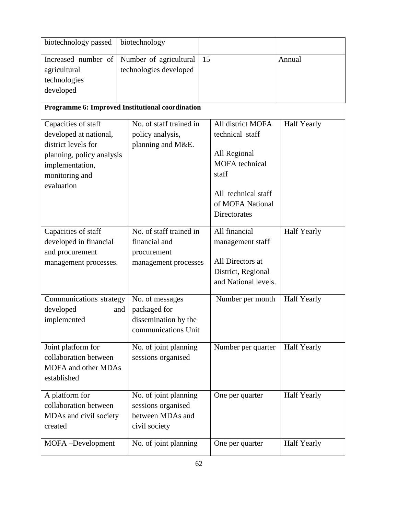| biotechnology passed                                                                                                                                 | biotechnology                                                                         |                                                                                                                                                   |                    |
|------------------------------------------------------------------------------------------------------------------------------------------------------|---------------------------------------------------------------------------------------|---------------------------------------------------------------------------------------------------------------------------------------------------|--------------------|
| Increased number of<br>agricultural<br>technologies<br>developed                                                                                     | Number of agricultural<br>technologies developed                                      | 15                                                                                                                                                | Annual             |
|                                                                                                                                                      | Programme 6: Improved Institutional coordination                                      |                                                                                                                                                   |                    |
| Capacities of staff<br>developed at national,<br>district levels for<br>planning, policy analysis<br>implementation,<br>monitoring and<br>evaluation | No. of staff trained in<br>policy analysis,<br>planning and M&E.                      | All district MOFA<br>technical staff<br>All Regional<br><b>MOFA</b> technical<br>staff<br>All technical staff<br>of MOFA National<br>Directorates | <b>Half Yearly</b> |
| Capacities of staff<br>developed in financial<br>and procurement<br>management processes.                                                            | No. of staff trained in<br>financial and<br>procurement<br>management processes       | All financial<br>management staff<br>All Directors at<br>District, Regional<br>and National levels.                                               | <b>Half Yearly</b> |
| Communications strategy<br>developed<br>implemented                                                                                                  | No. of messages<br>packaged for<br>and<br>dissemination by the<br>communications Unit | Number per month                                                                                                                                  | <b>Half Yearly</b> |
| Joint platform for<br>collaboration between<br><b>MOFA</b> and other MDAs<br>established                                                             | No. of joint planning<br>sessions organised                                           | Number per quarter                                                                                                                                | Half Yearly        |
| A platform for<br>collaboration between<br>MDAs and civil society<br>created                                                                         | No. of joint planning<br>sessions organised<br>between MDAs and<br>civil society      | One per quarter                                                                                                                                   | Half Yearly        |
| MOFA-Development                                                                                                                                     | No. of joint planning                                                                 | One per quarter                                                                                                                                   | <b>Half Yearly</b> |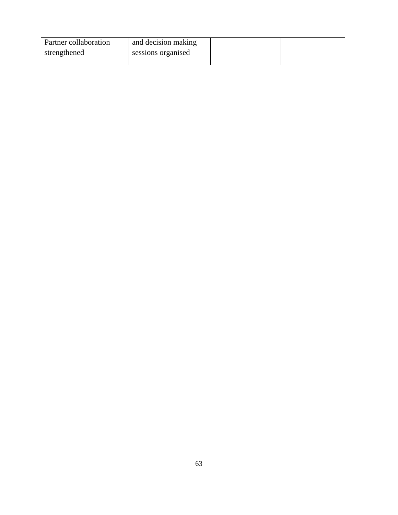| Partner collaboration | and decision making |  |
|-----------------------|---------------------|--|
| strengthened          | sessions organised  |  |
|                       |                     |  |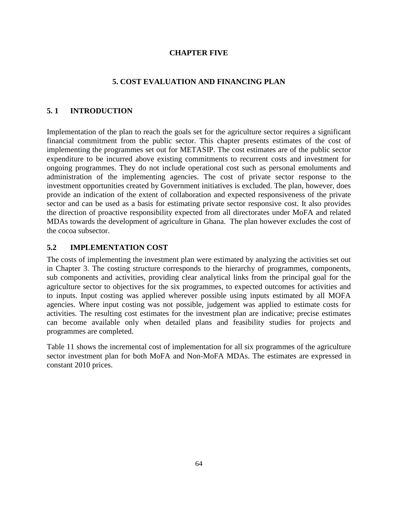## **CHAPTER FIVE**

#### **5. COST EVALUATION AND FINANCING PLAN**

#### **5. 1 INTRODUCTION**

Implementation of the plan to reach the goals set for the agriculture sector requires a significant financial commitment from the public sector. This chapter presents estimates of the cost of implementing the programmes set out for METASIP. The cost estimates are of the public sector expenditure to be incurred above existing commitments to recurrent costs and investment for ongoing programmes. They do not include operational cost such as personal emoluments and administration of the implementing agencies. The cost of private sector response to the investment opportunities created by Government initiatives is excluded. The plan, however, does provide an indication of the extent of collaboration and expected responsiveness of the private sector and can be used as a basis for estimating private sector responsive cost. It also provides the direction of proactive responsibility expected from all directorates under MoFA and related MDAs towards the development of agriculture in Ghana. The plan however excludes the cost of the cocoa subsector.

## **5.2 IMPLEMENTATION COST**

The costs of implementing the investment plan were estimated by analyzing the activities set out in Chapter 3. The costing structure corresponds to the hierarchy of programmes, components, sub components and activities, providing clear analytical links from the principal goal for the agriculture sector to objectives for the six programmes, to expected outcomes for activities and to inputs. Input costing was applied wherever possible using inputs estimated by all MOFA agencies. Where input costing was not possible, judgement was applied to estimate costs for activities. The resulting cost estimates for the investment plan are indicative; precise estimates can become available only when detailed plans and feasibility studies for projects and programmes are completed.

Table 11 shows the incremental cost of implementation for all six programmes of the agriculture sector investment plan for both MoFA and Non-MoFA MDAs. The estimates are expressed in constant 2010 prices.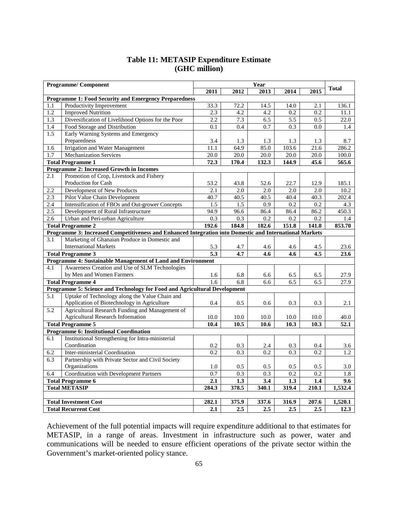|     | <b>Programme/Component</b>                                                                              |       |       | Year              |       |                   |              |
|-----|---------------------------------------------------------------------------------------------------------|-------|-------|-------------------|-------|-------------------|--------------|
|     |                                                                                                         | 2011  | 2012  | 2013              | 2014  | 2015              | <b>Total</b> |
|     | <b>Programme 1: Food Security and Emergency Preparedness</b>                                            |       |       |                   |       |                   |              |
| 1.1 | Productivity Improvement                                                                                | 33.3  | 72.2  | 14.5              | 14.0  | 2.1               | 136.1        |
| 1.2 | <b>Improved Nutrition</b>                                                                               | 2.3   | 4.2   | 4.2               | 0.2   | 0.2               | 11.1         |
| 1.3 | Diversification of Livelihood Options for the Poor                                                      | 2.2   | 7.3   | 6.5               | 5.5   | 0.5               | 22.0         |
| 1.4 | Food Storage and Distribution                                                                           | 0.1   | 0.4   | 0.7               | 0.3   | 0.0               | 1.4          |
| 1.5 | Early Warning Systems and Emergency                                                                     |       |       |                   |       |                   |              |
|     | Preparedness                                                                                            | 3.4   | 1.3   | 1.3               | 1.3   | 1.3               | 8.7          |
| 1.6 | Irrigation and Water Management                                                                         | 11.1  | 64.9  | 85.0              | 103.6 | 21.6              | 286.2        |
| 1.7 | <b>Mechanization Services</b>                                                                           | 20.0  | 20.0  | $\overline{20.0}$ | 20.0  | $\overline{20.0}$ | 100.0        |
|     | <b>Total Programme 1</b>                                                                                | 72.3  | 170.4 | 132.3             | 144.9 | 45.6              | 565.6        |
|     | <b>Programme 2: Increased Growth in Incomes</b>                                                         |       |       |                   |       |                   |              |
| 2.1 | Promotion of Crop, Livestock and Fishery                                                                |       |       |                   |       |                   |              |
|     | Production for Cash                                                                                     | 53.2  | 43.8  | 52.6              | 22.7  | 12.9              | 185.1        |
| 2.2 | Development of New Products                                                                             | 2.1   | 2.0   | 2.0               | 2.0   | 2.0               | 10.2         |
| 2.3 | Pilot Value Chain Development                                                                           | 40.7  | 40.5  | 40.5              | 40.4  | 40.3              | 202.4        |
| 2.4 | Intensification of FBOs and Out-grower Concepts                                                         | 1.5   | 1.5   | 0.9               | 0.2   | 0.2               | 4.3          |
| 2.5 | Development of Rural Infrastructure                                                                     | 94.9  | 96.6  | 86.4              | 86.4  | 86.2              | 450.3        |
| 2.6 | Urban and Peri-urban Agriculture                                                                        | 0.3   | 0.3   | 0.2               | 0.2   | 0.2               | 1.4          |
|     | <b>Total Programme 2</b>                                                                                | 192.6 | 184.8 | 182.6             | 151.8 | 141.8             | 853.70       |
|     | Programme 3: Increased Competitiveness and Enhanced Integration into Domestic and International Markets |       |       |                   |       |                   |              |
| 3.1 | Marketing of Ghanaian Produce in Domestic and                                                           |       |       |                   |       |                   |              |
|     | <b>International Markets</b>                                                                            | 5.3   | 4.7   | 4.6               | 4.6   | 4.5               | 23.6         |
|     | <b>Total Programme 3</b>                                                                                | 5.3   | 4.7   | 4.6               | 4.6   | 4.5               | 23.6         |
|     | Programme 4: Sustainable Management of Land and Environment                                             |       |       |                   |       |                   |              |
| 4.1 | Awareness Creation and Use of SLM Technologies                                                          |       |       |                   |       |                   |              |
|     | by Men and Women Farmers                                                                                | 1.6   | 6.8   | 6.6               | 6.5   | 6.5               | 27.9         |
|     | <b>Total Programme 4</b>                                                                                | 1.6   | 6.8   | 6.6               | 6.5   | 6.5               | 27.9         |
|     | Programme 5: Science and Technology for Food and Agricultural Development                               |       |       |                   |       |                   |              |
| 5.1 | Uptake of Technology along the Value Chain and                                                          |       |       |                   |       |                   |              |
|     | Application of Biotechnology in Agriculture                                                             | 0.4   | 0.5   | 0.6               | 0.3   | 0.3               | 2.1          |
| 5.2 | Agricultural Research Funding and Management of                                                         |       |       |                   |       |                   |              |
|     | <b>Agricultural Research Information</b>                                                                | 10.0  | 10.0  | 10.0              | 10.0  | 10.0              | 40.0         |
|     | <b>Total Programme 5</b>                                                                                | 10.4  | 10.5  | 10.6              | 10.3  | 10.3              | 52.1         |
|     | <b>Programme 6: Institutional Coordination</b>                                                          |       |       |                   |       |                   |              |
| 6.1 | Institutional Strengthening for Intra-ministerial                                                       |       |       |                   |       |                   |              |
|     | Coordination                                                                                            | 0.2   | 0.3   | 2.4               | 0.3   | 0.4               | 3.6          |
| 6.2 | Inter-ministerial Coordination                                                                          | 0.2   | 0.3   | 0.2               | 0.3   | 0.2               | 1.2          |
| 6.3 | Partnership with Private Sector and Civil Society                                                       |       |       |                   |       |                   |              |
|     | Organizations                                                                                           | 1.0   | 0.5   | 0.5               | 0.5   | 0.5               | 3.0          |
| 6.4 | Coordination with Development Partners                                                                  | 0.7   | 0.3   | 0.3               | 0.2   | 0.2               | 1.8          |
|     | <b>Total Programme 6</b>                                                                                | 2.1   | 1.3   | 3.4               | 1.3   | 1.4               | 9.6          |
|     | <b>Total METASIP</b>                                                                                    | 284.3 | 378.5 | 340.1             | 319.4 | 210.1             | 1,532.4      |
|     |                                                                                                         |       |       |                   |       |                   |              |
|     | <b>Total Investment Cost</b>                                                                            | 282.1 | 375.9 | 337.6             | 316.9 | 207.6             | 1,520.1      |
|     | <b>Total Recurrent Cost</b>                                                                             | 2.1   | 2.5   | 2.5               | 2.5   | 2.5               | 12.3         |

# **Table 11: METASIP Expenditure Estimate (GHC million)**

Achievement of the full potential impacts will require expenditure additional to that estimates for METASIP, in a range of areas. Investment in infrastructure such as power, water and communications will be needed to ensure efficient operations of the private sector within the Government's market-oriented policy stance.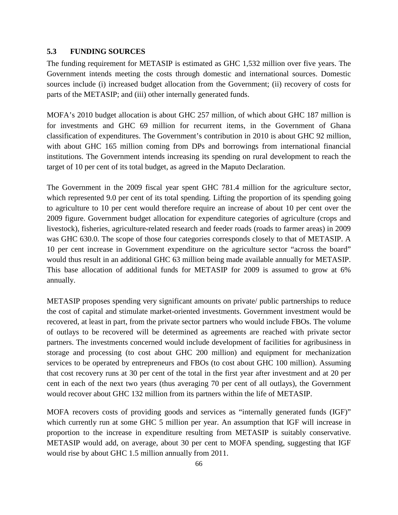## **5.3 FUNDING SOURCES**

The funding requirement for METASIP is estimated as GHC 1,532 million over five years. The Government intends meeting the costs through domestic and international sources. Domestic sources include (i) increased budget allocation from the Government; (ii) recovery of costs for parts of the METASIP; and (iii) other internally generated funds.

MOFA's 2010 budget allocation is about GHC 257 million, of which about GHC 187 million is for investments and GHC 69 million for recurrent items, in the Government of Ghana classification of expenditures. The Government's contribution in 2010 is about GHC 92 million, with about GHC 165 million coming from DPs and borrowings from international financial institutions. The Government intends increasing its spending on rural development to reach the target of 10 per cent of its total budget, as agreed in the Maputo Declaration.

The Government in the 2009 fiscal year spent GHC 781.4 million for the agriculture sector, which represented 9.0 per cent of its total spending. Lifting the proportion of its spending going to agriculture to 10 per cent would therefore require an increase of about 10 per cent over the 2009 figure. Government budget allocation for expenditure categories of agriculture (crops and livestock), fisheries, agriculture-related research and feeder roads (roads to farmer areas) in 2009 was GHC 630.0. The scope of those four categories corresponds closely to that of METASIP. A 10 per cent increase in Government expenditure on the agriculture sector "across the board" would thus result in an additional GHC 63 million being made available annually for METASIP. This base allocation of additional funds for METASIP for 2009 is assumed to grow at 6% annually.

METASIP proposes spending very significant amounts on private/ public partnerships to reduce the cost of capital and stimulate market-oriented investments. Government investment would be recovered, at least in part, from the private sector partners who would include FBOs. The volume of outlays to be recovered will be determined as agreements are reached with private sector partners. The investments concerned would include development of facilities for agribusiness in storage and processing (to cost about GHC 200 million) and equipment for mechanization services to be operated by entrepreneurs and FBOs (to cost about GHC 100 million). Assuming that cost recovery runs at 30 per cent of the total in the first year after investment and at 20 per cent in each of the next two years (thus averaging 70 per cent of all outlays), the Government would recover about GHC 132 million from its partners within the life of METASIP.

MOFA recovers costs of providing goods and services as "internally generated funds (IGF)" which currently run at some GHC 5 million per year. An assumption that IGF will increase in proportion to the increase in expenditure resulting from METASIP is suitably conservative. METASIP would add, on average, about 30 per cent to MOFA spending, suggesting that IGF would rise by about GHC 1.5 million annually from 2011.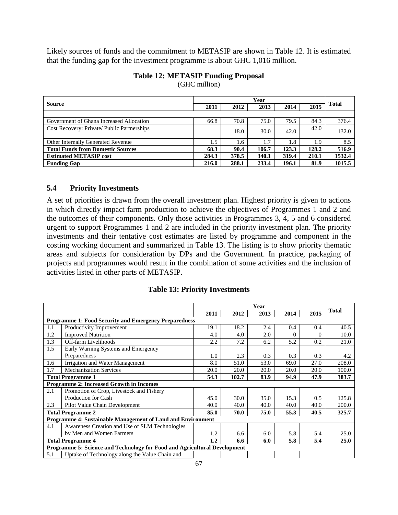Likely sources of funds and the commitment to METASIP are shown in Table 12. It is estimated that the funding gap for the investment programme is about GHC 1,016 million.

|                                             | Year  |       |       |       |       |        |
|---------------------------------------------|-------|-------|-------|-------|-------|--------|
| <b>Source</b>                               | 2011  | 2012  | 2013  | 2014  | 2015  | Total  |
|                                             |       |       |       |       |       |        |
| Government of Ghana Increased Allocation    | 66.8  | 70.8  | 75.0  | 79.5  | 84.3  | 376.4  |
| Cost Recovery: Private/ Public Partnerships |       | 18.0  | 30.0  | 42.0  | 42.0  | 132.0  |
| <b>Other Internally Generated Revenue</b>   | 1.5   | 1.6   | 1.7   | 1.8   | 1.9   | 8.5    |
| <b>Total Funds from Domestic Sources</b>    | 68.3  | 90.4  | 106.7 | 123.3 | 128.2 | 516.9  |
| <b>Estimated METASIP cost</b>               | 284.3 | 378.5 | 340.1 | 319.4 | 210.1 | 1532.4 |
| <b>Funding Gap</b>                          | 216.0 | 288.1 | 233.4 | 196.1 | 81.9  | 1015.5 |

# **Table 12: METASIP Funding Proposal**

(GHC million)

## **5.4 Priority Investments**

A set of priorities is drawn from the overall investment plan. Highest priority is given to actions in which directly impact farm production to achieve the objectives of Programmes 1 and 2 and the outcomes of their components. Only those activities in Programmes 3, 4, 5 and 6 considered urgent to support Programmes 1 and 2 are included in the priority investment plan. The priority investments and their tentative cost estimates are listed by programme and component in the costing working document and summarized in Table 13. The listing is to show priority thematic areas and subjects for consideration by DPs and the Government. In practice, packaging of projects and programmes would result in the combination of some activities and the inclusion of activities listed in other parts of METASIP.

|     |                                                                           | Year |       |      |          |          |              |
|-----|---------------------------------------------------------------------------|------|-------|------|----------|----------|--------------|
|     |                                                                           | 2011 | 2012  | 2013 | 2014     | 2015     | <b>Total</b> |
|     | <b>Programme 1: Food Security and Emergency Preparedness</b>              |      |       |      |          |          |              |
| 1.1 | Productivity Improvement                                                  | 19.1 | 18.2  | 2.4  | 0.4      | 0.4      | 40.5         |
| 1.2 | <b>Improved Nutrition</b>                                                 | 4.0  | 4.0   | 2.0  | $\Omega$ | $\Omega$ | 10.0         |
| 1.3 | Off-farm Livelihoods                                                      | 2.2  | 7.2   | 6.2  | 5.2      | 0.2      | 21.0         |
| 1.5 | Early Warning Systems and Emergency                                       |      |       |      |          |          |              |
|     | Preparedness                                                              | 1.0  | 2.3   | 0.3  | 0.3      | 0.3      | 4.2          |
| 1.6 | Irrigation and Water Management                                           | 8.0  | 51.0  | 53.0 | 69.0     | 27.0     | 208.0        |
| 1.7 | <b>Mechanization Services</b>                                             | 20.0 | 20.0  | 20.0 | 20.0     | 20.0     | 100.0        |
|     | <b>Total Programme 1</b>                                                  | 54.3 | 102.7 | 83.9 | 94.9     | 47.9     | 383.7        |
|     | <b>Programme 2: Increased Growth in Incomes</b>                           |      |       |      |          |          |              |
| 2.1 | Promotion of Crop, Livestock and Fishery                                  |      |       |      |          |          |              |
|     | Production for Cash                                                       | 45.0 | 30.0  | 35.0 | 15.3     | 0.5      | 125.8        |
| 2.3 | Pilot Value Chain Development                                             | 40.0 | 40.0  | 40.0 | 40.0     | 40.0     | 200.0        |
|     | <b>Total Programme 2</b>                                                  | 85.0 | 70.0  | 75.0 | 55.3     | 40.5     | 325.7        |
|     | <b>Programme 4: Sustainable Management of Land and Environment</b>        |      |       |      |          |          |              |
| 4.1 | Awareness Creation and Use of SLM Technologies                            |      |       |      |          |          |              |
|     | by Men and Women Farmers                                                  | 1.2  | 6.6   | 6.0  | 5.8      | 5.4      | 25.0         |
|     | <b>Total Programme 4</b>                                                  | 1.2  | 6.6   | 6.0  | 5.8      | 5.4      | 25.0         |
|     | Programme 5: Science and Technology for Food and Agricultural Development |      |       |      |          |          |              |
| 5.1 | Uptake of Technology along the Value Chain and                            |      |       |      |          |          |              |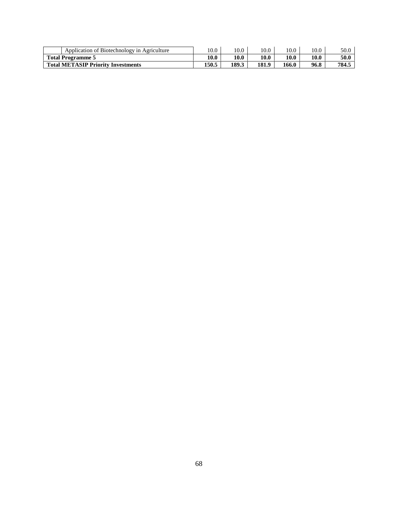| of Biotechnology in Agriculture<br>Application of | 10.0  | 10.0  | 10.0  | 10.0  | 10.0 | 50.0  |
|---------------------------------------------------|-------|-------|-------|-------|------|-------|
| <b>Total Programme 5</b>                          | 10.0  | 10.0  | 10.0  | 10.0  | 10.0 | 50.0  |
| <b>Total METASIP Priority Investments</b>         | 150.5 | 189.3 | 181.9 | 166.0 | 96.8 | 784.5 |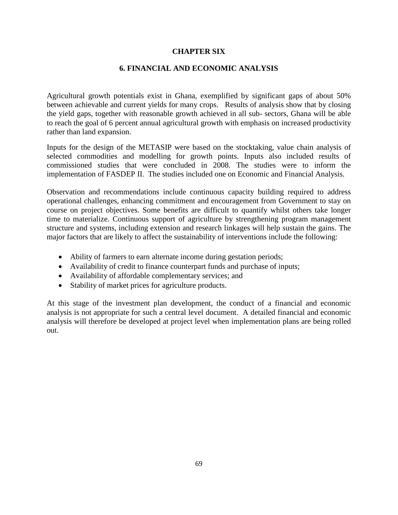#### **CHAPTER SIX**

#### **6. FINANCIAL AND ECONOMIC ANALYSIS**

Agricultural growth potentials exist in Ghana, exemplified by significant gaps of about 50% between achievable and current yields for many crops. Results of analysis show that by closing the yield gaps, together with reasonable growth achieved in all sub- sectors, Ghana will be able to reach the goal of 6 percent annual agricultural growth with emphasis on increased productivity rather than land expansion.

Inputs for the design of the METASIP were based on the stocktaking, value chain analysis of selected commodities and modelling for growth points. Inputs also included results of commissioned studies that were concluded in 2008. The studies were to inform the implementation of FASDEP II. The studies included one on Economic and Financial Analysis.

Observation and recommendations include continuous capacity building required to address operational challenges, enhancing commitment and encouragement from Government to stay on course on project objectives. Some benefits are difficult to quantify whilst others take longer time to materialize. Continuous support of agriculture by strengthening program management structure and systems, including extension and research linkages will help sustain the gains. The major factors that are likely to affect the sustainability of interventions include the following:

- Ability of farmers to earn alternate income during gestation periods;
- Availability of credit to finance counterpart funds and purchase of inputs;
- Availability of affordable complementary services; and
- Stability of market prices for agriculture products.

At this stage of the investment plan development, the conduct of a financial and economic analysis is not appropriate for such a central level document. A detailed financial and economic analysis will therefore be developed at project level when implementation plans are being rolled out.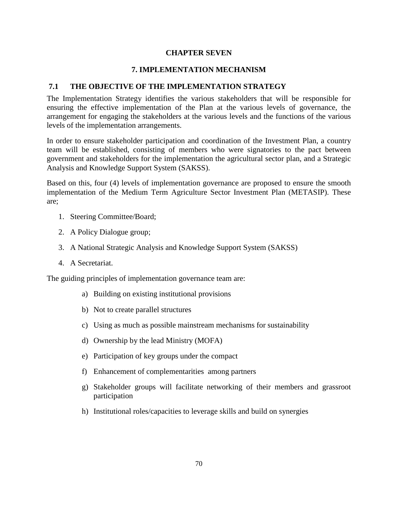#### **CHAPTER SEVEN**

## **7. IMPLEMENTATION MECHANISM**

#### **7.1 THE OBJECTIVE OF THE IMPLEMENTATION STRATEGY**

The Implementation Strategy identifies the various stakeholders that will be responsible for ensuring the effective implementation of the Plan at the various levels of governance, the arrangement for engaging the stakeholders at the various levels and the functions of the various levels of the implementation arrangements.

In order to ensure stakeholder participation and coordination of the Investment Plan, a country team will be established, consisting of members who were signatories to the pact between government and stakeholders for the implementation the agricultural sector plan, and a Strategic Analysis and Knowledge Support System (SAKSS).

Based on this, four (4) levels of implementation governance are proposed to ensure the smooth implementation of the Medium Term Agriculture Sector Investment Plan (METASIP). These are;

- 1. Steering Committee/Board;
- 2. A Policy Dialogue group;
- 3. A National Strategic Analysis and Knowledge Support System (SAKSS)
- 4. A Secretariat.

The guiding principles of implementation governance team are:

- a) Building on existing institutional provisions
- b) Not to create parallel structures
- c) Using as much as possible mainstream mechanisms for sustainability
- d) Ownership by the lead Ministry (MOFA)
- e) Participation of key groups under the compact
- f) Enhancement of complementarities among partners
- g) Stakeholder groups will facilitate networking of their members and grassroot participation
- h) Institutional roles/capacities to leverage skills and build on synergies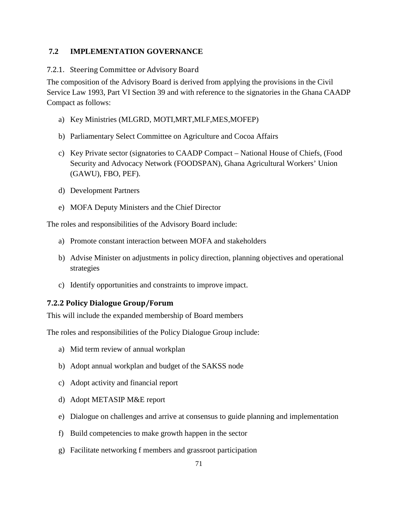## **7.2 IMPLEMENTATION GOVERNANCE**

#### 7.2.1. Steering Committee or Advisory Board

The composition of the Advisory Board is derived from applying the provisions in the Civil Service Law 1993, Part VI Section 39 and with reference to the signatories in the Ghana CAADP Compact as follows:

- a) Key Ministries (MLGRD, MOTI,MRT,MLF,MES,MOFEP)
- b) Parliamentary Select Committee on Agriculture and Cocoa Affairs
- c) Key Private sector (signatories to CAADP Compact National House of Chiefs, (Food Security and Advocacy Network (FOODSPAN), Ghana Agricultural Workers' Union (GAWU), FBO, PEF).
- d) Development Partners
- e) MOFA Deputy Ministers and the Chief Director

The roles and responsibilities of the Advisory Board include:

- a) Promote constant interaction between MOFA and stakeholders
- b) Advise Minister on adjustments in policy direction, planning objectives and operational strategies
- c) Identify opportunities and constraints to improve impact.

## **7.2.2 Policy Dialogue Group/Forum**

This will include the expanded membership of Board members

The roles and responsibilities of the Policy Dialogue Group include:

- a) Mid term review of annual workplan
- b) Adopt annual workplan and budget of the SAKSS node
- c) Adopt activity and financial report
- d) Adopt METASIP M&E report
- e) Dialogue on challenges and arrive at consensus to guide planning and implementation
- f) Build competencies to make growth happen in the sector
- g) Facilitate networking f members and grassroot participation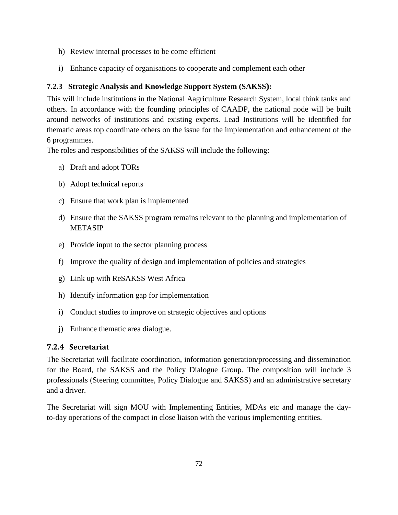- h) Review internal processes to be come efficient
- i) Enhance capacity of organisations to cooperate and complement each other

# **7.2.3 Strategic Analysis and Knowledge Support System (SAKSS):**

This will include institutions in the National Aagriculture Research System, local think tanks and others. In accordance with the founding principles of CAADP, the national node will be built around networks of institutions and existing experts. Lead Institutions will be identified for thematic areas top coordinate others on the issue for the implementation and enhancement of the 6 programmes.

The roles and responsibilities of the SAKSS will include the following:

- a) Draft and adopt TORs
- b) Adopt technical reports
- c) Ensure that work plan is implemented
- d) Ensure that the SAKSS program remains relevant to the planning and implementation of METASIP
- e) Provide input to the sector planning process
- f) Improve the quality of design and implementation of policies and strategies
- g) Link up with ReSAKSS West Africa
- h) Identify information gap for implementation
- i) Conduct studies to improve on strategic objectives and options
- j) Enhance thematic area dialogue.

## **7.2.4 Secretariat**

The Secretariat will facilitate coordination, information generation/processing and dissemination for the Board, the SAKSS and the Policy Dialogue Group. The composition will include 3 professionals (Steering committee, Policy Dialogue and SAKSS) and an administrative secretary and a driver.

The Secretariat will sign MOU with Implementing Entities, MDAs etc and manage the dayto-day operations of the compact in close liaison with the various implementing entities.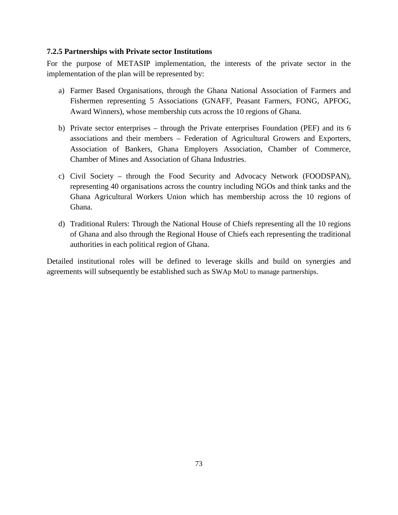#### **7.2.5 Partnerships with Private sector Institutions**

For the purpose of METASIP implementation, the interests of the private sector in the implementation of the plan will be represented by:

- a) Farmer Based Organisations, through the Ghana National Association of Farmers and Fishermen representing 5 Associations (GNAFF, Peasant Farmers, FONG, APFOG, Award Winners), whose membership cuts across the 10 regions of Ghana.
- b) Private sector enterprises through the Private enterprises Foundation (PEF) and its 6 associations and their members – Federation of Agricultural Growers and Exporters, Association of Bankers, Ghana Employers Association, Chamber of Commerce, Chamber of Mines and Association of Ghana Industries.
- c) Civil Society through the Food Security and Advocacy Network (FOODSPAN), representing 40 organisations across the country including NGOs and think tanks and the Ghana Agricultural Workers Union which has membership across the 10 regions of Ghana.
- d) Traditional Rulers: Through the National House of Chiefs representing all the 10 regions of Ghana and also through the Regional House of Chiefs each representing the traditional authorities in each political region of Ghana.

Detailed institutional roles will be defined to leverage skills and build on synergies and agreements will subsequently be established such as SWAp MoU to manage partnerships.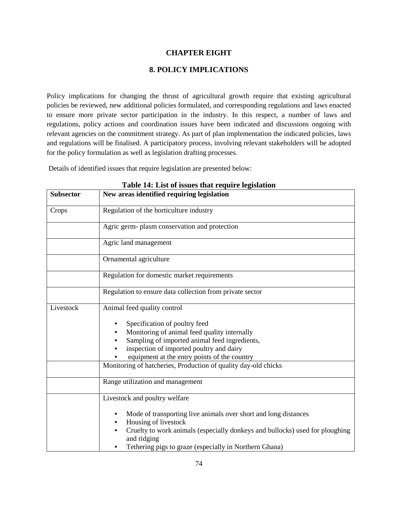#### **CHAPTER EIGHT**

#### **8. POLICY IMPLICATIONS**

Policy implications for changing the thrust of agricultural growth require that existing agricultural policies be reviewed, new additional policies formulated, and corresponding regulations and laws enacted to ensure more private sector participation in the industry. In this respect, a number of laws and regulations, policy actions and coordination issues have been indicated and discussions ongoing with relevant agencies on the commitment strategy. As part of plan implementation the indicated policies, laws and regulations will be finalised. A participatory process, involving relevant stakeholders will be adopted for the policy formulation as well as legislation drafting processes.

Details of identified issues that require legislation are presented below:

| <b>Subsector</b> | raoic 14. Enst of history that require registation<br>New areas identified requiring legislation |
|------------------|--------------------------------------------------------------------------------------------------|
| Crops            | Regulation of the horticulture industry                                                          |
|                  | Agric germ- plasm conservation and protection                                                    |
|                  | Agric land management                                                                            |
|                  | Ornamental agriculture                                                                           |
|                  | Regulation for domestic market requirements                                                      |
|                  | Regulation to ensure data collection from private sector                                         |
| Livestock        | Animal feed quality control                                                                      |
|                  | Specification of poultry feed                                                                    |
|                  | Monitoring of animal feed quality internally                                                     |
|                  | Sampling of imported animal feed ingredients,                                                    |
|                  | inspection of imported poultry and dairy                                                         |
|                  | equipment at the entry points of the country                                                     |
|                  | Monitoring of hatcheries, Production of quality day-old chicks                                   |
|                  | Range utilization and management                                                                 |
|                  | Livestock and poultry welfare                                                                    |
|                  | Mode of transporting live animals over short and long distances<br>Housing of livestock          |
|                  | Cruelty to work animals (especially donkeys and bullocks) used for ploughing<br>and ridging      |
|                  | Tethering pigs to graze (especially in Northern Ghana)                                           |

**Table 14: List of issues that require legislation**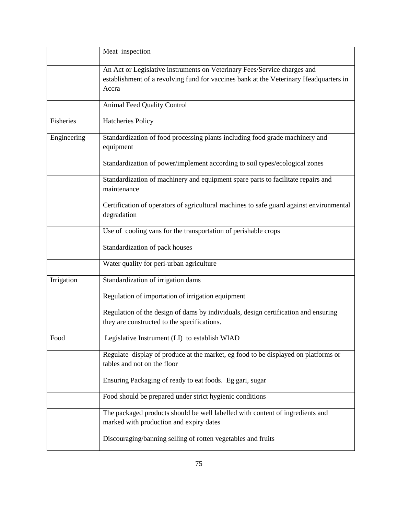|             | Meat inspection                                                                                                                                                            |
|-------------|----------------------------------------------------------------------------------------------------------------------------------------------------------------------------|
|             | An Act or Legislative instruments on Veterinary Fees/Service charges and<br>establishment of a revolving fund for vaccines bank at the Veterinary Headquarters in<br>Accra |
|             | <b>Animal Feed Quality Control</b>                                                                                                                                         |
| Fisheries   | <b>Hatcheries Policy</b>                                                                                                                                                   |
| Engineering | Standardization of food processing plants including food grade machinery and<br>equipment                                                                                  |
|             | Standardization of power/implement according to soil types/ecological zones                                                                                                |
|             | Standardization of machinery and equipment spare parts to facilitate repairs and<br>maintenance                                                                            |
|             | Certification of operators of agricultural machines to safe guard against environmental<br>degradation                                                                     |
|             | Use of cooling vans for the transportation of perishable crops                                                                                                             |
|             | Standardization of pack houses                                                                                                                                             |
|             | Water quality for peri-urban agriculture                                                                                                                                   |
| Irrigation  | Standardization of irrigation dams                                                                                                                                         |
|             | Regulation of importation of irrigation equipment                                                                                                                          |
|             | Regulation of the design of dams by individuals, design certification and ensuring<br>they are constructed to the specifications.                                          |
| Food        | Legislative Instrument (LI) to establish WIAD                                                                                                                              |
|             | Regulate display of produce at the market, eg food to be displayed on platforms or<br>tables and not on the floor                                                          |
|             | Ensuring Packaging of ready to eat foods. Eg gari, sugar                                                                                                                   |
|             | Food should be prepared under strict hygienic conditions                                                                                                                   |
|             | The packaged products should be well labelled with content of ingredients and<br>marked with production and expiry dates                                                   |
|             | Discouraging/banning selling of rotten vegetables and fruits                                                                                                               |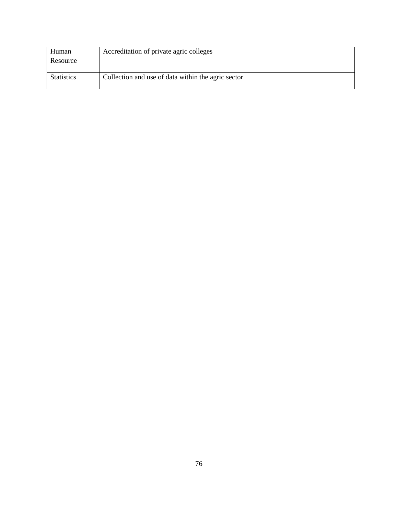| Human             | Accreditation of private agric colleges            |
|-------------------|----------------------------------------------------|
| Resource          |                                                    |
|                   |                                                    |
| <b>Statistics</b> | Collection and use of data within the agric sector |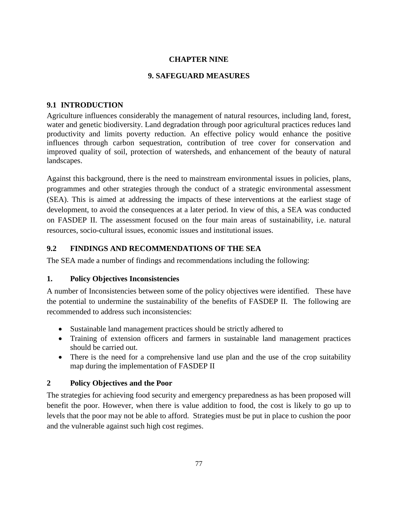# **CHAPTER NINE**

## **9. SAFEGUARD MEASURES**

## **9.1 INTRODUCTION**

Agriculture influences considerably the management of natural resources, including land, forest, water and genetic biodiversity. Land degradation through poor agricultural practices reduces land productivity and limits poverty reduction. An effective policy would enhance the positive influences through carbon sequestration, contribution of tree cover for conservation and improved quality of soil, protection of watersheds, and enhancement of the beauty of natural landscapes.

Against this background, there is the need to mainstream environmental issues in policies, plans, programmes and other strategies through the conduct of a strategic environmental assessment (SEA). This is aimed at addressing the impacts of these interventions at the earliest stage of development, to avoid the consequences at a later period. In view of this, a SEA was conducted on FASDEP II. The assessment focused on the four main areas of sustainability, i.e. natural resources, socio-cultural issues, economic issues and institutional issues.

## **9.2 FINDINGS AND RECOMMENDATIONS OF THE SEA**

The SEA made a number of findings and recommendations including the following:

## **1. Policy Objectives Inconsistencies**

A number of Inconsistencies between some of the policy objectives were identified. These have the potential to undermine the sustainability of the benefits of FASDEP II. The following are recommended to address such inconsistencies:

- Sustainable land management practices should be strictly adhered to
- Training of extension officers and farmers in sustainable land management practices should be carried out.
- There is the need for a comprehensive land use plan and the use of the crop suitability map during the implementation of FASDEP II

## **2 Policy Objectives and the Poor**

The strategies for achieving food security and emergency preparedness as has been proposed will benefit the poor. However, when there is value addition to food, the cost is likely to go up to levels that the poor may not be able to afford. Strategies must be put in place to cushion the poor and the vulnerable against such high cost regimes.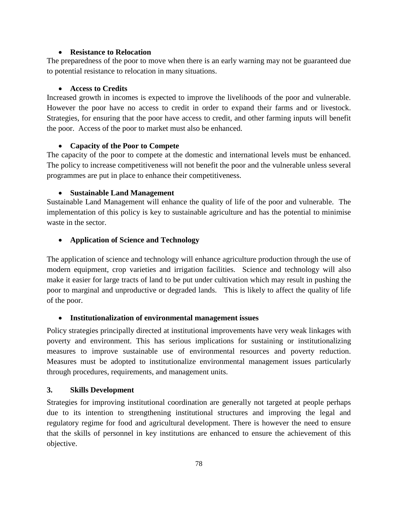#### • **Resistance to Relocation**

The preparedness of the poor to move when there is an early warning may not be guaranteed due to potential resistance to relocation in many situations.

#### • **Access to Credits**

Increased growth in incomes is expected to improve the livelihoods of the poor and vulnerable. However the poor have no access to credit in order to expand their farms and or livestock. Strategies, for ensuring that the poor have access to credit, and other farming inputs will benefit the poor. Access of the poor to market must also be enhanced.

#### • **Capacity of the Poor to Compete**

The capacity of the poor to compete at the domestic and international levels must be enhanced. The policy to increase competitiveness will not benefit the poor and the vulnerable unless several programmes are put in place to enhance their competitiveness.

#### • **Sustainable Land Management**

Sustainable Land Management will enhance the quality of life of the poor and vulnerable. The implementation of this policy is key to sustainable agriculture and has the potential to minimise waste in the sector.

#### • **Application of Science and Technology**

The application of science and technology will enhance agriculture production through the use of modern equipment, crop varieties and irrigation facilities. Science and technology will also make it easier for large tracts of land to be put under cultivation which may result in pushing the poor to marginal and unproductive or degraded lands. This is likely to affect the quality of life of the poor.

## • **Institutionalization of environmental management issues**

Policy strategies principally directed at institutional improvements have very weak linkages with poverty and environment. This has serious implications for sustaining or institutionalizing measures to improve sustainable use of environmental resources and poverty reduction. Measures must be adopted to institutionalize environmental management issues particularly through procedures, requirements, and management units.

## **3. Skills Development**

Strategies for improving institutional coordination are generally not targeted at people perhaps due to its intention to strengthening institutional structures and improving the legal and regulatory regime for food and agricultural development. There is however the need to ensure that the skills of personnel in key institutions are enhanced to ensure the achievement of this objective.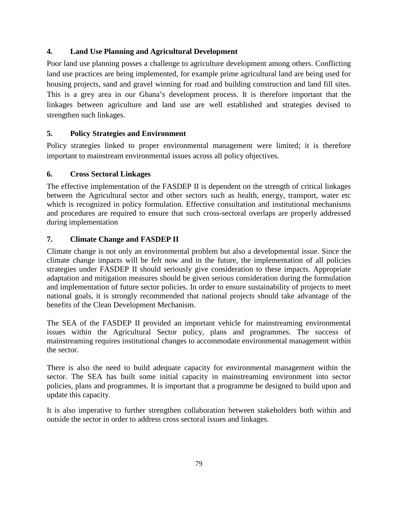# **4. Land Use Planning and Agricultural Development**

Poor land use planning posses a challenge to agriculture development among others. Conflicting land use practices are being implemented, for example prime agricultural land are being used for housing projects, sand and gravel winning for road and building construction and land fill sites. This is a grey area in our Ghana's development process. It is therefore important that the linkages between agriculture and land use are well established and strategies devised to strengthen such linkages.

## **5. Policy Strategies and Environment**

Policy strategies linked to proper environmental management were limited; it is therefore important to mainstream environmental issues across all policy objectives.

## **6. Cross Sectoral Linkages**

The effective implementation of the FASDEP II is dependent on the strength of critical linkages between the Agricultural sector and other sectors such as health, energy, transport, water etc which is recognized in policy formulation. Effective consultation and institutional mechanisms and procedures are required to ensure that such cross-sectoral overlaps are properly addressed during implementation

# **7. Climate Change and FASDEP II**

Climate change is not only an environmental problem but also a developmental issue. Since the climate change impacts will be felt now and in the future, the implementation of all policies strategies under FASDEP II should seriously give consideration to these impacts. Appropriate adaptation and mitigation measures should be given serious consideration during the formulation and implementation of future sector policies. In order to ensure sustainability of projects to meet national goals, it is strongly recommended that national projects should take advantage of the benefits of the Clean Development Mechanism.

The SEA of the FASDEP II provided an important vehicle for mainstreaming environmental issues within the Agricultural Sector policy, plans and programmes. The success of mainstreaming requires institutional changes to accommodate environmental management within the sector.

There is also the need to build adequate capacity for environmental management within the sector. The SEA has built some initial capacity in mainstreaming environment into sector policies, plans and programmes. It is important that a programme be designed to build upon and update this capacity.

It is also imperative to further strengthen collaboration between stakeholders both within and outside the sector in order to address cross sectoral issues and linkages.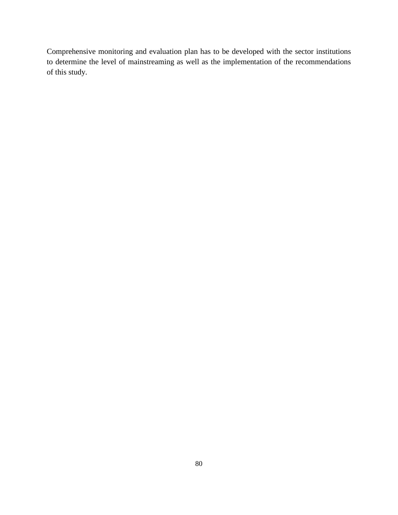Comprehensive monitoring and evaluation plan has to be developed with the sector institutions to determine the level of mainstreaming as well as the implementation of the recommendations of this study.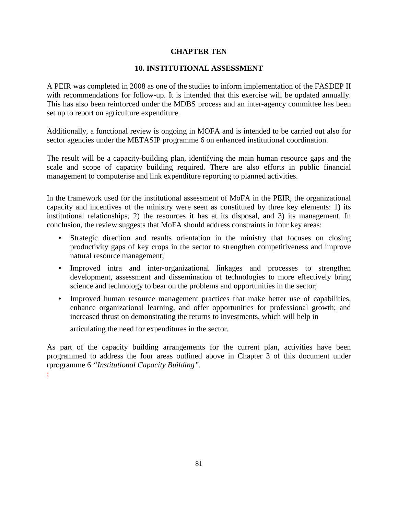## **CHAPTER TEN**

#### **10. INSTITUTIONAL ASSESSMENT**

A PEIR was completed in 2008 as one of the studies to inform implementation of the FASDEP II with recommendations for follow-up. It is intended that this exercise will be updated annually. This has also been reinforced under the MDBS process and an inter-agency committee has been set up to report on agriculture expenditure.

Additionally, a functional review is ongoing in MOFA and is intended to be carried out also for sector agencies under the METASIP programme 6 on enhanced institutional coordination.

The result will be a capacity-building plan, identifying the main human resource gaps and the scale and scope of capacity building required. There are also efforts in public financial management to computerise and link expenditure reporting to planned activities.

In the framework used for the institutional assessment of MoFA in the PEIR, the organizational capacity and incentives of the ministry were seen as constituted by three key elements: 1) its institutional relationships, 2) the resources it has at its disposal, and 3) its management. In conclusion, the review suggests that MoFA should address constraints in four key areas:

- Strategic direction and results orientation in the ministry that focuses on closing productivity gaps of key crops in the sector to strengthen competitiveness and improve natural resource management;
- Improved intra and inter-organizational linkages and processes to strengthen development, assessment and dissemination of technologies to more effectively bring science and technology to bear on the problems and opportunities in the sector;
- Improved human resource management practices that make better use of capabilities, enhance organizational learning, and offer opportunities for professional growth; and increased thrust on demonstrating the returns to investments, which will help in

articulating the need for expenditures in the sector.

As part of the capacity building arrangements for the current plan, activities have been programmed to address the four areas outlined above in Chapter 3 of this document under rprogramme 6 *"Institutional Capacity Building".*

;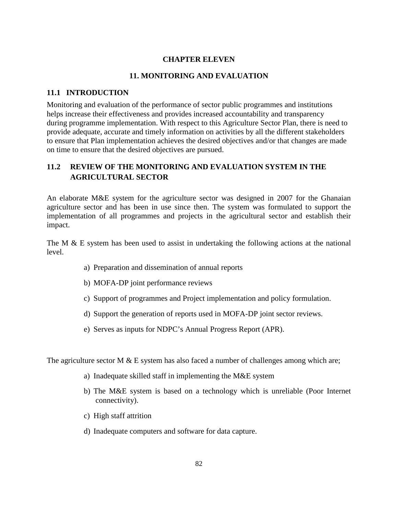## **CHAPTER ELEVEN**

## **11. MONITORING AND EVALUATION**

## **11.1 INTRODUCTION**

Monitoring and evaluation of the performance of sector public programmes and institutions helps increase their effectiveness and provides increased accountability and transparency during programme implementation. With respect to this Agriculture Sector Plan, there is need to provide adequate, accurate and timely information on activities by all the different stakeholders to ensure that Plan implementation achieves the desired objectives and/or that changes are made on time to ensure that the desired objectives are pursued.

# **11.2 REVIEW OF THE MONITORING AND EVALUATION SYSTEM IN THE AGRICULTURAL SECTOR**

An elaborate M&E system for the agriculture sector was designed in 2007 for the Ghanaian agriculture sector and has been in use since then. The system was formulated to support the implementation of all programmes and projects in the agricultural sector and establish their impact.

The M  $\&$  E system has been used to assist in undertaking the following actions at the national level.

- a) Preparation and dissemination of annual reports
- b) MOFA-DP joint performance reviews
- c) Support of programmes and Project implementation and policy formulation.
- d) Support the generation of reports used in MOFA-DP joint sector reviews.
- e) Serves as inputs for NDPC's Annual Progress Report (APR).

The agriculture sector M  $& E$  system has also faced a number of challenges among which are;

- a) Inadequate skilled staff in implementing the M&E system
- b) The M&E system is based on a technology which is unreliable (Poor Internet connectivity).
- c) High staff attrition
- d) Inadequate computers and software for data capture.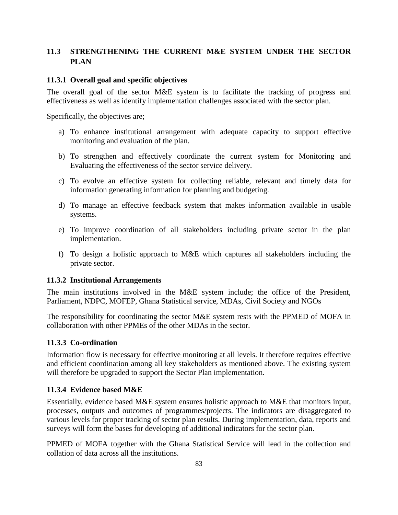# **11.3 STRENGTHENING THE CURRENT M&E SYSTEM UNDER THE SECTOR PLAN**

#### **11.3.1 Overall goal and specific objectives**

The overall goal of the sector M&E system is to facilitate the tracking of progress and effectiveness as well as identify implementation challenges associated with the sector plan.

Specifically, the objectives are;

- a) To enhance institutional arrangement with adequate capacity to support effective monitoring and evaluation of the plan.
- b) To strengthen and effectively coordinate the current system for Monitoring and Evaluating the effectiveness of the sector service delivery.
- c) To evolve an effective system for collecting reliable, relevant and timely data for information generating information for planning and budgeting.
- d) To manage an effective feedback system that makes information available in usable systems.
- e) To improve coordination of all stakeholders including private sector in the plan implementation.
- f) To design a holistic approach to M&E which captures all stakeholders including the private sector.

#### **11.3.2 Institutional Arrangements**

The main institutions involved in the M&E system include; the office of the President, Parliament, NDPC, MOFEP, Ghana Statistical service, MDAs, Civil Society and NGOs

The responsibility for coordinating the sector M&E system rests with the PPMED of MOFA in collaboration with other PPMEs of the other MDAs in the sector.

## **11.3.3 Co-ordination**

Information flow is necessary for effective monitoring at all levels. It therefore requires effective and efficient coordination among all key stakeholders as mentioned above. The existing system will therefore be upgraded to support the Sector Plan implementation.

## **11.3.4 Evidence based M&E**

Essentially, evidence based M&E system ensures holistic approach to M&E that monitors input, processes, outputs and outcomes of programmes/projects. The indicators are disaggregated to various levels for proper tracking of sector plan results. During implementation, data, reports and surveys will form the bases for developing of additional indicators for the sector plan.

PPMED of MOFA together with the Ghana Statistical Service will lead in the collection and collation of data across all the institutions.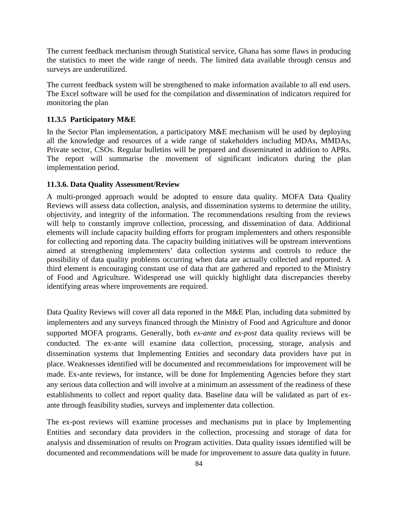The current feedback mechanism through Statistical service, Ghana has some flaws in producing the statistics to meet the wide range of needs. The limited data available through census and surveys are underutilized.

The current feedback system will be strengthened to make information available to all end users. The Excel software will be used for the compilation and dissemination of indicators required for monitoring the plan

#### **11.3.5 Participatory M&E**

In the Sector Plan implementation, a participatory M&E mechanism will be used by deploying all the knowledge and resources of a wide range of stakeholders including MDAs, MMDAs, Private sector, CSOs. Regular bulletins will be prepared and disseminated in addition to APRs. The report will summarise the movement of significant indicators during the plan implementation period.

#### **11.3.6. Data Quality Assessment/Review**

A multi-pronged approach would be adopted to ensure data quality. MOFA Data Quality Reviews will assess data collection, analysis, and dissemination systems to determine the utility, objectivity, and integrity of the information. The recommendations resulting from the reviews will help to constantly improve collection, processing, and dissemination of data. Additional elements will include capacity building efforts for program implementers and others responsible for collecting and reporting data. The capacity building initiatives will be upstream interventions aimed at strengthening implementers' data collection systems and controls to reduce the possibility of data quality problems occurring when data are actually collected and reported. A third element is encouraging constant use of data that are gathered and reported to the Ministry of Food and Agriculture. Widespread use will quickly highlight data discrepancies thereby identifying areas where improvements are required.

Data Quality Reviews will cover all data reported in the M&E Plan, including data submitted by implementers and any surveys financed through the Ministry of Food and Agriculture and donor supported MOFA programs. Generally, both *ex-ante and ex-post* data quality reviews will be conducted. The ex-ante will examine data collection, processing, storage, analysis and dissemination systems that Implementing Entities and secondary data providers have put in place. Weaknesses identified will be documented and recommendations for improvement will be made. Ex-ante reviews, for instance, will be done for Implementing Agencies before they start any serious data collection and will involve at a minimum an assessment of the readiness of these establishments to collect and report quality data. Baseline data will be validated as part of exante through feasibility studies, surveys and implementer data collection.

The ex-post reviews will examine processes and mechanisms put in place by Implementing Entities and secondary data providers in the collection, processing and storage of data for analysis and dissemination of results on Program activities. Data quality issues identified will be documented and recommendations will be made for improvement to assure data quality in future.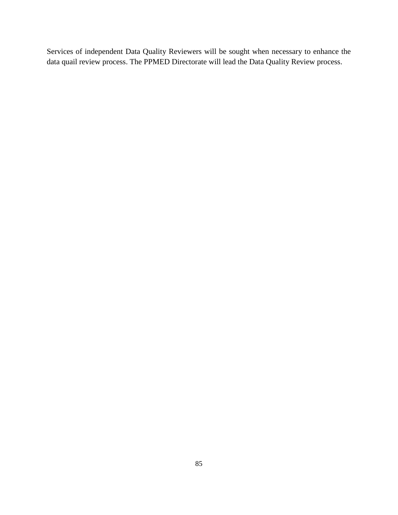Services of independent Data Quality Reviewers will be sought when necessary to enhance the data quail review process. The PPMED Directorate will lead the Data Quality Review process.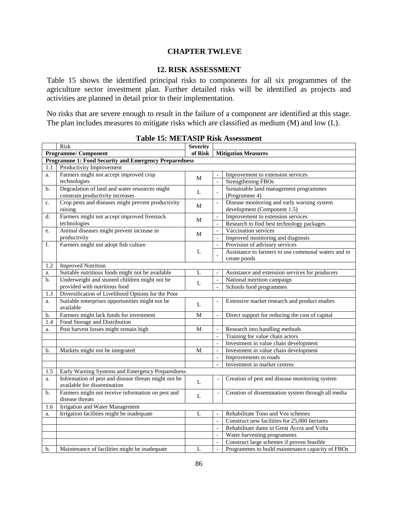#### **CHAPTER TWLEVE**

#### **12. RISK ASSESSMENT**

Table 15 shows the identified principal risks to components for all six programmes of the agriculture sector investment plan. Further detailed risks will be identified as projects and activities are planned in detail prior to their implementation.

No risks that are severe enough to result in the failure of a component are identified at this stage. The plan includes measures to mitigate risks which are classified as medium (M) and low (L).

| <b>Risk</b>                                                  |                                                                                     | <b>Severity</b> |                          |                                                     |  |  |
|--------------------------------------------------------------|-------------------------------------------------------------------------------------|-----------------|--------------------------|-----------------------------------------------------|--|--|
| <b>Programme/Component</b>                                   |                                                                                     | of Risk         |                          | <b>Mitigation Measures</b>                          |  |  |
| <b>Programme 1: Food Security and Emergency Preparedness</b> |                                                                                     |                 |                          |                                                     |  |  |
| Productivity Improvement<br>1.1                              |                                                                                     |                 |                          |                                                     |  |  |
| a.                                                           | Farmers might not accept improved crop                                              | М               |                          | Improvement to extension services                   |  |  |
|                                                              | technologies                                                                        |                 | $\overline{\phantom{0}}$ | <b>Strengthening FBOs</b>                           |  |  |
| b.                                                           | Degradation of land and water resources might                                       | L               |                          | Sustainable land management programmes              |  |  |
|                                                              | constrain productivity increases                                                    |                 |                          | (Programme 4)                                       |  |  |
| $\mathbf{c}$ .                                               | Crop pests and diseases might prevent productivity                                  | М               | $\overline{a}$           | Disease monitoring and early warning system         |  |  |
|                                                              | raising                                                                             |                 |                          | development (Component 1.5)                         |  |  |
| d.                                                           | Farmers might not accept improved livestock                                         | М               |                          | Improvement to extension services                   |  |  |
|                                                              | technologies                                                                        |                 | $\overline{a}$           | Research to find best technology packages           |  |  |
| e.                                                           | Animal diseases might prevent increase in                                           | М               | $\overline{\phantom{a}}$ | Vaccination services                                |  |  |
|                                                              | productivity                                                                        |                 |                          | Improved monitoring and diagnosis                   |  |  |
| f.                                                           | Farmers might not adopt fish culture                                                |                 | $\overline{a}$           | Provision of advisory services                      |  |  |
|                                                              |                                                                                     | L               |                          | Assistance to farmers to use communal waters and to |  |  |
|                                                              |                                                                                     |                 |                          | create ponds                                        |  |  |
| 1.2                                                          | <b>Improved Nutrition</b>                                                           |                 |                          |                                                     |  |  |
| a.                                                           | Suitable nutritious foods might not be available                                    | L               |                          | Assistance and extension services for producers     |  |  |
| b.                                                           | Underweight and stunted children might not be                                       | L               | $\Box$                   | National nutrition campaign                         |  |  |
|                                                              | provided with nutritious food                                                       |                 |                          | Schools food programmes                             |  |  |
| $\overline{1.3}$                                             | Diversification of Livelihood Options for the Poor                                  |                 |                          |                                                     |  |  |
| a.                                                           | Suitable enterprises opportunities might not be<br>available                        | L               |                          | Extensive market research and product studies       |  |  |
| b.                                                           | Farmers might lack funds for investment                                             | M               | $\overline{a}$           | Direct support for reducing the cost of capital     |  |  |
| 1.4                                                          | Food Storage and Distribution                                                       |                 |                          |                                                     |  |  |
| a.                                                           | Post harvest losses might remain high                                               | М               | $\overline{\phantom{a}}$ | Research into handling methods                      |  |  |
|                                                              |                                                                                     |                 |                          | Training for value chain actors                     |  |  |
|                                                              |                                                                                     |                 | $\frac{1}{2}$            | Investment in value chain development               |  |  |
| b.                                                           | Markets might not be integrated                                                     | M               |                          | Investment in value chain development               |  |  |
|                                                              |                                                                                     |                 |                          | Improvements to roads                               |  |  |
|                                                              |                                                                                     |                 | $\overline{a}$           | Investment in market centres                        |  |  |
| 1.5                                                          | Early Warning Systems and Emergency Preparedness                                    |                 |                          |                                                     |  |  |
| a.                                                           | Information of pest and disease threats might not be<br>available for dissemination | $\mathbf L$     | $\overline{\phantom{a}}$ | Creation of pest and disease monitoring system      |  |  |
| b.                                                           | Farmers might not receive information on pest and<br>disease threats                | L               |                          | Creation of dissemination system through all media  |  |  |
| 1.6                                                          | Irrigation and Water Management                                                     |                 |                          |                                                     |  |  |
| a.                                                           | Irrigation facilities might be inadequate                                           | L               | $\overline{a}$           | Rehabilitate Tono and Vea schemes                   |  |  |
|                                                              |                                                                                     |                 | $\overline{\phantom{0}}$ | Construct new facilities for 25,000 hectares        |  |  |
|                                                              |                                                                                     |                 | $\overline{a}$           | Rehabilitate dams in Great Accra and Volta          |  |  |
|                                                              |                                                                                     |                 |                          | Water harvesting programmes                         |  |  |
|                                                              |                                                                                     |                 | $\blacksquare$           | Construct large schemes if proven feasible          |  |  |
| b.                                                           | Maintenance of facilities might be inadequate                                       | L               | $\overline{a}$           | Programmes to build maintenance capacity of FBOs    |  |  |

|  |  |  | <b>Table 15: METASIP Risk Assessment</b> |
|--|--|--|------------------------------------------|
|--|--|--|------------------------------------------|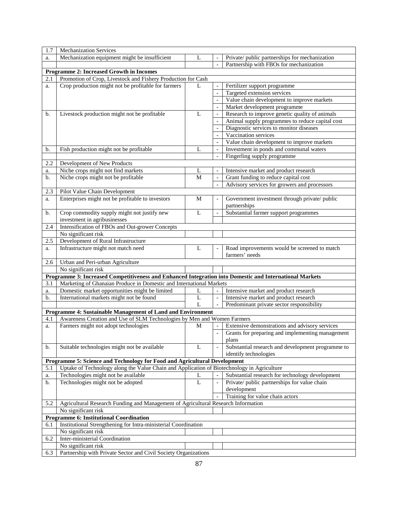| 1.7            | <b>Mechanization Services</b>                                                                           |                |                          |                                                   |  |  |
|----------------|---------------------------------------------------------------------------------------------------------|----------------|--------------------------|---------------------------------------------------|--|--|
| a.             | Mechanization equipment might be insufficient                                                           | L              |                          | Private/ public partnerships for mechanization    |  |  |
|                |                                                                                                         |                | $\overline{a}$           | Partnership with FBOs for mechanization           |  |  |
|                | Programme 2: Increased Growth in Incomes                                                                |                |                          |                                                   |  |  |
| 2.1            | Promotion of Crop, Livestock and Fishery Production for Cash                                            |                |                          |                                                   |  |  |
| a.             | Crop production might not be profitable for farmers                                                     | L              |                          | Fertilizer support programme                      |  |  |
|                |                                                                                                         |                | $\blacksquare$           | Targeted extension services                       |  |  |
|                |                                                                                                         |                |                          | Value chain development to improve markets        |  |  |
|                |                                                                                                         |                | $\frac{1}{2}$            | Market development programme                      |  |  |
| b.             | Livestock production might not be profitable                                                            | L              | $\overline{\phantom{a}}$ | Research to improve genetic quality of animals    |  |  |
|                |                                                                                                         |                |                          | Animal supply programmes to reduce capital cost   |  |  |
|                |                                                                                                         |                | $\blacksquare$           | Diagnostic services to monitor diseases           |  |  |
|                |                                                                                                         |                |                          | Vaccination services                              |  |  |
|                |                                                                                                         |                |                          | Value chain development to improve markets        |  |  |
| b.             | Fish production might not be profitable                                                                 | L              | $\frac{1}{2}$            | Investment in ponds and communal waters           |  |  |
|                |                                                                                                         |                | $\overline{\phantom{a}}$ | Fingerling supply programme                       |  |  |
| 2.2            | Development of New Products                                                                             |                |                          |                                                   |  |  |
| a.             | Niche crops might not find markets                                                                      | L              |                          | Intensive market and product research             |  |  |
| $\mathbf{b}$ . | Niche crops might not be profitable                                                                     | $\mathbf M$    | $\overline{a}$           | Grant funding to reduce capital cost              |  |  |
|                |                                                                                                         |                | $\overline{\phantom{a}}$ | Advisory services for growers and processors      |  |  |
| 2.3            | Pilot Value Chain Development                                                                           |                |                          |                                                   |  |  |
| a.             | Enterprises might not be profitable to investors                                                        | М              |                          | Government investment through private/ public     |  |  |
|                |                                                                                                         |                |                          | partnerships                                      |  |  |
| $\mathbf{b}$ . | Crop commodity supply might not justify new                                                             | L              |                          | Substantial farmer support programmes             |  |  |
|                | investment in agribusinesses                                                                            |                |                          |                                                   |  |  |
| 2.4            | Intensification of FBOs and Out-grower Concepts                                                         |                |                          |                                                   |  |  |
|                | No significant risk                                                                                     |                |                          |                                                   |  |  |
| 2.5            | Development of Rural Infrastructure<br>Infrastructure might not match need                              | L              |                          | Road improvements would be screened to match      |  |  |
| a.             |                                                                                                         |                |                          | farmers' needs                                    |  |  |
| 2.6            | Urban and Peri-urban Agriculture                                                                        |                |                          |                                                   |  |  |
|                | No significant risk                                                                                     |                |                          |                                                   |  |  |
|                | Programme 3: Increased Competitiveness and Enhanced Integration into Domestic and International Markets |                |                          |                                                   |  |  |
| 3.1            | Marketing of Ghanaian Produce in Domestic and International Markets                                     |                |                          |                                                   |  |  |
| a.             | Domestic market opportunities might be limited                                                          | L              |                          | Intensive market and product research             |  |  |
| b.             | International markets might not be found                                                                | $\overline{L}$ | $\frac{1}{2}$            | Intensive market and product research             |  |  |
|                |                                                                                                         | L              |                          | Predominant private sector responsibility         |  |  |
|                | Programme 4: Sustainable Management of Land and Environment                                             |                |                          |                                                   |  |  |
| 4.1            | Awareness Creation and Use of SLM Technologies by Men and Women Farmers                                 |                |                          |                                                   |  |  |
| a.             | Farmers might not adopt technologies                                                                    | М              |                          | Extensive demonstrations and advisory services    |  |  |
|                |                                                                                                         |                | $\frac{1}{2}$            | Grants for preparing and implementing management  |  |  |
|                |                                                                                                         |                |                          | plans                                             |  |  |
| b.             | Suitable technologies might not be available                                                            | L              |                          | Substantial research and development programme to |  |  |
|                |                                                                                                         |                |                          | identify technologies                             |  |  |
|                | Programme 5: Science and Technology for Food and Agricultural Development                               |                |                          |                                                   |  |  |
| 5.1            | Uptake of Technology along the Value Chain and Application of Biotechnology in Agriculture              |                |                          |                                                   |  |  |
| a.             | Technologies might not be available                                                                     | L              |                          | Substantial research for technology development   |  |  |
| b.             | Technologies might not be adopted                                                                       | L              | $\overline{\phantom{0}}$ | Private/ public partnerships for value chain      |  |  |
|                |                                                                                                         |                |                          | development                                       |  |  |
|                |                                                                                                         |                |                          | Training for value chain actors                   |  |  |
| 5.2            | Agricultural Research Funding and Management of Agricultural Research Information                       |                |                          |                                                   |  |  |
|                | No significant risk                                                                                     |                |                          |                                                   |  |  |
|                | <b>Programme 6: Institutional Coordination</b>                                                          |                |                          |                                                   |  |  |
| 6.1            | Institutional Strengthening for Intra-ministerial Coordination                                          |                |                          |                                                   |  |  |
| 6.2            | No significant risk                                                                                     |                |                          |                                                   |  |  |
|                | Inter-ministerial Coordination<br>No significant risk                                                   |                |                          |                                                   |  |  |
| 6.3            |                                                                                                         |                |                          |                                                   |  |  |
|                | Partnership with Private Sector and Civil Society Organizations                                         |                |                          |                                                   |  |  |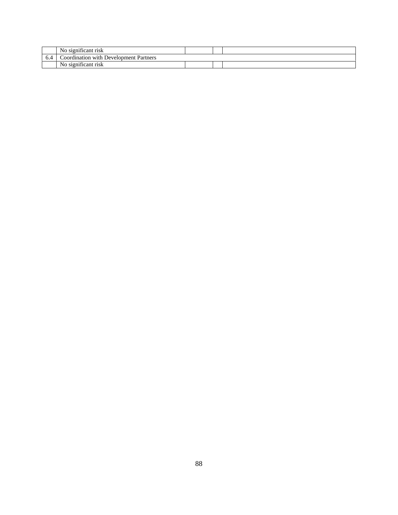|     | $\cdot$<br>N <sub>0</sub><br>.rısk<br>significant |  |  |
|-----|---------------------------------------------------|--|--|
| v.- | Development -<br>Partners<br>`oordination with :  |  |  |
|     | $\cdot$<br>N <sub>0</sub><br>risk<br>significant  |  |  |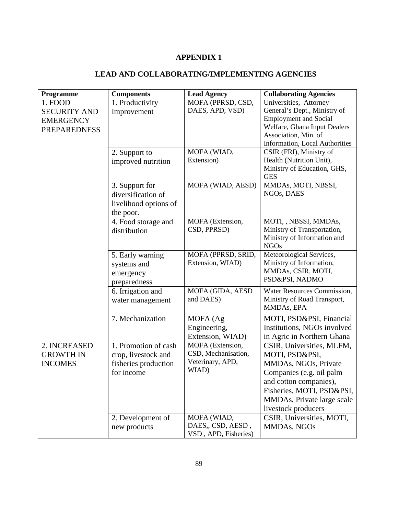# **APPENDIX 1**

# **LEAD AND COLLABORATING/IMPLEMENTING AGENCIES**

| Programme           | <b>Components</b>     | <b>Lead Agency</b>   | <b>Collaborating Agencies</b>  |
|---------------------|-----------------------|----------------------|--------------------------------|
| 1. FOOD             | 1. Productivity       | MOFA (PPRSD, CSD,    | Universities, Attorney         |
| <b>SECURITY AND</b> | Improvement           | DAES, APD, VSD)      | General's Dept., Ministry of   |
| <b>EMERGENCY</b>    |                       |                      | <b>Employment and Social</b>   |
| <b>PREPAREDNESS</b> |                       |                      | Welfare, Ghana Input Dealers   |
|                     |                       |                      | Association, Min. of           |
|                     |                       |                      | Information, Local Authorities |
|                     | 2. Support to         | MOFA (WIAD,          | CSIR (FRI), Ministry of        |
|                     | improved nutrition    | Extension)           | Health (Nutrition Unit),       |
|                     |                       |                      | Ministry of Education, GHS,    |
|                     |                       |                      | <b>GES</b>                     |
|                     | 3. Support for        | MOFA (WIAD, AESD)    | MMDAs, MOTI, NBSSI,            |
|                     | diversification of    |                      | NGOs, DAES                     |
|                     | livelihood options of |                      |                                |
|                     | the poor.             |                      |                                |
|                     | 4. Food storage and   | MOFA (Extension,     | MOTI, , NBSSI, MMDAs,          |
|                     | distribution          | CSD, PPRSD)          | Ministry of Transportation,    |
|                     |                       |                      | Ministry of Information and    |
|                     |                       |                      | <b>NGOs</b>                    |
|                     | 5. Early warning      | MOFA (PPRSD, SRID,   | Meteorological Services,       |
|                     | systems and           | Extension, WIAD)     | Ministry of Information,       |
|                     | emergency             |                      | MMDAs, CSIR, MOTI,             |
|                     | preparedness          |                      | PSD&PSI, NADMO                 |
|                     | 6. Irrigation and     | MOFA (GIDA, AESD     | Water Resources Commission,    |
|                     | water management      | and DAES)            | Ministry of Road Transport,    |
|                     |                       |                      | MMDAs, EPA                     |
|                     | 7. Mechanization      | MOFA (Ag             | MOTI, PSD&PSI, Financial       |
|                     |                       | Engineering,         | Institutions, NGOs involved    |
|                     |                       | Extension, WIAD)     | in Agric in Northern Ghana     |
| 2. INCREASED        | 1. Promotion of cash  | MOFA (Extension,     | CSIR, Universities, MLFM,      |
| <b>GROWTH IN</b>    | crop, livestock and   | CSD, Mechanisation,  | MOTI, PSD&PSI,                 |
| <b>INCOMES</b>      | fisheries production  | Veterinary, APD,     | MMDAs, NGOs, Private           |
|                     | for income            | WIAD)                | Companies (e.g. oil palm       |
|                     |                       |                      | and cotton companies),         |
|                     |                       |                      | Fisheries, MOTI, PSD&PSI,      |
|                     |                       |                      | MMDAs, Private large scale     |
|                     |                       |                      | livestock producers            |
|                     | 2. Development of     | MOFA (WIAD,          | CSIR, Universities, MOTI,      |
|                     | new products          | DAES,, CSD, AESD,    | MMDAs, NGOs                    |
|                     |                       | VSD, APD, Fisheries) |                                |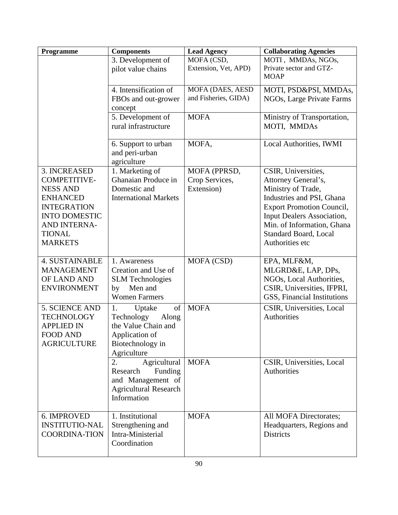| MOFA (CSD,<br>MOTI, MMDAs, NGOs,<br>3. Development of<br>Extension, Vet, APD)<br>Private sector and GTZ-<br>pilot value chains<br><b>MOAP</b><br>MOFA (DAES, AESD<br>4. Intensification of<br>MOTI, PSD&PSI, MMDAs,<br>and Fisheries, GIDA)<br>FBOs and out-grower<br>NGOs, Large Private Farms<br>concept |
|------------------------------------------------------------------------------------------------------------------------------------------------------------------------------------------------------------------------------------------------------------------------------------------------------------|
|                                                                                                                                                                                                                                                                                                            |
|                                                                                                                                                                                                                                                                                                            |
|                                                                                                                                                                                                                                                                                                            |
|                                                                                                                                                                                                                                                                                                            |
| 5. Development of<br><b>MOFA</b><br>Ministry of Transportation,<br>rural infrastructure<br>MOTI, MMDAs                                                                                                                                                                                                     |
| MOFA,<br>Local Authorities, IWMI<br>6. Support to urban<br>and peri-urban<br>agriculture                                                                                                                                                                                                                   |
| 1. Marketing of<br>3. INCREASED<br>MOFA (PPRSD,<br>CSIR, Universities,                                                                                                                                                                                                                                     |
| Ghanaian Produce in<br><b>COMPETITIVE-</b><br>Crop Services,<br>Attorney General's,                                                                                                                                                                                                                        |
| Domestic and<br>Extension)<br><b>NESS AND</b><br>Ministry of Trade,<br>Industries and PSI, Ghana<br><b>ENHANCED</b><br><b>International Markets</b>                                                                                                                                                        |
| <b>INTEGRATION</b><br><b>Export Promotion Council,</b>                                                                                                                                                                                                                                                     |
| Input Dealers Association,<br><b>INTO DOMESTIC</b>                                                                                                                                                                                                                                                         |
| Min. of Information, Ghana<br>AND INTERNA-                                                                                                                                                                                                                                                                 |
| <b>TIONAL</b><br><b>Standard Board, Local</b>                                                                                                                                                                                                                                                              |
| Authorities etc<br><b>MARKETS</b>                                                                                                                                                                                                                                                                          |
| <b>4. SUSTAINABLE</b><br>MOFA (CSD)<br>EPA, MLF&M,<br>1. Awareness                                                                                                                                                                                                                                         |
| <b>MANAGEMENT</b><br>Creation and Use of<br>MLGRD&E, LAP, DPs,                                                                                                                                                                                                                                             |
| OF LAND AND<br><b>SLM</b> Technologies<br>NGOs, Local Authorities,                                                                                                                                                                                                                                         |
| Men and<br><b>ENVIRONMENT</b><br>CSIR, Universities, IFPRI,<br>by<br><b>Women Farmers</b><br>GSS, Financial Institutions                                                                                                                                                                                   |
| <b>MOFA</b><br>5. SCIENCE AND<br>of<br>CSIR, Universities, Local<br>Uptake<br>1.                                                                                                                                                                                                                           |
| Authorities<br>Technology<br><b>TECHNOLOGY</b><br>Along                                                                                                                                                                                                                                                    |
| the Value Chain and<br><b>APPLIED IN</b>                                                                                                                                                                                                                                                                   |
| <b>FOOD AND</b><br>Application of                                                                                                                                                                                                                                                                          |
| <b>AGRICULTURE</b><br>Biotechnology in                                                                                                                                                                                                                                                                     |
| Agriculture<br>Agricultural<br>2.<br><b>MOFA</b><br>CSIR, Universities, Local                                                                                                                                                                                                                              |
| Research<br>Funding<br>Authorities                                                                                                                                                                                                                                                                         |
| and Management of                                                                                                                                                                                                                                                                                          |
| <b>Agricultural Research</b>                                                                                                                                                                                                                                                                               |
| Information                                                                                                                                                                                                                                                                                                |
| 6. IMPROVED<br>1. Institutional<br><b>MOFA</b><br>All MOFA Directorates;                                                                                                                                                                                                                                   |
| <b>INSTITUTIO-NAL</b><br>Strengthening and<br>Headquarters, Regions and                                                                                                                                                                                                                                    |
| Intra-Ministerial<br><b>COORDINA-TION</b><br><b>Districts</b>                                                                                                                                                                                                                                              |
| Coordination                                                                                                                                                                                                                                                                                               |